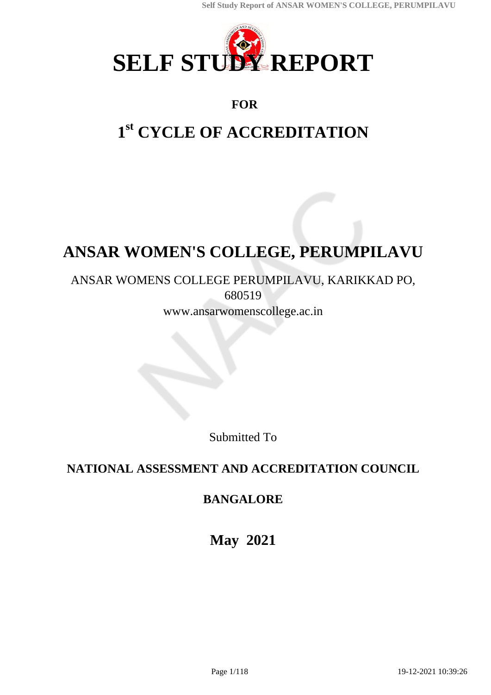

# **FOR**

# **1 st CYCLE OF ACCREDITATION**

# **ANSAR WOMEN'S COLLEGE, PERUMPILAVU**

# ANSAR WOMENS COLLEGE PERUMPILAVU, KARIKKAD PO, 680519

www.ansarwomenscollege.ac.in

Submitted To

# **NATIONAL ASSESSMENT AND ACCREDITATION COUNCIL**

# **BANGALORE**

**May 2021**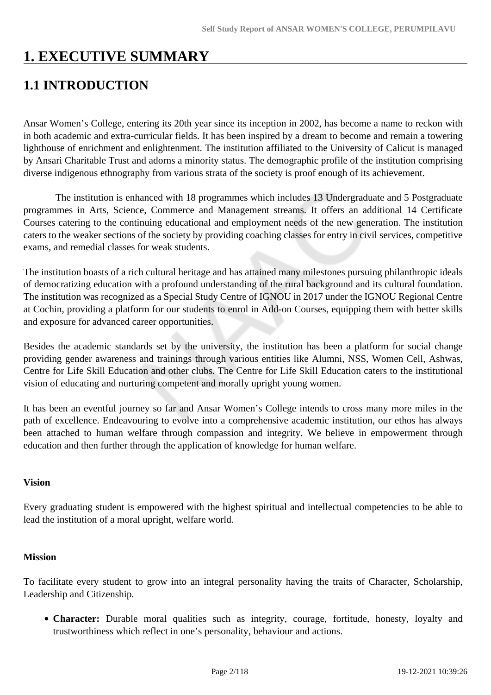# **1. EXECUTIVE SUMMARY**

# **1.1 INTRODUCTION**

Ansar Women's College, entering its 20th year since its inception in 2002, has become a name to reckon with in both academic and extra-curricular fields. It has been inspired by a dream to become and remain a towering lighthouse of enrichment and enlightenment. The institution affiliated to the University of Calicut is managed by Ansari Charitable Trust and adorns a minority status. The demographic profile of the institution comprising diverse indigenous ethnography from various strata of the society is proof enough of its achievement.

 The institution is enhanced with 18 programmes which includes 13 Undergraduate and 5 Postgraduate programmes in Arts, Science, Commerce and Management streams. It offers an additional 14 Certificate Courses catering to the continuing educational and employment needs of the new generation. The institution caters to the weaker sections of the society by providing coaching classes for entry in civil services, competitive exams, and remedial classes for weak students.

The institution boasts of a rich cultural heritage and has attained many milestones pursuing philanthropic ideals of democratizing education with a profound understanding of the rural background and its cultural foundation. The institution was recognized as a Special Study Centre of IGNOU in 2017 under the IGNOU Regional Centre at Cochin, providing a platform for our students to enrol in Add-on Courses, equipping them with better skills and exposure for advanced career opportunities.

Besides the academic standards set by the university, the institution has been a platform for social change providing gender awareness and trainings through various entities like Alumni, NSS, Women Cell, Ashwas, Centre for Life Skill Education and other clubs. The Centre for Life Skill Education caters to the institutional vision of educating and nurturing competent and morally upright young women.

It has been an eventful journey so far and Ansar Women's College intends to cross many more miles in the path of excellence. Endeavouring to evolve into a comprehensive academic institution, our ethos has always been attached to human welfare through compassion and integrity. We believe in empowerment through education and then further through the application of knowledge for human welfare.

## **Vision**

Every graduating student is empowered with the highest spiritual and intellectual competencies to be able to lead the institution of a moral upright, welfare world.

#### **Mission**

To facilitate every student to grow into an integral personality having the traits of Character, Scholarship, Leadership and Citizenship.

**Character:** Durable moral qualities such as integrity, courage, fortitude, honesty, loyalty and trustworthiness which reflect in one's personality, behaviour and actions.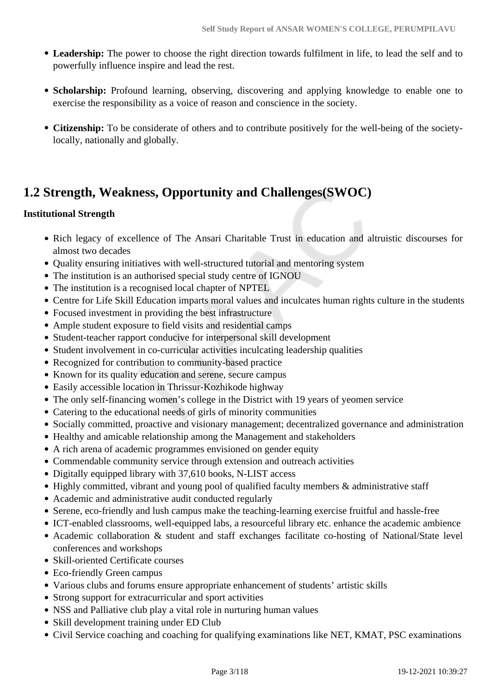- **Leadership:** The power to choose the right direction towards fulfilment in life, to lead the self and to powerfully influence inspire and lead the rest.
- **Scholarship:** Profound learning, observing, discovering and applying knowledge to enable one to exercise the responsibility as a voice of reason and conscience in the society.
- **Citizenship:** To be considerate of others and to contribute positively for the well-being of the societylocally, nationally and globally.

# **1.2 Strength, Weakness, Opportunity and Challenges(SWOC)**

## **Institutional Strength**

- Rich legacy of excellence of The Ansari Charitable Trust in education and altruistic discourses for almost two decades
- Quality ensuring initiatives with well-structured tutorial and mentoring system
- The institution is an authorised special study centre of IGNOU
- The institution is a recognised local chapter of NPTEL
- Centre for Life Skill Education imparts moral values and inculcates human rights culture in the students
- Focused investment in providing the best infrastructure
- Ample student exposure to field visits and residential camps
- Student-teacher rapport conducive for interpersonal skill development
- Student involvement in co-curricular activities inculcating leadership qualities
- Recognized for contribution to community-based practice
- Known for its quality education and serene, secure campus
- Easily accessible location in Thrissur-Kozhikode highway
- The only self-financing women's college in the District with 19 years of yeomen service
- Catering to the educational needs of girls of minority communities
- Socially committed, proactive and visionary management; decentralized governance and administration
- Healthy and amicable relationship among the Management and stakeholders
- A rich arena of academic programmes envisioned on gender equity
- Commendable community service through extension and outreach activities
- Digitally equipped library with 37,610 books, N-LIST access
- Highly committed, vibrant and young pool of qualified faculty members & administrative staff
- Academic and administrative audit conducted regularly
- Serene, eco-friendly and lush campus make the teaching-learning exercise fruitful and hassle-free
- ICT-enabled classrooms, well-equipped labs, a resourceful library etc. enhance the academic ambience
- Academic collaboration & student and staff exchanges facilitate co-hosting of National/State level conferences and workshops
- Skill-oriented Certificate courses
- Eco-friendly Green campus
- Various clubs and forums ensure appropriate enhancement of students' artistic skills
- Strong support for extracurricular and sport activities
- NSS and Palliative club play a vital role in nurturing human values
- Skill development training under ED Club
- Civil Service coaching and coaching for qualifying examinations like NET, KMAT, PSC examinations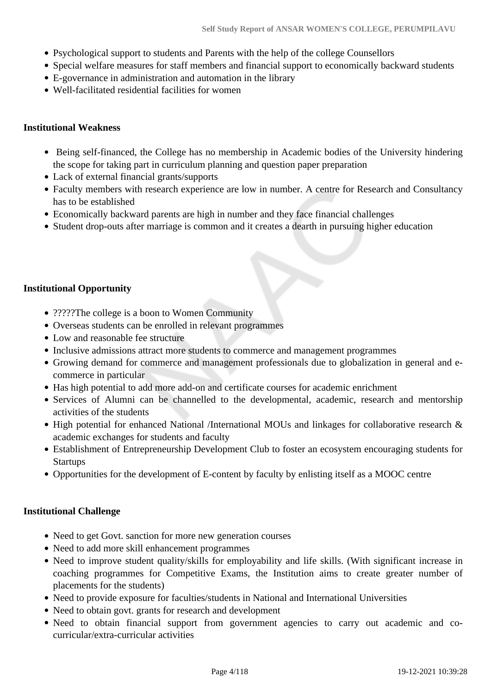- Psychological support to students and Parents with the help of the college Counsellors
- Special welfare measures for staff members and financial support to economically backward students
- E-governance in administration and automation in the library
- Well-facilitated residential facilities for women

#### **Institutional Weakness**

- Being self-financed, the College has no membership in Academic bodies of the University hindering the scope for taking part in curriculum planning and question paper preparation
- Lack of external financial grants/supports
- Faculty members with research experience are low in number. A centre for Research and Consultancy has to be established
- Economically backward parents are high in number and they face financial challenges
- Student drop-outs after marriage is common and it creates a dearth in pursuing higher education

## **Institutional Opportunity**

- ??????The college is a boon to Women Community
- Overseas students can be enrolled in relevant programmes
- Low and reasonable fee structure
- Inclusive admissions attract more students to commerce and management programmes
- Growing demand for commerce and management professionals due to globalization in general and ecommerce in particular
- Has high potential to add more add-on and certificate courses for academic enrichment
- Services of Alumni can be channelled to the developmental, academic, research and mentorship activities of the students
- High potential for enhanced National /International MOUs and linkages for collaborative research & academic exchanges for students and faculty
- Establishment of Entrepreneurship Development Club to foster an ecosystem encouraging students for **Startups**
- Opportunities for the development of E-content by faculty by enlisting itself as a MOOC centre

## **Institutional Challenge**

- Need to get Govt. sanction for more new generation courses
- Need to add more skill enhancement programmes
- Need to improve student quality/skills for employability and life skills. (With significant increase in coaching programmes for Competitive Exams, the Institution aims to create greater number of placements for the students)
- Need to provide exposure for faculties/students in National and International Universities
- Need to obtain govt. grants for research and development
- Need to obtain financial support from government agencies to carry out academic and cocurricular/extra-curricular activities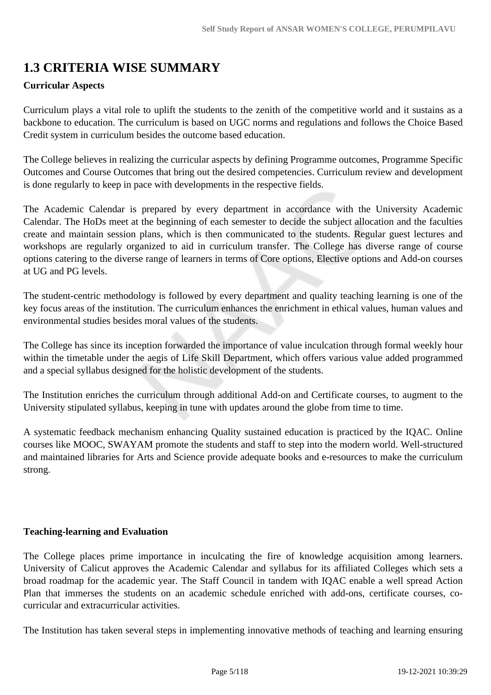# **1.3 CRITERIA WISE SUMMARY**

#### **Curricular Aspects**

Curriculum plays a vital role to uplift the students to the zenith of the competitive world and it sustains as a backbone to education. The curriculum is based on UGC norms and regulations and follows the Choice Based Credit system in curriculum besides the outcome based education.

The College believes in realizing the curricular aspects by defining Programme outcomes, Programme Specific Outcomes and Course Outcomes that bring out the desired competencies. Curriculum review and development is done regularly to keep in pace with developments in the respective fields.

The Academic Calendar is prepared by every department in accordance with the University Academic Calendar. The HoDs meet at the beginning of each semester to decide the subject allocation and the faculties create and maintain session plans, which is then communicated to the students. Regular guest lectures and workshops are regularly organized to aid in curriculum transfer. The College has diverse range of course options catering to the diverse range of learners in terms of Core options, Elective options and Add-on courses at UG and PG levels.

The student-centric methodology is followed by every department and quality teaching learning is one of the key focus areas of the institution. The curriculum enhances the enrichment in ethical values, human values and environmental studies besides moral values of the students.

The College has since its inception forwarded the importance of value inculcation through formal weekly hour within the timetable under the aegis of Life Skill Department, which offers various value added programmed and a special syllabus designed for the holistic development of the students.

The Institution enriches the curriculum through additional Add-on and Certificate courses, to augment to the University stipulated syllabus, keeping in tune with updates around the globe from time to time.

A systematic feedback mechanism enhancing Quality sustained education is practiced by the IQAC. Online courses like MOOC, SWAYAM promote the students and staff to step into the modern world. Well-structured and maintained libraries for Arts and Science provide adequate books and e-resources to make the curriculum strong.

## **Teaching-learning and Evaluation**

The College places prime importance in inculcating the fire of knowledge acquisition among learners. University of Calicut approves the Academic Calendar and syllabus for its affiliated Colleges which sets a broad roadmap for the academic year. The Staff Council in tandem with IQAC enable a well spread Action Plan that immerses the students on an academic schedule enriched with add-ons, certificate courses, cocurricular and extracurricular activities.

The Institution has taken several steps in implementing innovative methods of teaching and learning ensuring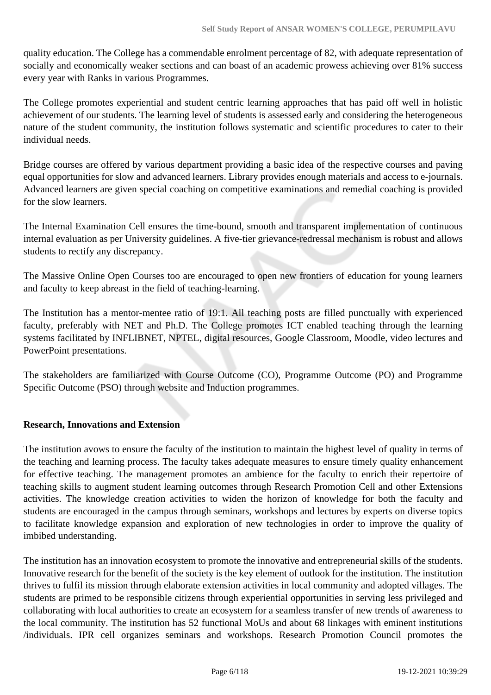quality education. The College has a commendable enrolment percentage of 82, with adequate representation of socially and economically weaker sections and can boast of an academic prowess achieving over 81% success every year with Ranks in various Programmes.

The College promotes experiential and student centric learning approaches that has paid off well in holistic achievement of our students. The learning level of students is assessed early and considering the heterogeneous nature of the student community, the institution follows systematic and scientific procedures to cater to their individual needs.

Bridge courses are offered by various department providing a basic idea of the respective courses and paving equal opportunities for slow and advanced learners. Library provides enough materials and access to e-journals. Advanced learners are given special coaching on competitive examinations and remedial coaching is provided for the slow learners.

The Internal Examination Cell ensures the time-bound, smooth and transparent implementation of continuous internal evaluation as per University guidelines. A five-tier grievance-redressal mechanism is robust and allows students to rectify any discrepancy.

The Massive Online Open Courses too are encouraged to open new frontiers of education for young learners and faculty to keep abreast in the field of teaching-learning.

The Institution has a mentor-mentee ratio of 19:1. All teaching posts are filled punctually with experienced faculty, preferably with NET and Ph.D. The College promotes ICT enabled teaching through the learning systems facilitated by INFLIBNET, NPTEL, digital resources, Google Classroom, Moodle, video lectures and PowerPoint presentations.

The stakeholders are familiarized with Course Outcome (CO), Programme Outcome (PO) and Programme Specific Outcome (PSO) through website and Induction programmes.

## **Research, Innovations and Extension**

The institution avows to ensure the faculty of the institution to maintain the highest level of quality in terms of the teaching and learning process. The faculty takes adequate measures to ensure timely quality enhancement for effective teaching. The management promotes an ambience for the faculty to enrich their repertoire of teaching skills to augment student learning outcomes through Research Promotion Cell and other Extensions activities. The knowledge creation activities to widen the horizon of knowledge for both the faculty and students are encouraged in the campus through seminars, workshops and lectures by experts on diverse topics to facilitate knowledge expansion and exploration of new technologies in order to improve the quality of imbibed understanding.

The institution has an innovation ecosystem to promote the innovative and entrepreneurial skills of the students. Innovative research for the benefit of the society is the key element of outlook for the institution. The institution thrives to fulfil its mission through elaborate extension activities in local community and adopted villages. The students are primed to be responsible citizens through experiential opportunities in serving less privileged and collaborating with local authorities to create an ecosystem for a seamless transfer of new trends of awareness to the local community. The institution has 52 functional MoUs and about 68 linkages with eminent institutions /individuals. IPR cell organizes seminars and workshops. Research Promotion Council promotes the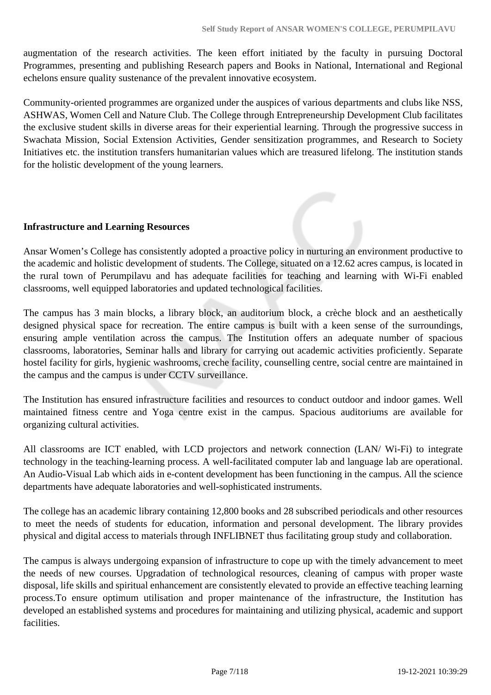augmentation of the research activities. The keen effort initiated by the faculty in pursuing Doctoral Programmes, presenting and publishing Research papers and Books in National, International and Regional echelons ensure quality sustenance of the prevalent innovative ecosystem.

Community-oriented programmes are organized under the auspices of various departments and clubs like NSS, ASHWAS, Women Cell and Nature Club. The College through Entrepreneurship Development Club facilitates the exclusive student skills in diverse areas for their experiential learning. Through the progressive success in Swachata Mission, Social Extension Activities, Gender sensitization programmes, and Research to Society Initiatives etc. the institution transfers humanitarian values which are treasured lifelong. The institution stands for the holistic development of the young learners.

#### **Infrastructure and Learning Resources**

Ansar Women's College has consistently adopted a proactive policy in nurturing an environment productive to the academic and holistic development of students. The College, situated on a 12.62 acres campus, is located in the rural town of Perumpilavu and has adequate facilities for teaching and learning with Wi-Fi enabled classrooms, well equipped laboratories and updated technological facilities.

The campus has 3 main blocks, a library block, an auditorium block, a crèche block and an aesthetically designed physical space for recreation. The entire campus is built with a keen sense of the surroundings, ensuring ample ventilation across the campus. The Institution offers an adequate number of spacious classrooms, laboratories, Seminar halls and library for carrying out academic activities proficiently. Separate hostel facility for girls, hygienic washrooms, creche facility, counselling centre, social centre are maintained in the campus and the campus is under CCTV surveillance.

The Institution has ensured infrastructure facilities and resources to conduct outdoor and indoor games. Well maintained fitness centre and Yoga centre exist in the campus. Spacious auditoriums are available for organizing cultural activities.

All classrooms are ICT enabled, with LCD projectors and network connection (LAN/ Wi-Fi) to integrate technology in the teaching-learning process. A well-facilitated computer lab and language lab are operational. An Audio-Visual Lab which aids in e-content development has been functioning in the campus. All the science departments have adequate laboratories and well-sophisticated instruments.

The college has an academic library containing 12,800 books and 28 subscribed periodicals and other resources to meet the needs of students for education, information and personal development. The library provides physical and digital access to materials through INFLIBNET thus facilitating group study and collaboration.

The campus is always undergoing expansion of infrastructure to cope up with the timely advancement to meet the needs of new courses. Upgradation of technological resources, cleaning of campus with proper waste disposal, life skills and spiritual enhancement are consistently elevated to provide an effective teaching learning process.To ensure optimum utilisation and proper maintenance of the infrastructure, the Institution has developed an established systems and procedures for maintaining and utilizing physical, academic and support facilities.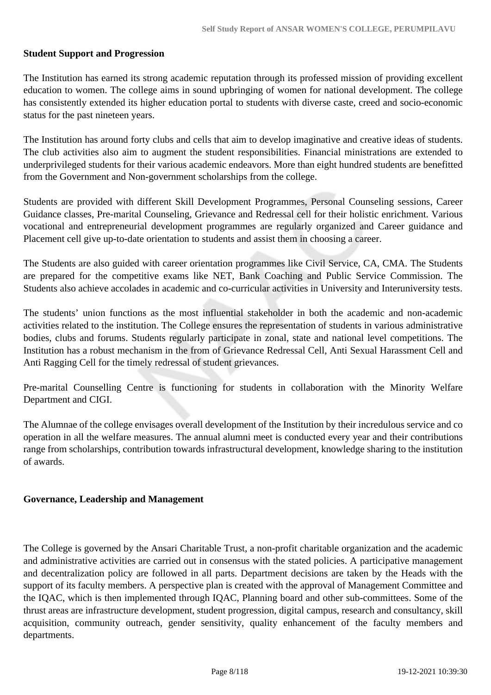#### **Student Support and Progression**

The Institution has earned its strong academic reputation through its professed mission of providing excellent education to women. The college aims in sound upbringing of women for national development. The college has consistently extended its higher education portal to students with diverse caste, creed and socio-economic status for the past nineteen years.

The Institution has around forty clubs and cells that aim to develop imaginative and creative ideas of students. The club activities also aim to augment the student responsibilities. Financial ministrations are extended to underprivileged students for their various academic endeavors. More than eight hundred students are benefitted from the Government and Non-government scholarships from the college.

Students are provided with different Skill Development Programmes, Personal Counseling sessions, Career Guidance classes, Pre-marital Counseling, Grievance and Redressal cell for their holistic enrichment. Various vocational and entrepreneurial development programmes are regularly organized and Career guidance and Placement cell give up-to-date orientation to students and assist them in choosing a career.

The Students are also guided with career orientation programmes like Civil Service, CA, CMA. The Students are prepared for the competitive exams like NET, Bank Coaching and Public Service Commission. The Students also achieve accolades in academic and co-curricular activities in University and Interuniversity tests.

The students' union functions as the most influential stakeholder in both the academic and non-academic activities related to the institution. The College ensures the representation of students in various administrative bodies, clubs and forums. Students regularly participate in zonal, state and national level competitions. The Institution has a robust mechanism in the from of Grievance Redressal Cell, Anti Sexual Harassment Cell and Anti Ragging Cell for the timely redressal of student grievances.

Pre-marital Counselling Centre is functioning for students in collaboration with the Minority Welfare Department and CIGI.

The Alumnae of the college envisages overall development of the Institution by their incredulous service and co operation in all the welfare measures. The annual alumni meet is conducted every year and their contributions range from scholarships, contribution towards infrastructural development, knowledge sharing to the institution of awards.

#### **Governance, Leadership and Management**

The College is governed by the Ansari Charitable Trust, a non-profit charitable organization and the academic and administrative activities are carried out in consensus with the stated policies. A participative management and decentralization policy are followed in all parts. Department decisions are taken by the Heads with the support of its faculty members. A perspective plan is created with the approval of Management Committee and the IQAC, which is then implemented through IQAC, Planning board and other sub-committees. Some of the thrust areas are infrastructure development, student progression, digital campus, research and consultancy, skill acquisition, community outreach, gender sensitivity, quality enhancement of the faculty members and departments.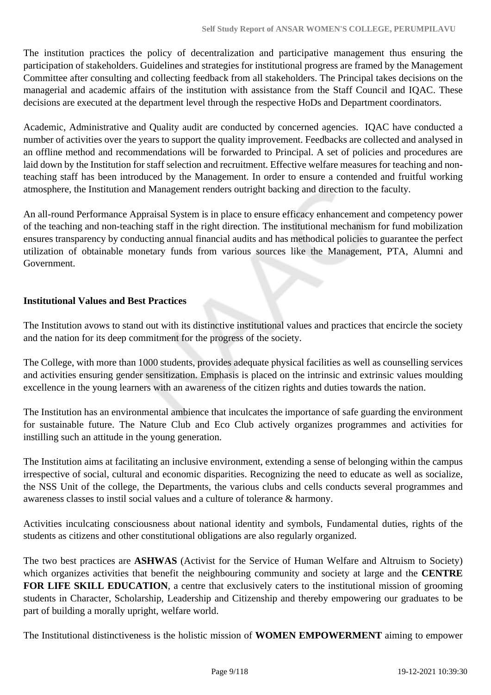The institution practices the policy of decentralization and participative management thus ensuring the participation of stakeholders. Guidelines and strategies for institutional progress are framed by the Management Committee after consulting and collecting feedback from all stakeholders. The Principal takes decisions on the managerial and academic affairs of the institution with assistance from the Staff Council and IQAC. These decisions are executed at the department level through the respective HoDs and Department coordinators.

Academic, Administrative and Quality audit are conducted by concerned agencies. IQAC have conducted a number of activities over the years to support the quality improvement. Feedbacks are collected and analysed in an offline method and recommendations will be forwarded to Principal. A set of policies and procedures are laid down by the Institution for staff selection and recruitment. Effective welfare measures for teaching and nonteaching staff has been introduced by the Management. In order to ensure a contended and fruitful working atmosphere, the Institution and Management renders outright backing and direction to the faculty.

An all-round Performance Appraisal System is in place to ensure efficacy enhancement and competency power of the teaching and non-teaching staff in the right direction. The institutional mechanism for fund mobilization ensures transparency by conducting annual financial audits and has methodical policies to guarantee the perfect utilization of obtainable monetary funds from various sources like the Management, PTA, Alumni and Government.

## **Institutional Values and Best Practices**

The Institution avows to stand out with its distinctive institutional values and practices that encircle the society and the nation for its deep commitment for the progress of the society.

The College, with more than 1000 students, provides adequate physical facilities as well as counselling services and activities ensuring gender sensitization. Emphasis is placed on the intrinsic and extrinsic values moulding excellence in the young learners with an awareness of the citizen rights and duties towards the nation.

The Institution has an environmental ambience that inculcates the importance of safe guarding the environment for sustainable future. The Nature Club and Eco Club actively organizes programmes and activities for instilling such an attitude in the young generation.

The Institution aims at facilitating an inclusive environment, extending a sense of belonging within the campus irrespective of social, cultural and economic disparities. Recognizing the need to educate as well as socialize, the NSS Unit of the college, the Departments, the various clubs and cells conducts several programmes and awareness classes to instil social values and a culture of tolerance & harmony.

Activities inculcating consciousness about national identity and symbols, Fundamental duties, rights of the students as citizens and other constitutional obligations are also regularly organized.

The two best practices are **ASHWAS** (Activist for the Service of Human Welfare and Altruism to Society) which organizes activities that benefit the neighbouring community and society at large and the **CENTRE FOR LIFE SKILL EDUCATION**, a centre that exclusively caters to the institutional mission of grooming students in Character, Scholarship, Leadership and Citizenship and thereby empowering our graduates to be part of building a morally upright, welfare world.

The Institutional distinctiveness is the holistic mission of **WOMEN EMPOWERMENT** aiming to empower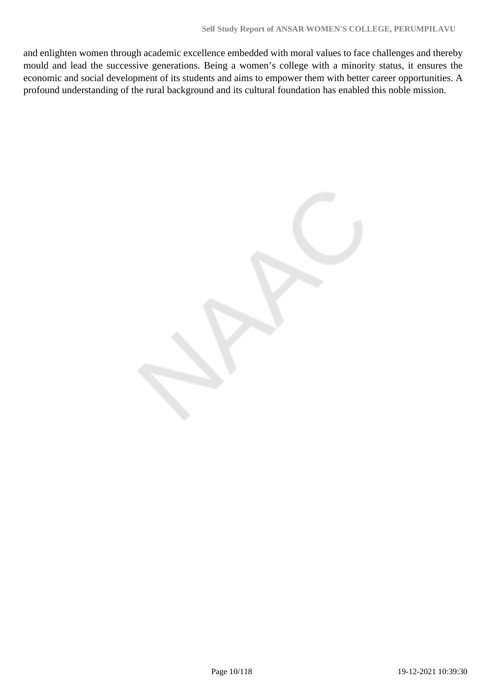and enlighten women through academic excellence embedded with moral values to face challenges and thereby mould and lead the successive generations. Being a women's college with a minority status, it ensures the economic and social development of its students and aims to empower them with better career opportunities. A profound understanding of the rural background and its cultural foundation has enabled this noble mission.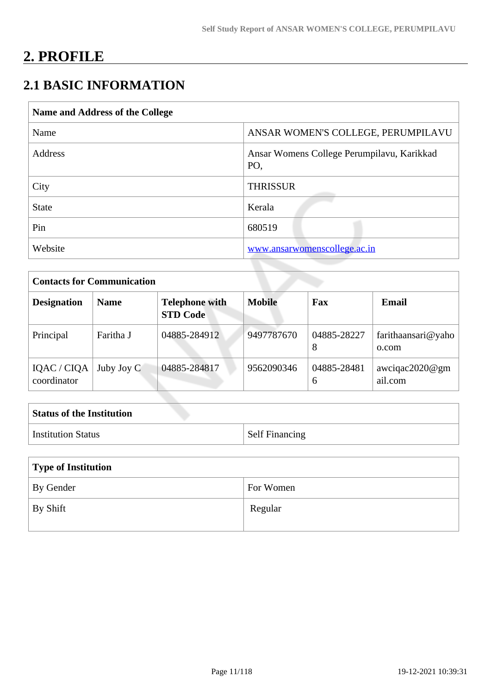# **2. PROFILE**

# **2.1 BASIC INFORMATION**

| Name and Address of the College |                                                   |
|---------------------------------|---------------------------------------------------|
| Name                            | ANSAR WOMEN'S COLLEGE, PERUMPILAVU                |
| <b>Address</b>                  | Ansar Womens College Perumpilavu, Karikkad<br>PO. |
| City                            | <b>THRISSUR</b>                                   |
| <b>State</b>                    | Kerala                                            |
| Pin                             | 680519                                            |
| Website                         | www.ansarwomenscollege.ac.in                      |

| <b>Contacts for Communication</b> |             |                                          |               |                  |                             |
|-----------------------------------|-------------|------------------------------------------|---------------|------------------|-----------------------------|
| <b>Designation</b>                | <b>Name</b> | <b>Telephone with</b><br><b>STD Code</b> | <b>Mobile</b> | Fax              | Email                       |
| Principal                         | Faritha J   | 04885-284912                             | 9497787670    | 04885-28227<br>8 | farithaansari@yaho<br>0.com |
| IQAC / CIQA<br>coordinator        | Juby Joy C  | 04885-284817                             | 9562090346    | 04885-28481<br>6 | awciqac2020@gm<br>ail.com   |

| <b>Status of the Institution</b> |                       |
|----------------------------------|-----------------------|
| Institution Status               | <b>Self Financing</b> |

| Type of Institution   |           |  |
|-----------------------|-----------|--|
| By Gender             | For Women |  |
| $\mathsf{I}$ By Shift | Regular   |  |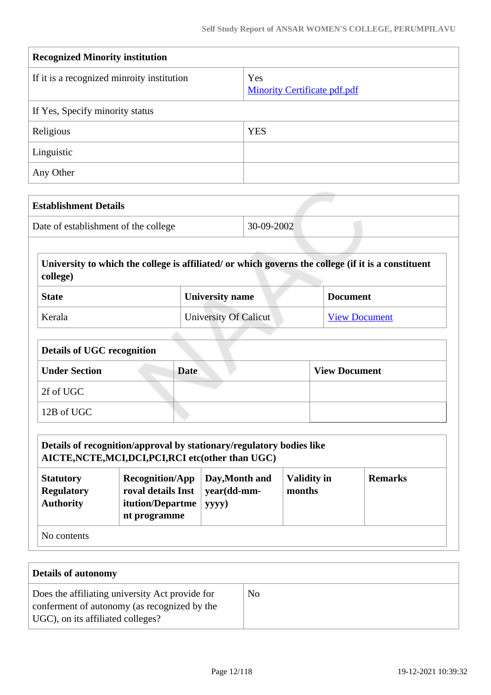| <b>Recognized Minority institution</b>     |                                            |  |
|--------------------------------------------|--------------------------------------------|--|
| If it is a recognized minroity institution | Yes<br><b>Minority Certificate pdf.pdf</b> |  |
| If Yes, Specify minority status            |                                            |  |
| Religious                                  | <b>YES</b>                                 |  |
| Linguistic                                 |                                            |  |
| Any Other                                  |                                            |  |

| <b>Establishment Details</b>         |            |
|--------------------------------------|------------|
| Date of establishment of the college | 30-09-2002 |

 **University to which the college is affiliated/ or which governs the college (if it is a constituent college)**

| <b>State</b> | <b>University name</b> | <b>Document</b>      |
|--------------|------------------------|----------------------|
| Kerala       | University Of Calicut  | <b>View Document</b> |

| <b>Details of UGC recognition</b> |             |                      |
|-----------------------------------|-------------|----------------------|
| <b>Under Section</b>              | <b>Date</b> | <b>View Document</b> |
| 2f of UGC                         |             |                      |
| 12B of UGC                        |             |                      |

|                                                                                                                                                                                                                                           | Details of recognition/approval by stationary/regulatory bodies like<br>AICTE, NCTE, MCI, DCI, PCI, RCI etc(other than UGC) |  |  |  |
|-------------------------------------------------------------------------------------------------------------------------------------------------------------------------------------------------------------------------------------------|-----------------------------------------------------------------------------------------------------------------------------|--|--|--|
| <b>Validity in</b><br><b>Recognition/App</b><br>Day, Month and<br><b>Remarks</b><br><b>Statutory</b><br>roval details Inst<br>year(dd-mm-<br>months<br><b>Regulatory</b><br><b>Authority</b><br>itution/Departme<br>yyyy)<br>nt programme |                                                                                                                             |  |  |  |
| No contents                                                                                                                                                                                                                               |                                                                                                                             |  |  |  |

| Details of autonomy                                                                                                                  |    |
|--------------------------------------------------------------------------------------------------------------------------------------|----|
| Does the affiliating university Act provide for<br>conferment of autonomy (as recognized by the<br>UGC), on its affiliated colleges? | No |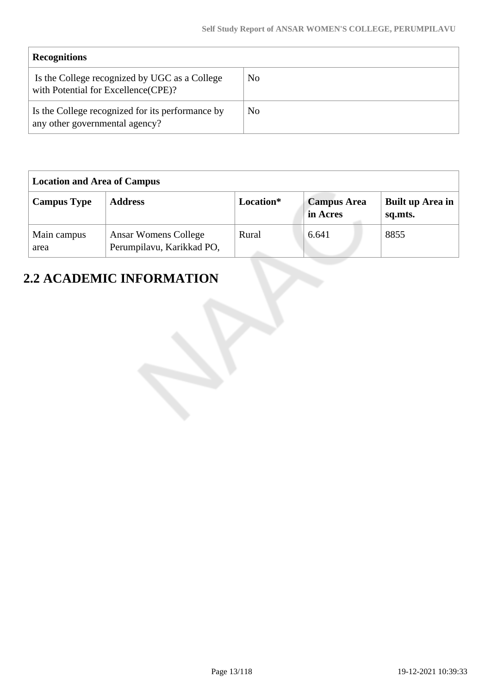| <b>Recognitions</b>                                                                   |    |
|---------------------------------------------------------------------------------------|----|
| Is the College recognized by UGC as a College<br>with Potential for Excellence (CPE)? | No |
| Is the College recognized for its performance by<br>any other governmental agency?    | No |

| <b>Location and Area of Campus</b> |                                                          |           |                                |                             |
|------------------------------------|----------------------------------------------------------|-----------|--------------------------------|-----------------------------|
| <b>Campus Type</b>                 | <b>Address</b>                                           | Location* | <b>Campus Area</b><br>in Acres | Built up Area in<br>sq.mts. |
| Main campus<br>area                | <b>Ansar Womens College</b><br>Perumpilavu, Karikkad PO, | Rural     | 6.641                          | 8855                        |

# **2.2 ACADEMIC INFORMATION**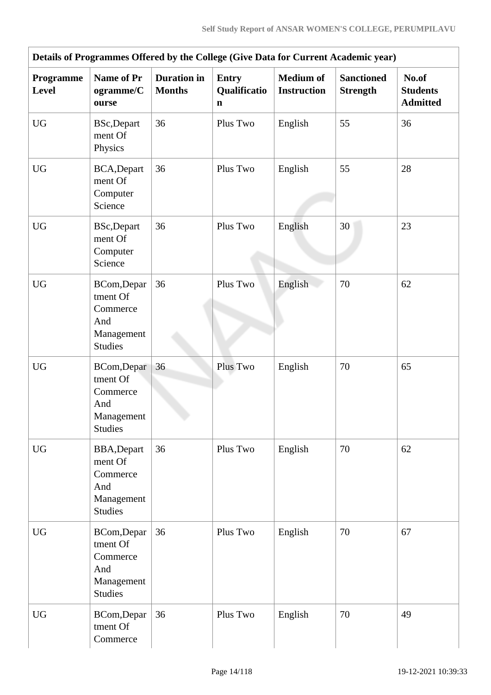|                    | Details of Programmes Offered by the College (Give Data for Current Academic year) |                                     |                                             |                                        |                                      |                                             |
|--------------------|------------------------------------------------------------------------------------|-------------------------------------|---------------------------------------------|----------------------------------------|--------------------------------------|---------------------------------------------|
| Programme<br>Level | <b>Name of Pr</b><br>ogramme/C<br>ourse                                            | <b>Duration</b> in<br><b>Months</b> | <b>Entry</b><br>Qualificatio<br>$\mathbf n$ | <b>Medium of</b><br><b>Instruction</b> | <b>Sanctioned</b><br><b>Strength</b> | No.of<br><b>Students</b><br><b>Admitted</b> |
| <b>UG</b>          | <b>BSc,Depart</b><br>ment Of<br>Physics                                            | 36                                  | Plus Two                                    | English                                | 55                                   | 36                                          |
| <b>UG</b>          | BCA, Depart<br>ment Of<br>Computer<br>Science                                      | 36                                  | Plus Two                                    | English                                | 55                                   | 28                                          |
| <b>UG</b>          | <b>BSc,Depart</b><br>ment Of<br>Computer<br>Science                                | 36                                  | Plus Two                                    | English                                | 30                                   | 23                                          |
| <b>UG</b>          | BCom, Depar<br>tment Of<br>Commerce<br>And<br>Management<br><b>Studies</b>         | 36                                  | Plus Two                                    | English                                | 70                                   | 62                                          |
| <b>UG</b>          | BCom, Depar<br>tment Of<br>Commerce<br>And<br>Management<br><b>Studies</b>         | 36                                  | Plus Two                                    | English                                | 70                                   | 65                                          |
| <b>UG</b>          | <b>BBA, Depart</b><br>ment Of<br>Commerce<br>And<br>Management<br><b>Studies</b>   | 36                                  | Plus Two                                    | English                                | 70                                   | 62                                          |
| <b>UG</b>          | BCom, Depar<br>tment Of<br>Commerce<br>And<br>Management<br><b>Studies</b>         | 36                                  | Plus Two                                    | English                                | 70                                   | 67                                          |
| <b>UG</b>          | BCom, Depar<br>tment Of<br>Commerce                                                | 36                                  | Plus Two                                    | English                                | 70                                   | 49                                          |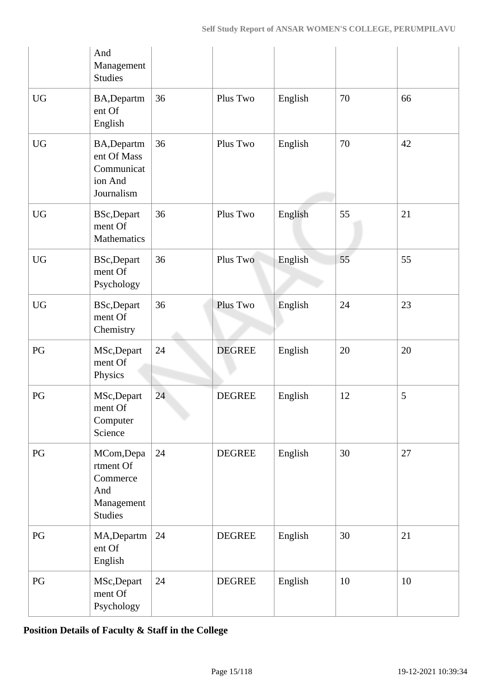|                        | And<br>Management<br><b>Studies</b>                                        |    |               |         |    |    |
|------------------------|----------------------------------------------------------------------------|----|---------------|---------|----|----|
| <b>UG</b>              | BA, Departm<br>ent Of<br>English                                           | 36 | Plus Two      | English | 70 | 66 |
| $\mathbf{U}\mathbf{G}$ | BA, Departm<br>ent Of Mass<br>Communicat<br>ion And<br>Journalism          | 36 | Plus Two      | English | 70 | 42 |
| <b>UG</b>              | <b>BSc,Depart</b><br>ment Of<br>Mathematics                                | 36 | Plus Two      | English | 55 | 21 |
| <b>UG</b>              | <b>BSc,Depart</b><br>ment Of<br>Psychology                                 | 36 | Plus Two      | English | 55 | 55 |
| <b>UG</b>              | <b>BSc,Depart</b><br>ment Of<br>Chemistry                                  | 36 | Plus Two      | English | 24 | 23 |
| PG                     | MSc, Depart<br>ment Of<br>Physics                                          | 24 | <b>DEGREE</b> | English | 20 | 20 |
| PG                     | MSc, Depart<br>ment Of<br>Computer<br>Science                              | 24 | <b>DEGREE</b> | English | 12 | 5  |
| PG                     | MCom, Depa<br>rtment Of<br>Commerce<br>And<br>Management<br><b>Studies</b> | 24 | <b>DEGREE</b> | English | 30 | 27 |
| PG                     | MA, Departm<br>ent Of<br>English                                           | 24 | <b>DEGREE</b> | English | 30 | 21 |
| PG                     | MSc, Depart<br>ment Of<br>Psychology                                       | 24 | <b>DEGREE</b> | English | 10 | 10 |

**Position Details of Faculty & Staff in the College**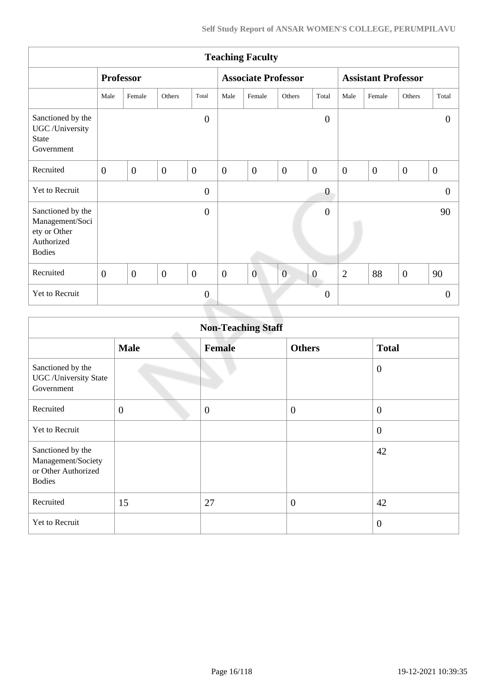|                                                                                     | <b>Teaching Faculty</b> |                  |                  |                  |                |                            |                  |                      |                            |                |                  |                  |
|-------------------------------------------------------------------------------------|-------------------------|------------------|------------------|------------------|----------------|----------------------------|------------------|----------------------|----------------------------|----------------|------------------|------------------|
|                                                                                     |                         | <b>Professor</b> |                  |                  |                | <b>Associate Professor</b> |                  |                      | <b>Assistant Professor</b> |                |                  |                  |
|                                                                                     | Male                    | Female           | Others           | Total            | Male           | Female                     | Others           | Total                | Male                       | Female         | Others           | Total            |
| Sanctioned by the<br>UGC /University<br><b>State</b><br>Government                  |                         |                  |                  | $\boldsymbol{0}$ |                |                            |                  | $\overline{0}$       |                            |                |                  | $\theta$         |
| Recruited                                                                           | $\overline{0}$          | $\overline{0}$   | $\mathbf{0}$     | $\mathbf{0}$     | $\overline{0}$ | $\overline{0}$             | $\boldsymbol{0}$ | $\overline{0}$       | $\overline{0}$             | $\overline{0}$ | $\overline{0}$   | $\boldsymbol{0}$ |
| Yet to Recruit                                                                      |                         |                  |                  | $\boldsymbol{0}$ |                |                            |                  | $\boldsymbol{0}$     |                            |                |                  | $\overline{0}$   |
| Sanctioned by the<br>Management/Soci<br>ety or Other<br>Authorized<br><b>Bodies</b> |                         |                  |                  | $\boldsymbol{0}$ |                |                            |                  | $\overline{0}$       |                            |                |                  | 90               |
| Recruited                                                                           | $\overline{0}$          | $\theta$         | $\boldsymbol{0}$ | $\overline{0}$   | $\overline{0}$ | $\overline{0}$             | $\overline{0}$   | $\boldsymbol{0}$     | $\overline{2}$             | 88             | $\boldsymbol{0}$ | 90               |
| Yet to Recruit                                                                      |                         |                  |                  | $\boldsymbol{0}$ |                |                            |                  | a.<br>$\overline{0}$ |                            |                |                  | $\theta$         |
|                                                                                     |                         |                  |                  |                  |                |                            |                  |                      |                            |                |                  |                  |

|                                                                                 |                | <b>Non-Teaching Staff</b> |                  |                  |
|---------------------------------------------------------------------------------|----------------|---------------------------|------------------|------------------|
|                                                                                 | <b>Male</b>    | <b>Female</b>             | <b>Others</b>    | <b>Total</b>     |
| Sanctioned by the<br><b>UGC</b> / University State<br>Government                |                |                           |                  | $\overline{0}$   |
| Recruited                                                                       | $\overline{0}$ | $\overline{0}$            | $\boldsymbol{0}$ | $\overline{0}$   |
| <b>Yet to Recruit</b>                                                           |                |                           |                  | $\boldsymbol{0}$ |
| Sanctioned by the<br>Management/Society<br>or Other Authorized<br><b>Bodies</b> |                |                           |                  | 42               |
| Recruited                                                                       | 15             | 27                        | $\boldsymbol{0}$ | 42               |
| Yet to Recruit                                                                  |                |                           |                  | $\overline{0}$   |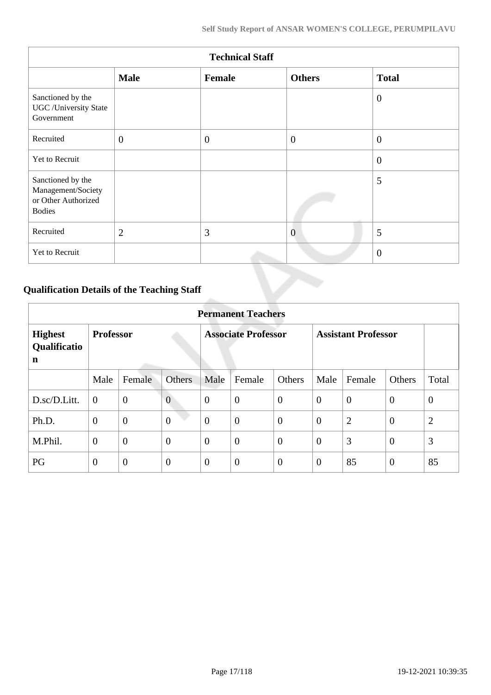|                                                                                 |                | <b>Technical Staff</b> |                |                |
|---------------------------------------------------------------------------------|----------------|------------------------|----------------|----------------|
|                                                                                 | <b>Male</b>    | Female                 | <b>Others</b>  | <b>Total</b>   |
| Sanctioned by the<br><b>UGC</b> /University State<br>Government                 |                |                        |                | $\overline{0}$ |
| Recruited                                                                       | $\mathbf{0}$   | $\theta$               | $\overline{0}$ | $\overline{0}$ |
| Yet to Recruit                                                                  |                |                        |                | $\overline{0}$ |
| Sanctioned by the<br>Management/Society<br>or Other Authorized<br><b>Bodies</b> |                |                        |                | 5              |
| Recruited                                                                       | $\overline{2}$ | 3                      | $\overline{0}$ | 5              |
| Yet to Recruit                                                                  |                |                        |                | $\overline{0}$ |

# **Qualification Details of the Teaching Staff**

|                                     | <b>Permanent Teachers</b> |                |                |                            |                |                  |                            |                |                |                |  |  |
|-------------------------------------|---------------------------|----------------|----------------|----------------------------|----------------|------------------|----------------------------|----------------|----------------|----------------|--|--|
| <b>Highest</b><br>Qualificatio<br>n | <b>Professor</b>          |                |                | <b>Associate Professor</b> |                |                  | <b>Assistant Professor</b> |                |                |                |  |  |
|                                     | Male                      | Female         | <b>Others</b>  | Male                       | Female         | Others           | Male                       | Female         | Others         | Total          |  |  |
| D.sc/D.Litt.                        | $\overline{0}$            | $\overline{0}$ | $\overline{0}$ | $\theta$                   | $\overline{0}$ | $\overline{0}$   | $\overline{0}$             | $\theta$       | $\overline{0}$ | $\overline{0}$ |  |  |
| Ph.D.                               | $\overline{0}$            | $\mathbf{0}$   | $\overline{0}$ | $\overline{0}$             | $\overline{0}$ | $\boldsymbol{0}$ | $\overline{0}$             | $\overline{2}$ | $\overline{0}$ | $\overline{2}$ |  |  |
| M.Phil.                             | $\overline{0}$            | $\overline{0}$ | $\overline{0}$ | $\overline{0}$             | $\overline{0}$ | $\overline{0}$   | $\overline{0}$             | 3              | $\overline{0}$ | 3              |  |  |
| PG                                  | $\theta$                  | $\overline{0}$ | $\overline{0}$ | $\overline{0}$             | $\overline{0}$ | $\overline{0}$   | $\theta$                   | 85             | $\overline{0}$ | 85             |  |  |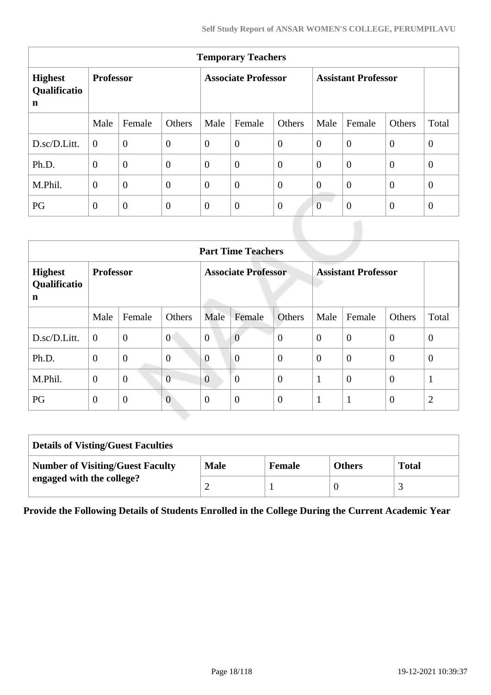| <b>Temporary Teachers</b>                     |                  |                |                  |                            |                  |                |                            |                |                |                |  |
|-----------------------------------------------|------------------|----------------|------------------|----------------------------|------------------|----------------|----------------------------|----------------|----------------|----------------|--|
| <b>Highest</b><br>Qualificatio<br>$\mathbf n$ | <b>Professor</b> |                |                  | <b>Associate Professor</b> |                  |                | <b>Assistant Professor</b> |                |                |                |  |
|                                               | Male             | Female         | Others           | Male                       | Female           | Others         | Male                       | Female         | Others         | Total          |  |
| D.sc/D.Litt.                                  | $\Omega$         | $\overline{0}$ | $\boldsymbol{0}$ | $\overline{0}$             | $\overline{0}$   | $\overline{0}$ | $\overline{0}$             | $\overline{0}$ | $\overline{0}$ | $\overline{0}$ |  |
| Ph.D.                                         | $\overline{0}$   | $\overline{0}$ | $\overline{0}$   | $\theta$                   | $\overline{0}$   | $\theta$       | $\theta$                   | $\overline{0}$ | $\theta$       | $\overline{0}$ |  |
| M.Phil.                                       | $\overline{0}$   | $\overline{0}$ | $\overline{0}$   | $\overline{0}$             | $\boldsymbol{0}$ | $\overline{0}$ | $\overline{0}$             | $\overline{0}$ | $\overline{0}$ | $\overline{0}$ |  |
| PG                                            | $\theta$         | $\overline{0}$ | $\theta$         | $\theta$                   | $\theta$         | $\overline{0}$ | $\overline{0}$             | $\overline{0}$ | $\theta$       | $\theta$       |  |

|                                     | <b>Part Time Teachers</b> |                |                |                            |                |                |                            |                |                |                |  |
|-------------------------------------|---------------------------|----------------|----------------|----------------------------|----------------|----------------|----------------------------|----------------|----------------|----------------|--|
| <b>Highest</b><br>Qualificatio<br>n | <b>Professor</b>          |                |                | <b>Associate Professor</b> |                |                | <b>Assistant Professor</b> |                |                |                |  |
|                                     | Male                      | Female         | Others         | Male                       | Female         | <b>Others</b>  | Male                       | Female         | Others         | Total          |  |
| D.sc/D.Litt.                        | $\boldsymbol{0}$          | $\mathbf{0}$   | $\overline{0}$ | $\overline{0}$             | $\overline{0}$ | $\overline{0}$ | $\theta$                   | $\overline{0}$ | $\theta$       | $\overline{0}$ |  |
| Ph.D.                               | $\overline{0}$            | $\overline{0}$ | $\overline{0}$ | $\overline{0}$             | $\overline{0}$ | $\overline{0}$ | $\overline{0}$             | $\overline{0}$ | $\overline{0}$ | $\theta$       |  |
| M.Phil.                             | $\theta$                  | $\overline{0}$ | $\overline{0}$ | $\overline{0}$             | $\overline{0}$ | $\overline{0}$ | 1                          | $\overline{0}$ | $\overline{0}$ | $\mathbf{1}$   |  |
| PG                                  | $\overline{0}$            | $\overline{0}$ | $\overline{0}$ | $\theta$                   | $\overline{0}$ | $\theta$       | 1<br>-1                    | 1              | $\overline{0}$ | $\overline{2}$ |  |

| <b>Details of Visting/Guest Faculties</b> |             |        |               |              |
|-------------------------------------------|-------------|--------|---------------|--------------|
| <b>Number of Visiting/Guest Faculty</b>   | <b>Male</b> | Female | <b>Others</b> | <b>Total</b> |
| engaged with the college?                 |             |        |               |              |

**Provide the Following Details of Students Enrolled in the College During the Current Academic Year**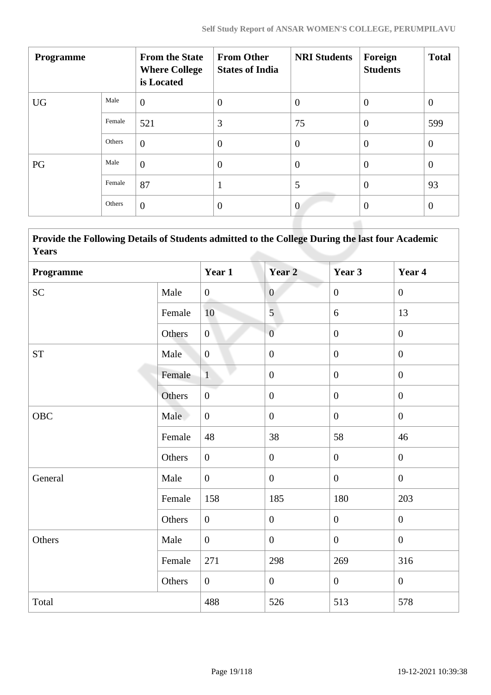| <b>Programme</b> |        | <b>From the State</b><br><b>Where College</b><br>is Located | <b>From Other</b><br><b>States of India</b> | <b>NRI Students</b> | Foreign<br><b>Students</b> | <b>Total</b>   |
|------------------|--------|-------------------------------------------------------------|---------------------------------------------|---------------------|----------------------------|----------------|
| <b>UG</b>        | Male   | $\overline{0}$                                              | $\theta$                                    | $\overline{0}$      | $\overline{0}$             | $\theta$       |
|                  | Female | 521                                                         | 3                                           | 75                  | $\overline{0}$             | 599            |
|                  | Others | $\overline{0}$                                              | $\overline{0}$                              | $\theta$            | $\overline{0}$             | $\overline{0}$ |
| PG               | Male   | $\overline{0}$                                              | $\theta$                                    | $\overline{0}$      | $\overline{0}$             | $\overline{0}$ |
|                  | Female | 87                                                          | 1                                           | 5                   | $\theta$                   | 93             |
|                  | Others | $\overline{0}$                                              | $\overline{0}$                              | $\overline{0}$      | $\theta$                   | $\theta$       |

 **Provide the Following Details of Students admitted to the College During the last four Academic Years**

| Programme          |        | Year 1           | Year <sub>2</sub> | Year 3           | Year 4           |
|--------------------|--------|------------------|-------------------|------------------|------------------|
| <b>SC</b>          | Male   | $\boldsymbol{0}$ | $\overline{0}$    | $\mathbf{0}$     | $\mathbf{0}$     |
|                    | Female | 10               | $\overline{5}$    | 6                | 13               |
|                    | Others | $\overline{0}$   | $\overline{0}$    | $\overline{0}$   | $\boldsymbol{0}$ |
| ${\cal S}{\cal T}$ | Male   | $\mathbf{0}$     | $\boldsymbol{0}$  | $\boldsymbol{0}$ | $\boldsymbol{0}$ |
|                    | Female | $\mathbf{1}$     | $\boldsymbol{0}$  | $\mathbf{0}$     | $\overline{0}$   |
|                    | Others | $\boldsymbol{0}$ | $\boldsymbol{0}$  | $\boldsymbol{0}$ | $\boldsymbol{0}$ |
| OBC                | Male   | $\overline{0}$   | $\boldsymbol{0}$  | $\overline{0}$   | $\mathbf{0}$     |
|                    | Female | 48               | 38                | 58               | 46               |
|                    | Others | $\overline{0}$   | $\boldsymbol{0}$  | $\overline{0}$   | $\boldsymbol{0}$ |
| General            | Male   | $\overline{0}$   | $\boldsymbol{0}$  | $\overline{0}$   | $\overline{0}$   |
|                    | Female | 158              | 185               | 180              | 203              |
|                    | Others | $\overline{0}$   | $\overline{0}$    | $\overline{0}$   | $\overline{0}$   |
| Others             | Male   | $\overline{0}$   | $\boldsymbol{0}$  | $\overline{0}$   | $\boldsymbol{0}$ |
|                    | Female | 271              | 298               | 269              | 316              |
|                    | Others | $\overline{0}$   | $\boldsymbol{0}$  | $\overline{0}$   | $\mathbf{0}$     |
| Total              |        | 488              | 526               | 513              | 578              |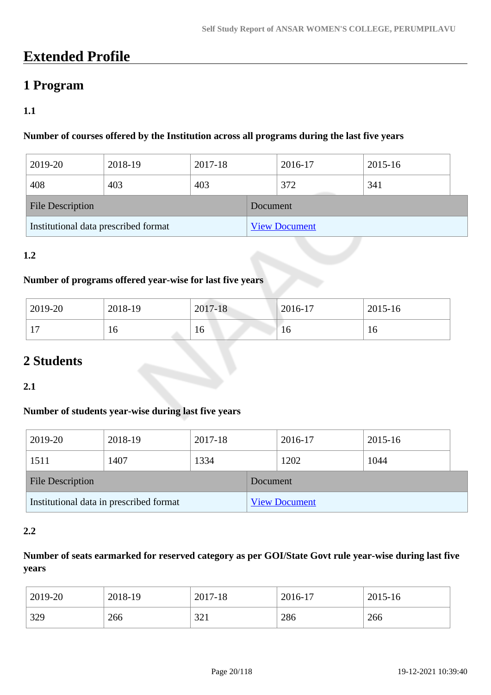# **Extended Profile**

# **1 Program**

# **1.1**

## **Number of courses offered by the Institution across all programs during the last five years**

| 2019-20                              | 2018-19 | 2017-18 |          | 2016-17              | 2015-16 |  |
|--------------------------------------|---------|---------|----------|----------------------|---------|--|
| 408                                  | 403     | 403     |          | 372                  | 341     |  |
| <b>File Description</b>              |         |         | Document |                      |         |  |
| Institutional data prescribed format |         |         |          | <b>View Document</b> |         |  |

# **1.2**

## **Number of programs offered year-wise for last five years**

| 2019-20                      | 2018-19 | 2017-18 | $2016-17$ | 2015-16 |
|------------------------------|---------|---------|-----------|---------|
| 1 <sub>7</sub><br><b>L</b> ( | 16      | 16      | 10        | 10      |

# **2 Students**

## **2.1**

## **Number of students year-wise during last five years**

| 2019-20                                 | 2018-19 | 2017-18 |                      | 2016-17 | 2015-16 |  |
|-----------------------------------------|---------|---------|----------------------|---------|---------|--|
| 1511                                    | 1407    | 1334    |                      | 1202    | 1044    |  |
| <b>File Description</b>                 |         |         | Document             |         |         |  |
| Institutional data in prescribed format |         |         | <b>View Document</b> |         |         |  |

## **2.2**

# **Number of seats earmarked for reserved category as per GOI/State Govt rule year-wise during last five years**

| 2019-20 | 2018-19 | 2017-18 | 2016-17 | 2015-16 |
|---------|---------|---------|---------|---------|
| 329     | 266     | 321     | 286     | 266     |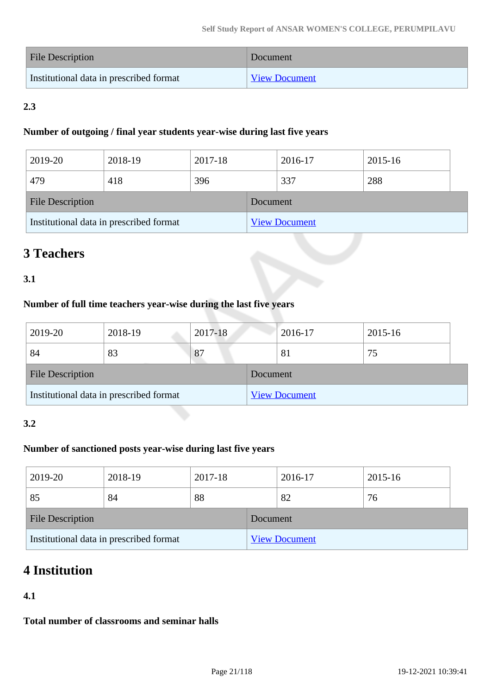| File Description                        | Document             |
|-----------------------------------------|----------------------|
| Institutional data in prescribed format | <b>View Document</b> |

# **2.3**

## **Number of outgoing / final year students year-wise during last five years**

| 2019-20                                 | 2018-19 | 2017-18  |                      | 2016-17 | 2015-16 |  |
|-----------------------------------------|---------|----------|----------------------|---------|---------|--|
| 479                                     | 418     | 396      |                      | 337     | 288     |  |
| <b>File Description</b>                 |         | Document |                      |         |         |  |
| Institutional data in prescribed format |         |          | <b>View Document</b> |         |         |  |

# **3 Teachers**

# **3.1**

# **Number of full time teachers year-wise during the last five years**

| 2019-20                                 | 2018-19 | 2017-18  |                      | 2016-17 | 2015-16 |
|-----------------------------------------|---------|----------|----------------------|---------|---------|
| 84                                      | 83      | 87       |                      | 81      | 75      |
| <b>File Description</b>                 |         | Document |                      |         |         |
| Institutional data in prescribed format |         |          | <b>View Document</b> |         |         |

## **3.2**

# **Number of sanctioned posts year-wise during last five years**

| 2019-20                                 | 2018-19 | 2017-18  |                      | 2016-17 | 2015-16 |  |
|-----------------------------------------|---------|----------|----------------------|---------|---------|--|
| 85                                      | 84      | 88       |                      | 82      | 76      |  |
| File Description                        |         | Document |                      |         |         |  |
| Institutional data in prescribed format |         |          | <b>View Document</b> |         |         |  |

# **4 Institution**

# **4.1**

**Total number of classrooms and seminar halls**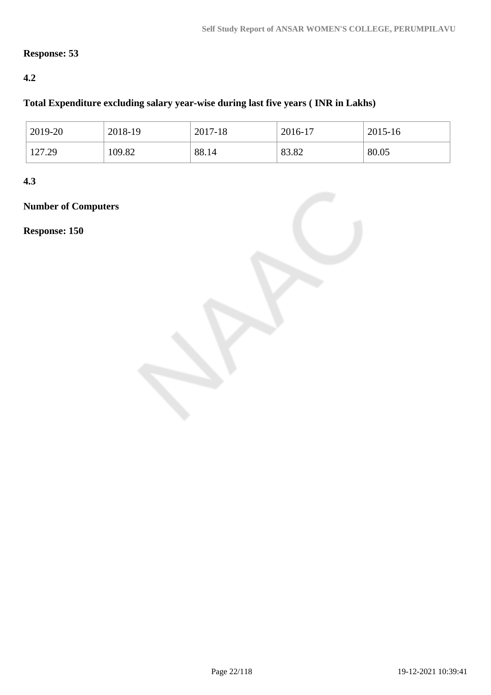# **Response: 53**

# **4.2**

# **Total Expenditure excluding salary year-wise during last five years ( INR in Lakhs)**

| 2019-20 | 2018-19 | 2017-18 | $2016 - 17$ | 2015-16 |
|---------|---------|---------|-------------|---------|
| 127.29  | 109.82  | 88.14   | 83.82       | 80.05   |

**4.3**

# **Number of Computers**

**Response: 150**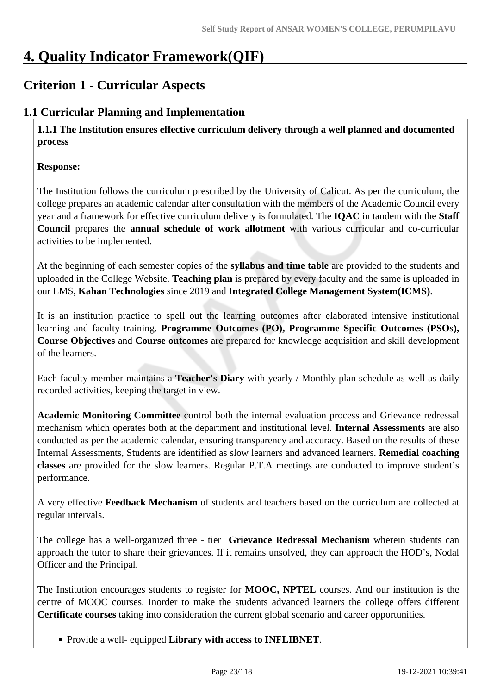# **4. Quality Indicator Framework(QIF)**

# **Criterion 1 - Curricular Aspects**

# **1.1 Curricular Planning and Implementation**

 **1.1.1 The Institution ensures effective curriculum delivery through a well planned and documented process**

## **Response:**

The Institution follows the curriculum prescribed by the University of Calicut. As per the curriculum, the college prepares an academic calendar after consultation with the members of the Academic Council every year and a framework for effective curriculum delivery is formulated. The **IQAC** in tandem with the **Staff Council** prepares the **annual schedule of work allotment** with various curricular and co-curricular activities to be implemented.

At the beginning of each semester copies of the **syllabus and time table** are provided to the students and uploaded in the College Website. **Teaching plan** is prepared by every faculty and the same is uploaded in our LMS, **Kahan Technologies** since 2019 and **Integrated College Management System(ICMS)**.

It is an institution practice to spell out the learning outcomes after elaborated intensive institutional learning and faculty training. **Programme Outcomes (PO), Programme Specific Outcomes (PSOs), Course Objectives** and **Course outcomes** are prepared for knowledge acquisition and skill development of the learners.

Each faculty member maintains a **Teacher's Diary** with yearly / Monthly plan schedule as well as daily recorded activities, keeping the target in view.

**Academic Monitoring Committee** control both the internal evaluation process and Grievance redressal mechanism which operates both at the department and institutional level. **Internal Assessments** are also conducted as per the academic calendar, ensuring transparency and accuracy. Based on the results of these Internal Assessments, Students are identified as slow learners and advanced learners. **Remedial coaching classes** are provided for the slow learners. Regular P.T.A meetings are conducted to improve student's performance.

A very effective **Feedback Mechanism** of students and teachers based on the curriculum are collected at regular intervals.

The college has a well-organized three - tier **Grievance Redressal Mechanism** wherein students can approach the tutor to share their grievances. If it remains unsolved, they can approach the HOD's, Nodal Officer and the Principal.

The Institution encourages students to register for **MOOC, NPTEL** courses. And our institution is the centre of MOOC courses. Inorder to make the students advanced learners the college offers different **Certificate courses** taking into consideration the current global scenario and career opportunities.

Provide a well- equipped **Library with access to INFLIBNET**.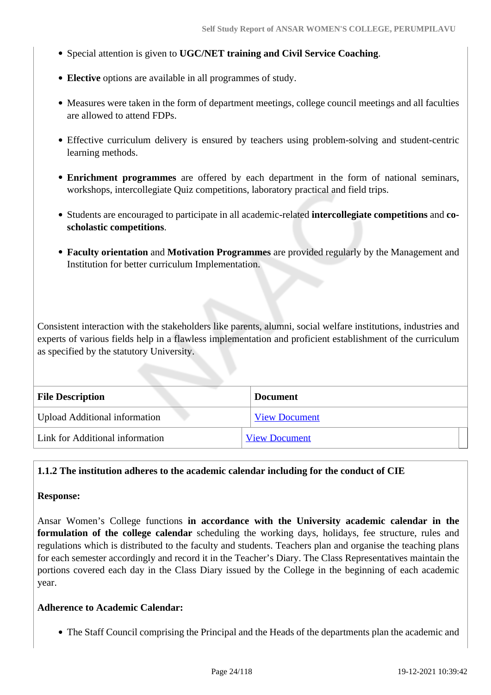- Special attention is given to **UGC/NET training and Civil Service Coaching**.
- **Elective** options are available in all programmes of study.
- Measures were taken in the form of department meetings, college council meetings and all faculties are allowed to attend FDPs.
- Effective curriculum delivery is ensured by teachers using problem-solving and student-centric learning methods.
- **Enrichment programmes** are offered by each department in the form of national seminars, workshops, intercollegiate Quiz competitions, laboratory practical and field trips.
- Students are encouraged to participate in all academic-related **intercollegiate competitions** and **coscholastic competitions**.
- **Faculty orientation** and **Motivation Programmes** are provided regularly by the Management and Institution for better curriculum Implementation.

Consistent interaction with the stakeholders like parents, alumni, social welfare institutions, industries and experts of various fields help in a flawless implementation and proficient establishment of the curriculum as specified by the statutory University.

| <b>File Description</b>              | <b>Document</b>      |
|--------------------------------------|----------------------|
| <b>Upload Additional information</b> | <b>View Document</b> |
| Link for Additional information      | <b>View Document</b> |

#### **1.1.2 The institution adheres to the academic calendar including for the conduct of CIE**

#### **Response:**

Ansar Women's College functions **in accordance with the University academic calendar in the formulation of the college calendar** scheduling the working days, holidays, fee structure, rules and regulations which is distributed to the faculty and students. Teachers plan and organise the teaching plans for each semester accordingly and record it in the Teacher's Diary. The Class Representatives maintain the portions covered each day in the Class Diary issued by the College in the beginning of each academic year.

#### **Adherence to Academic Calendar:**

The Staff Council comprising the Principal and the Heads of the departments plan the academic and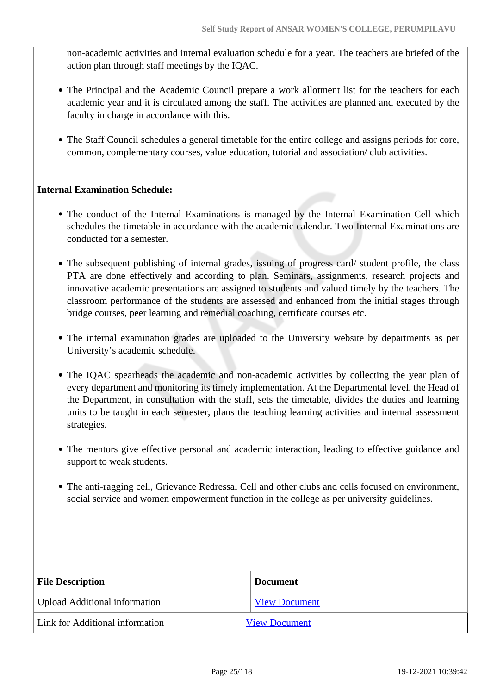non-academic activities and internal evaluation schedule for a year. The teachers are briefed of the action plan through staff meetings by the IQAC.

- The Principal and the Academic Council prepare a work allotment list for the teachers for each academic year and it is circulated among the staff. The activities are planned and executed by the faculty in charge in accordance with this.
- The Staff Council schedules a general timetable for the entire college and assigns periods for core, common, complementary courses, value education, tutorial and association/ club activities.

## **Internal Examination Schedule:**

- The conduct of the Internal Examinations is managed by the Internal Examination Cell which schedules the timetable in accordance with the academic calendar. Two Internal Examinations are conducted for a semester.
- The subsequent publishing of internal grades, issuing of progress card/ student profile, the class PTA are done effectively and according to plan. Seminars, assignments, research projects and innovative academic presentations are assigned to students and valued timely by the teachers. The classroom performance of the students are assessed and enhanced from the initial stages through bridge courses, peer learning and remedial coaching, certificate courses etc.
- The internal examination grades are uploaded to the University website by departments as per University's academic schedule.
- The IQAC spearheads the academic and non-academic activities by collecting the year plan of every department and monitoring its timely implementation. At the Departmental level, the Head of the Department, in consultation with the staff, sets the timetable, divides the duties and learning units to be taught in each semester, plans the teaching learning activities and internal assessment strategies.
- The mentors give effective personal and academic interaction, leading to effective guidance and support to weak students.
- The anti-ragging cell, Grievance Redressal Cell and other clubs and cells focused on environment, social service and women empowerment function in the college as per university guidelines.

| <b>File Description</b>              | <b>Document</b>      |
|--------------------------------------|----------------------|
| <b>Upload Additional information</b> | <b>View Document</b> |
| Link for Additional information      | <b>View Document</b> |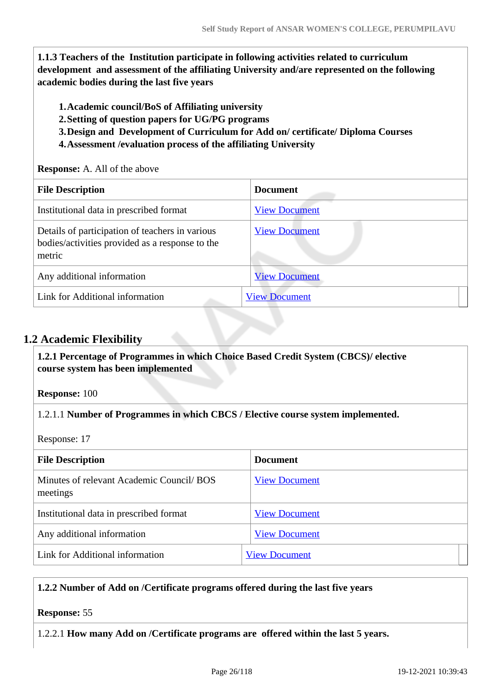**1.1.3 Teachers of the Institution participate in following activities related to curriculum development and assessment of the affiliating University and/are represented on the following academic bodies during the last five years** 

- **1.Academic council/BoS of Affiliating university**
- **2.Setting of question papers for UG/PG programs**
- **3.Design and Development of Curriculum for Add on/ certificate/ Diploma Courses**
- **4.Assessment /evaluation process of the affiliating University**

#### **Response:** A. All of the above

| <b>File Description</b>                                                                                      | <b>Document</b>      |
|--------------------------------------------------------------------------------------------------------------|----------------------|
| Institutional data in prescribed format                                                                      | <b>View Document</b> |
| Details of participation of teachers in various<br>bodies/activities provided as a response to the<br>metric | <b>View Document</b> |
| Any additional information                                                                                   | <b>View Document</b> |
| Link for Additional information                                                                              | <b>View Document</b> |

# **1.2 Academic Flexibility**

 **1.2.1 Percentage of Programmes in which Choice Based Credit System (CBCS)/ elective course system has been implemented** 

**Response:** 100

1.2.1.1 **Number of Programmes in which CBCS / Elective course system implemented.**

Response: 17

| <b>File Description</b>                               | <b>Document</b>      |
|-------------------------------------------------------|----------------------|
| Minutes of relevant Academic Council/ BOS<br>meetings | <b>View Document</b> |
| Institutional data in prescribed format               | <b>View Document</b> |
| Any additional information                            | <b>View Document</b> |
| Link for Additional information                       | <b>View Document</b> |

## **1.2.2 Number of Add on /Certificate programs offered during the last five years**

## **Response:** 55

1.2.2.1 **How many Add on /Certificate programs are offered within the last 5 years.**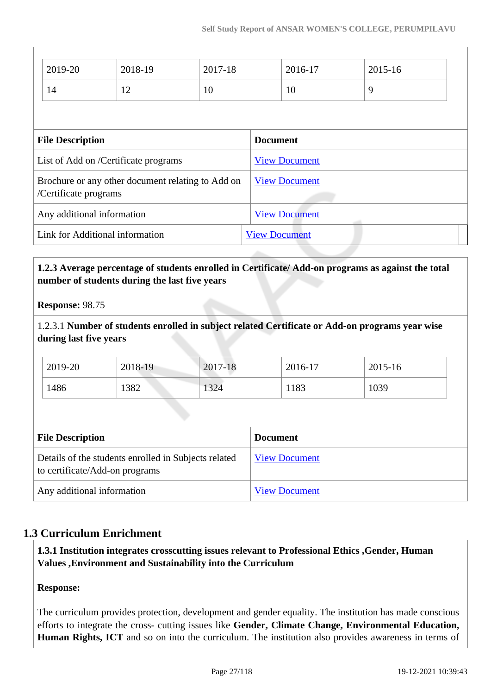|                                                                            | 2019-20                              | 2018-19 | 2017-18              |                      | 2016-17              |   | 2015-16 |  |
|----------------------------------------------------------------------------|--------------------------------------|---------|----------------------|----------------------|----------------------|---|---------|--|
|                                                                            | 14                                   | 12      | 10                   |                      | 10                   | 9 |         |  |
|                                                                            |                                      |         |                      |                      |                      |   |         |  |
|                                                                            | <b>File Description</b>              |         |                      | <b>Document</b>      |                      |   |         |  |
|                                                                            | List of Add on /Certificate programs |         |                      |                      | <b>View Document</b> |   |         |  |
| Brochure or any other document relating to Add on<br>/Certificate programs |                                      |         |                      | <b>View Document</b> |                      |   |         |  |
| Any additional information                                                 |                                      |         |                      | <b>View Document</b> |                      |   |         |  |
| Link for Additional information                                            |                                      |         | <b>View Document</b> |                      |                      |   |         |  |
|                                                                            |                                      |         |                      |                      |                      |   |         |  |

## **1.2.3 Average percentage of students enrolled in Certificate/ Add-on programs as against the total number of students during the last five years**

**Response:** 98.75

1.2.3.1 **Number of students enrolled in subject related Certificate or Add-on programs year wise during last five years**

| 2019-20 | 2018-19 | 2017-18 | 2016-17 | 2015-16 |
|---------|---------|---------|---------|---------|
| 1486    | 1382    | 1324    | 1183    | 1039    |

| <b>File Description</b>                                                                | <b>Document</b>      |
|----------------------------------------------------------------------------------------|----------------------|
| Details of the students enrolled in Subjects related<br>to certificate/Add-on programs | <b>View Document</b> |
| Any additional information                                                             | <b>View Document</b> |

# **1.3 Curriculum Enrichment**

 **1.3.1 Institution integrates crosscutting issues relevant to Professional Ethics ,Gender, Human Values ,Environment and Sustainability into the Curriculum**

## **Response:**

The curriculum provides protection, development and gender equality. The institution has made conscious efforts to integrate the cross- cutting issues like **Gender, Climate Change, Environmental Education, Human Rights, ICT** and so on into the curriculum. The institution also provides awareness in terms of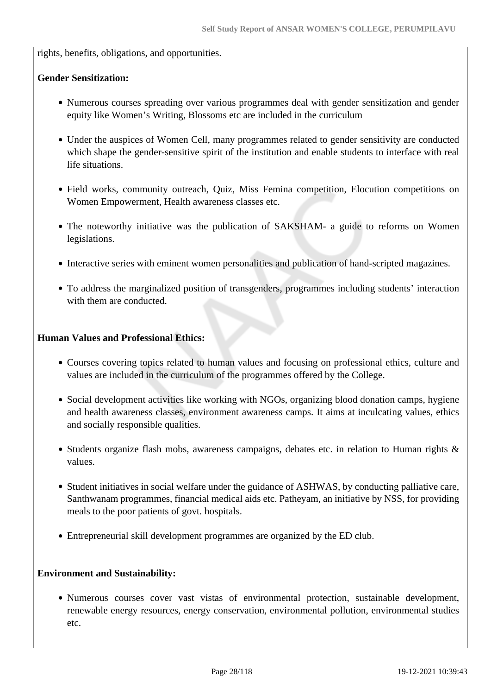rights, benefits, obligations, and opportunities.

#### **Gender Sensitization:**

- Numerous courses spreading over various programmes deal with gender sensitization and gender equity like Women's Writing, Blossoms etc are included in the curriculum
- Under the auspices of Women Cell, many programmes related to gender sensitivity are conducted which shape the gender-sensitive spirit of the institution and enable students to interface with real life situations.
- Field works, community outreach, Quiz, Miss Femina competition, Elocution competitions on Women Empowerment, Health awareness classes etc.
- The noteworthy initiative was the publication of SAKSHAM- a guide to reforms on Women legislations.
- Interactive series with eminent women personalities and publication of hand-scripted magazines.
- To address the marginalized position of transgenders, programmes including students' interaction with them are conducted.

#### **Human Values and Professional Ethics:**

- Courses covering topics related to human values and focusing on professional ethics, culture and values are included in the curriculum of the programmes offered by the College.
- Social development activities like working with NGOs, organizing blood donation camps, hygiene and health awareness classes, environment awareness camps. It aims at inculcating values, ethics and socially responsible qualities.
- Students organize flash mobs, awareness campaigns, debates etc. in relation to Human rights  $\&$ values.
- Student initiatives in social welfare under the guidance of ASHWAS, by conducting palliative care, Santhwanam programmes, financial medical aids etc. Patheyam, an initiative by NSS, for providing meals to the poor patients of govt. hospitals.
- Entrepreneurial skill development programmes are organized by the ED club.

#### **Environment and Sustainability:**

Numerous courses cover vast vistas of environmental protection, sustainable development, renewable energy resources, energy conservation, environmental pollution, environmental studies etc.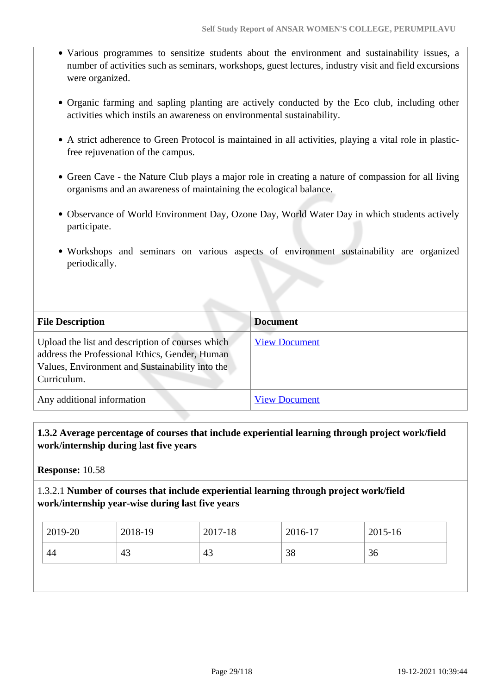- Various programmes to sensitize students about the environment and sustainability issues, a number of activities such as seminars, workshops, guest lectures, industry visit and field excursions were organized.
- Organic farming and sapling planting are actively conducted by the Eco club, including other activities which instils an awareness on environmental sustainability.
- A strict adherence to Green Protocol is maintained in all activities, playing a vital role in plasticfree rejuvenation of the campus.
- Green Cave the Nature Club plays a major role in creating a nature of compassion for all living organisms and an awareness of maintaining the ecological balance.
- Observance of World Environment Day, Ozone Day, World Water Day in which students actively participate.
- Workshops and seminars on various aspects of environment sustainability are organized periodically.

| <b>File Description</b>                                                                                                                                              | <b>Document</b>      |
|----------------------------------------------------------------------------------------------------------------------------------------------------------------------|----------------------|
| Upload the list and description of courses which<br>address the Professional Ethics, Gender, Human<br>Values, Environment and Sustainability into the<br>Curriculum. | <b>View Document</b> |
| Any additional information                                                                                                                                           | <b>View Document</b> |

# **1.3.2 Average percentage of courses that include experiential learning through project work/field work/internship during last five years**

**Response:** 10.58

## 1.3.2.1 **Number of courses that include experiential learning through project work/field work/internship year-wise during last five years**

| 2019-20 | 2018-19 | 2017-18 | 2016-17  | 2015-16 |
|---------|---------|---------|----------|---------|
| 44      | 43      | 43      | ЭC<br>98 | 36      |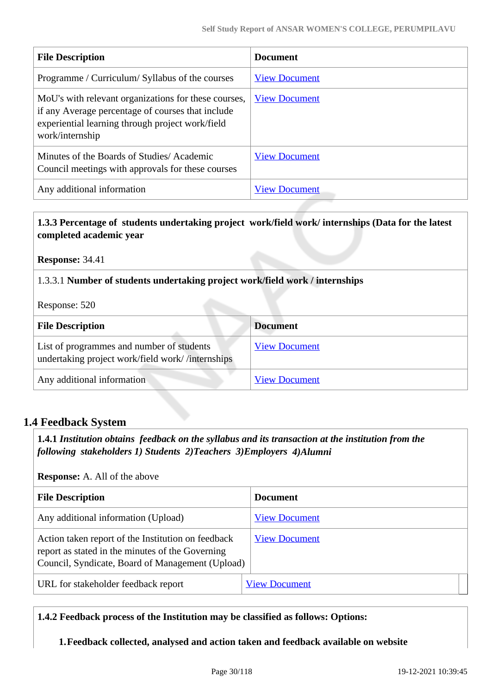| <b>File Description</b>                                                                                                                                                          | <b>Document</b>      |
|----------------------------------------------------------------------------------------------------------------------------------------------------------------------------------|----------------------|
| Programme / Curriculum/ Syllabus of the courses                                                                                                                                  | <b>View Document</b> |
| MoU's with relevant organizations for these courses,<br>if any Average percentage of courses that include<br>experiential learning through project work/field<br>work/internship | <b>View Document</b> |
| Minutes of the Boards of Studies/Academic<br>Council meetings with approvals for these courses                                                                                   | <b>View Document</b> |
| Any additional information                                                                                                                                                       | <b>View Document</b> |

## **1.3.3 Percentage of students undertaking project work/field work/ internships (Data for the latest completed academic year**

**Response:** 34.41

## 1.3.3.1 **Number of students undertaking project work/field work / internships**

Response: 520

| <b>File Description</b>                                                                       | <b>Document</b>      |
|-----------------------------------------------------------------------------------------------|----------------------|
| List of programmes and number of students<br>undertaking project work/field work//internships | <b>View Document</b> |
| Any additional information                                                                    | <b>View Document</b> |

# **1.4 Feedback System**

 **1.4.1** *Institution obtains feedback on the syllabus and its transaction at the institution from the following stakeholders 1) Students 2)Teachers 3)Employers 4)Alumni* 

#### **Response:** A. All of the above

| <b>File Description</b>                                                                                                                                    | <b>Document</b>      |
|------------------------------------------------------------------------------------------------------------------------------------------------------------|----------------------|
| Any additional information (Upload)                                                                                                                        | <b>View Document</b> |
| Action taken report of the Institution on feedback<br>report as stated in the minutes of the Governing<br>Council, Syndicate, Board of Management (Upload) | <b>View Document</b> |
| URL for stakeholder feedback report                                                                                                                        | <b>View Document</b> |

## **1.4.2 Feedback process of the Institution may be classified as follows: Options:**

**1.Feedback collected, analysed and action taken and feedback available on website**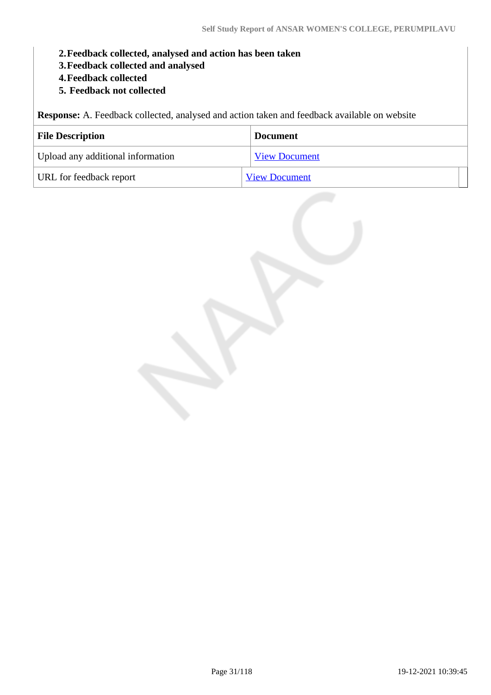- **2.Feedback collected, analysed and action has been taken**
- **3.Feedback collected and analysed**
- **4.Feedback collected**
- **5. Feedback not collected**

**Response:** A. Feedback collected, analysed and action taken and feedback available on website

| <b>File Description</b>           | <b>Document</b>      |
|-----------------------------------|----------------------|
| Upload any additional information | <b>View Document</b> |
| URL for feedback report           | <b>View Document</b> |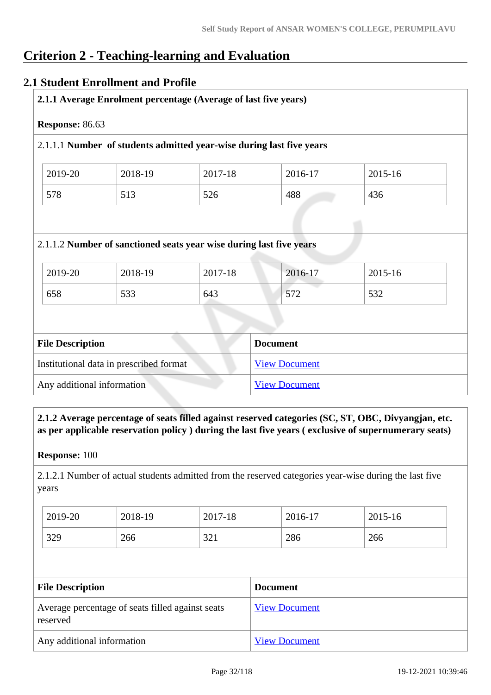# **Criterion 2 - Teaching-learning and Evaluation**

# **2.1 Student Enrollment and Profile**

| Response: 86.63                                                      |         |                                                                     |         |         |  |  |
|----------------------------------------------------------------------|---------|---------------------------------------------------------------------|---------|---------|--|--|
| 2.1.1.1 Number of students admitted year-wise during last five years |         |                                                                     |         |         |  |  |
| 2019-20                                                              | 2018-19 | 2017-18                                                             | 2016-17 | 2015-16 |  |  |
| 578                                                                  | 513     | 526                                                                 | 488     | 436     |  |  |
|                                                                      |         | 2.1.1.2 Number of sanctioned seats year wise during last five years |         |         |  |  |
| 2019-20                                                              | 2018-19 | 2017-18                                                             | 2016-17 | 2015-16 |  |  |
|                                                                      |         |                                                                     |         |         |  |  |

| Institutional data in prescribed format | <b>View Document</b> |
|-----------------------------------------|----------------------|
| Any additional information              | <b>View Document</b> |

 **2.1.2 Average percentage of seats filled against reserved categories (SC, ST, OBC, Divyangjan, etc. as per applicable reservation policy ) during the last five years ( exclusive of supernumerary seats)**

**Response:** 100

2.1.2.1 Number of actual students admitted from the reserved categories year-wise during the last five years

| 2019-20 | 2018-19 | 2017-18 | 2016-17 | 2015-16 |
|---------|---------|---------|---------|---------|
| 329     | 266     | 321     | 286     | 266     |

| <b>File Description</b>                                      | <b>Document</b>      |
|--------------------------------------------------------------|----------------------|
| Average percentage of seats filled against seats<br>reserved | <b>View Document</b> |
| Any additional information                                   | <b>View Document</b> |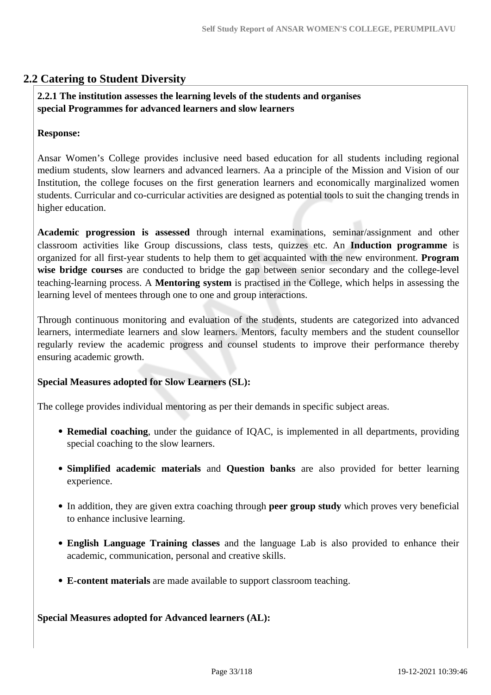# **2.2 Catering to Student Diversity**

## **2.2.1 The institution assesses the learning levels of the students and organises special Programmes for advanced learners and slow learners**

#### **Response:**

Ansar Women's College provides inclusive need based education for all students including regional medium students, slow learners and advanced learners. Aa a principle of the Mission and Vision of our Institution, the college focuses on the first generation learners and economically marginalized women students. Curricular and co-curricular activities are designed as potential tools to suit the changing trends in higher education.

**Academic progression is assessed** through internal examinations, seminar/assignment and other classroom activities like Group discussions, class tests, quizzes etc. An **Induction programme** is organized for all first-year students to help them to get acquainted with the new environment. **Program wise bridge courses** are conducted to bridge the gap between senior secondary and the college-level teaching-learning process. A **Mentoring system** is practised in the College, which helps in assessing the learning level of mentees through one to one and group interactions.

Through continuous monitoring and evaluation of the students, students are categorized into advanced learners, intermediate learners and slow learners. Mentors, faculty members and the student counsellor regularly review the academic progress and counsel students to improve their performance thereby ensuring academic growth.

#### **Special Measures adopted for Slow Learners (SL):**

The college provides individual mentoring as per their demands in specific subject areas.

- **Remedial coaching**, under the guidance of IQAC, is implemented in all departments, providing special coaching to the slow learners.
- **Simplified academic materials** and **Question banks** are also provided for better learning experience.
- In addition, they are given extra coaching through **peer group study** which proves very beneficial to enhance inclusive learning.
- **English Language Training classes** and the language Lab is also provided to enhance their academic, communication, personal and creative skills.
- **E-content materials** are made available to support classroom teaching.

#### **Special Measures adopted for Advanced learners (AL):**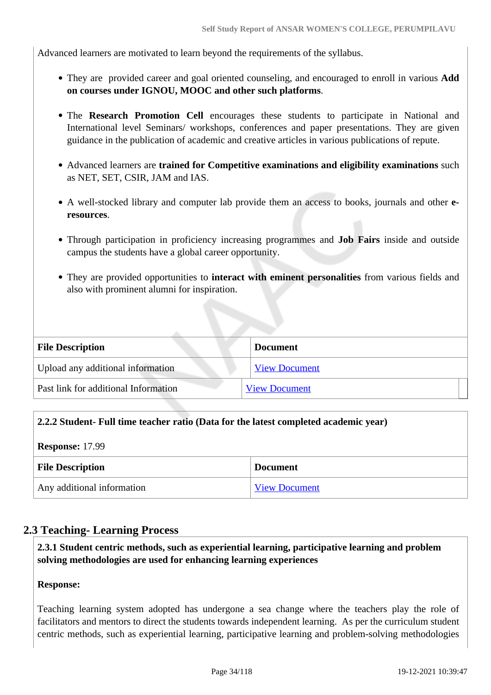Advanced learners are motivated to learn beyond the requirements of the syllabus.

- They are provided career and goal oriented counseling, and encouraged to enroll in various **Add on courses under IGNOU, MOOC and other such platforms**.
- The **Research Promotion Cell** encourages these students to participate in National and International level Seminars/ workshops, conferences and paper presentations. They are given guidance in the publication of academic and creative articles in various publications of repute.
- Advanced learners are **trained for Competitive examinations and eligibility examinations** such as NET, SET, CSIR, JAM and IAS.
- A well-stocked library and computer lab provide them an access to books, journals and other **eresources**.
- Through participation in proficiency increasing programmes and **Job Fairs** inside and outside campus the students have a global career opportunity.
- They are provided opportunities to **interact with eminent personalities** from various fields and also with prominent alumni for inspiration.

| <b>File Description</b>              | <b>Document</b>      |
|--------------------------------------|----------------------|
| Upload any additional information    | <b>View Document</b> |
| Past link for additional Information | <b>View Document</b> |

## **2.2.2 Student- Full time teacher ratio (Data for the latest completed academic year)**

**Response:** 17.99

| <b>File Description</b>    | <b>Document</b>      |
|----------------------------|----------------------|
| Any additional information | <b>View Document</b> |

## **2.3 Teaching- Learning Process**

 **2.3.1 Student centric methods, such as experiential learning, participative learning and problem solving methodologies are used for enhancing learning experiences**

#### **Response:**

Teaching learning system adopted has undergone a sea change where the teachers play the role of facilitators and mentors to direct the students towards independent learning. As per the curriculum student centric methods, such as experiential learning, participative learning and problem-solving methodologies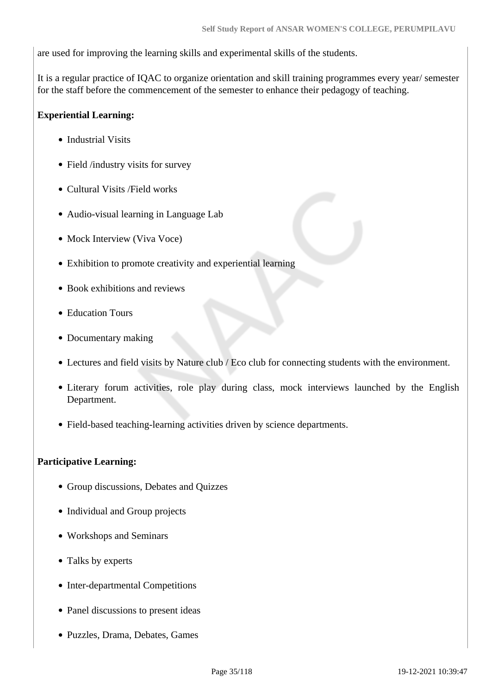are used for improving the learning skills and experimental skills of the students.

It is a regular practice of IQAC to organize orientation and skill training programmes every year/ semester for the staff before the commencement of the semester to enhance their pedagogy of teaching.

## **Experiential Learning:**

- Industrial Visits
- Field /industry visits for survey
- Cultural Visits / Field works
- Audio-visual learning in Language Lab
- Mock Interview (Viva Voce)
- Exhibition to promote creativity and experiential learning
- Book exhibitions and reviews
- Education Tours
- Documentary making
- Lectures and field visits by Nature club / Eco club for connecting students with the environment.
- Literary forum activities, role play during class, mock interviews launched by the English Department.
- Field-based teaching-learning activities driven by science departments.

## **Participative Learning:**

- Group discussions, Debates and Quizzes
- Individual and Group projects
- Workshops and Seminars
- Talks by experts
- Inter-departmental Competitions
- Panel discussions to present ideas
- Puzzles, Drama, Debates, Games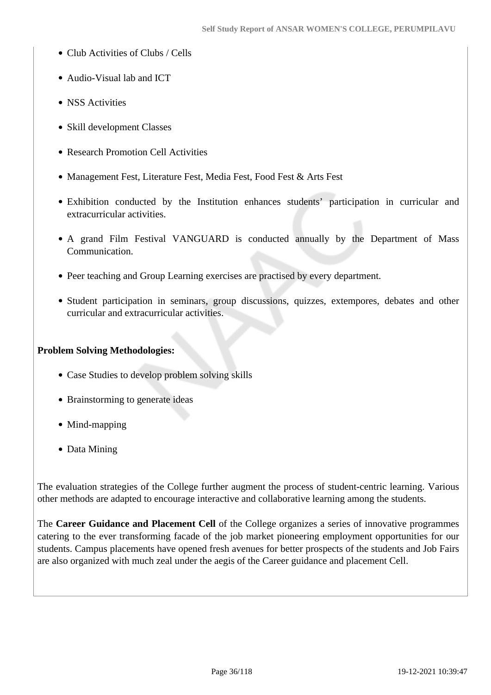- Club Activities of Clubs / Cells
- Audio-Visual lab and ICT
- NSS Activities
- Skill development Classes
- Research Promotion Cell Activities
- Management Fest, Literature Fest, Media Fest, Food Fest & Arts Fest
- Exhibition conducted by the Institution enhances students' participation in curricular and extracurricular activities.
- A grand Film Festival VANGUARD is conducted annually by the Department of Mass Communication.
- Peer teaching and Group Learning exercises are practised by every department.
- Student participation in seminars, group discussions, quizzes, extempores, debates and other curricular and extracurricular activities.

#### **Problem Solving Methodologies:**

- Case Studies to develop problem solving skills
- Brainstorming to generate ideas
- Mind-mapping
- Data Mining

The evaluation strategies of the College further augment the process of student-centric learning. Various other methods are adapted to encourage interactive and collaborative learning among the students.

The **Career Guidance and Placement Cell** of the College organizes a series of innovative programmes catering to the ever transforming facade of the job market pioneering employment opportunities for our students. Campus placements have opened fresh avenues for better prospects of the students and Job Fairs are also organized with much zeal under the aegis of the Career guidance and placement Cell.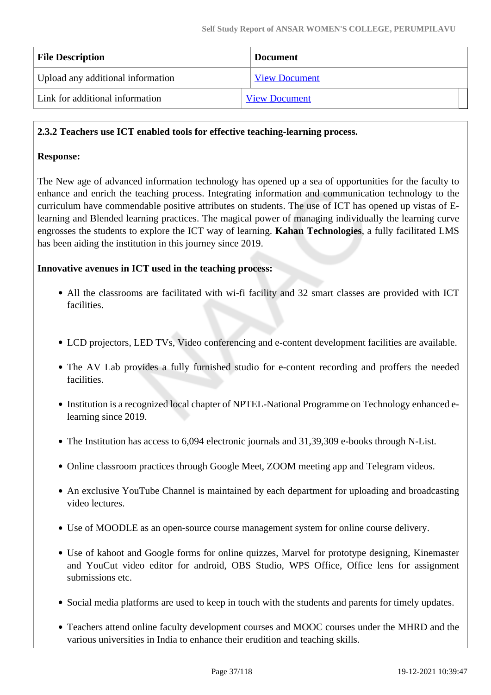| <b>File Description</b>           | <b>Document</b>      |  |
|-----------------------------------|----------------------|--|
| Upload any additional information | <b>View Document</b> |  |
| Link for additional information   | <b>View Document</b> |  |

#### **2.3.2 Teachers use ICT enabled tools for effective teaching-learning process.**

#### **Response:**

The New age of advanced information technology has opened up a sea of opportunities for the faculty to enhance and enrich the teaching process. Integrating information and communication technology to the curriculum have commendable positive attributes on students. The use of ICT has opened up vistas of Elearning and Blended learning practices. The magical power of managing individually the learning curve engrosses the students to explore the ICT way of learning. **Kahan Technologies**, a fully facilitated LMS has been aiding the institution in this journey since 2019.

#### **Innovative avenues in ICT used in the teaching process:**

- All the classrooms are facilitated with wi-fi facility and 32 smart classes are provided with ICT facilities.
- LCD projectors, LED TVs, Video conferencing and e-content development facilities are available.
- The AV Lab provides a fully furnished studio for e-content recording and proffers the needed facilities.
- Institution is a recognized local chapter of NPTEL-National Programme on Technology enhanced elearning since 2019.
- The Institution has access to 6,094 electronic journals and 31,39,309 e-books through N-List.
- Online classroom practices through Google Meet, ZOOM meeting app and Telegram videos.
- An exclusive YouTube Channel is maintained by each department for uploading and broadcasting video lectures.
- Use of MOODLE as an open-source course management system for online course delivery.
- Use of kahoot and Google forms for online quizzes, Marvel for prototype designing, Kinemaster and YouCut video editor for android, OBS Studio, WPS Office, Office lens for assignment submissions etc.
- Social media platforms are used to keep in touch with the students and parents for timely updates.
- Teachers attend online faculty development courses and MOOC courses under the MHRD and the various universities in India to enhance their erudition and teaching skills.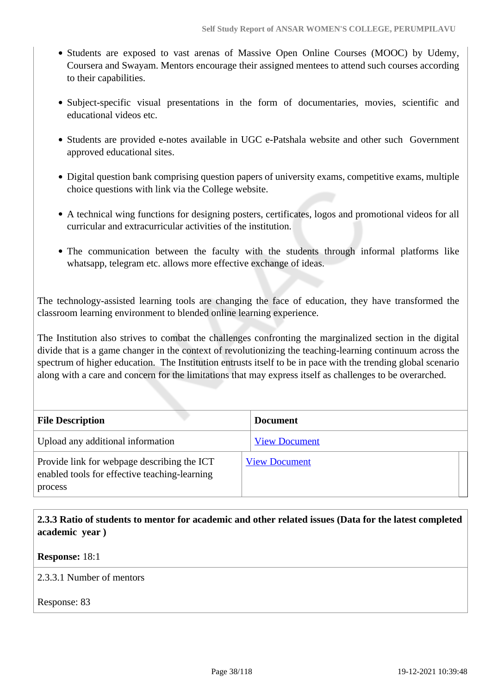- Students are exposed to vast arenas of Massive Open Online Courses (MOOC) by Udemy, Coursera and Swayam. Mentors encourage their assigned mentees to attend such courses according to their capabilities.
- Subject-specific visual presentations in the form of documentaries, movies, scientific and educational videos etc.
- Students are provided e-notes available in UGC e-Patshala website and other such Government approved educational sites.
- Digital question bank comprising question papers of university exams, competitive exams, multiple choice questions with link via the College website.
- A technical wing functions for designing posters, certificates, logos and promotional videos for all curricular and extracurricular activities of the institution.
- The communication between the faculty with the students through informal platforms like whatsapp, telegram etc. allows more effective exchange of ideas.

The technology-assisted learning tools are changing the face of education, they have transformed the classroom learning environment to blended online learning experience.

The Institution also strives to combat the challenges confronting the marginalized section in the digital divide that is a game changer in the context of revolutionizing the teaching-learning continuum across the spectrum of higher education. The Institution entrusts itself to be in pace with the trending global scenario along with a care and concern for the limitations that may express itself as challenges to be overarched.

| <b>File Description</b>                                                                                 | <b>Document</b>      |
|---------------------------------------------------------------------------------------------------------|----------------------|
| Upload any additional information                                                                       | <b>View Document</b> |
| Provide link for webpage describing the ICT<br>enabled tools for effective teaching-learning<br>process | <b>View Document</b> |

 **2.3.3 Ratio of students to mentor for academic and other related issues (Data for the latest completed academic year )**

#### **Response:** 18:1

2.3.3.1 Number of mentors

Response: 83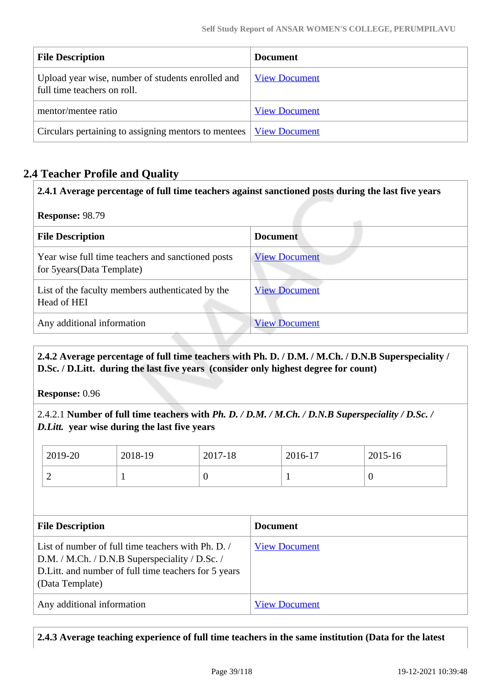| <b>File Description</b>                                                          | <b>Document</b>      |
|----------------------------------------------------------------------------------|----------------------|
| Upload year wise, number of students enrolled and<br>full time teachers on roll. | <b>View Document</b> |
| mentor/mentee ratio                                                              | <b>View Document</b> |
| Circulars pertaining to assigning mentors to mentees                             | <b>View Document</b> |

## **2.4 Teacher Profile and Quality**

**Response:** 98.79

| <b>File Description</b>                                                          | <b>Document</b>      |  |
|----------------------------------------------------------------------------------|----------------------|--|
| Year wise full time teachers and sanctioned posts<br>for 5 years (Data Template) | <b>View Document</b> |  |
| List of the faculty members authenticated by the<br>Head of HEI                  | <b>View Document</b> |  |
| Any additional information                                                       | <b>View Document</b> |  |

 **2.4.2 Average percentage of full time teachers with Ph. D. / D.M. / M.Ch. / D.N.B Superspeciality / D.Sc. / D.Litt. during the last five years (consider only highest degree for count)**

**Response:** 0.96

2.4.2.1 **Number of full time teachers with** *Ph. D. / D.M. / M.Ch. / D.N.B Superspeciality / D.Sc. / D.Litt.* **year wise during the last five years**

| 2019-20 | 2018-19 | 2017-18 | 2016-17 | 2015-16 |
|---------|---------|---------|---------|---------|
| ∽       |         |         |         |         |

| <b>File Description</b>                                                                                                                                                        | <b>Document</b>      |  |  |
|--------------------------------------------------------------------------------------------------------------------------------------------------------------------------------|----------------------|--|--|
| List of number of full time teachers with Ph. D.<br>D.M. / M.Ch. / D.N.B Superspeciality / D.Sc. /<br>D. Litt. and number of full time teachers for 5 years<br>(Data Template) | <b>View Document</b> |  |  |
| Any additional information                                                                                                                                                     | <b>View Document</b> |  |  |

**2.4.3 Average teaching experience of full time teachers in the same institution (Data for the latest**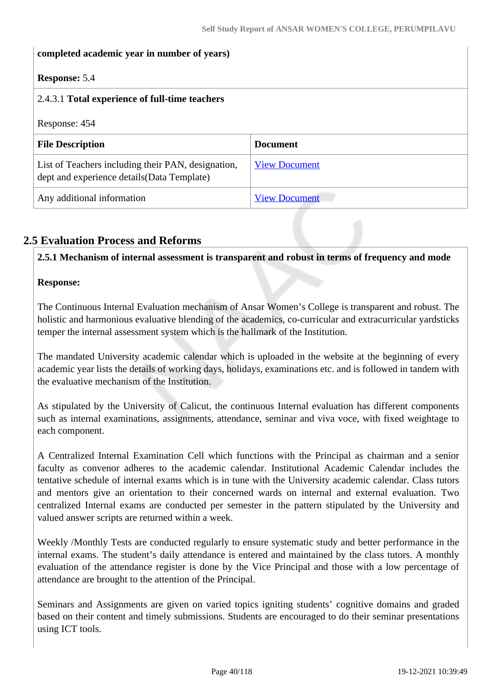# **completed academic year in number of years) Response:** 5.4 2.4.3.1 **Total experience of full-time teachers** Response: 454 **File Description Document** List of Teachers including their PAN, designation, dept and experience details(Data Template) [View Document](https://assessmentonline.naac.gov.in/storage/app/hei/SSR/104353/2.4.3_1621164096_3559.xlsx) Any additional information [View Document](https://assessmentonline.naac.gov.in/storage/app/hei/SSR/104353/2.4.3_1621538809_3559.pdf)

## **2.5 Evaluation Process and Reforms**

**2.5.1 Mechanism of internal assessment is transparent and robust in terms of frequency and mode**

## **Response:**

The Continuous Internal Evaluation mechanism of Ansar Women's College is transparent and robust. The holistic and harmonious evaluative blending of the academics, co-curricular and extracurricular yardsticks temper the internal assessment system which is the hallmark of the Institution.

The mandated University academic calendar which is uploaded in the website at the beginning of every academic year lists the details of working days, holidays, examinations etc. and is followed in tandem with the evaluative mechanism of the Institution.

As stipulated by the University of Calicut, the continuous Internal evaluation has different components such as internal examinations, assignments, attendance, seminar and viva voce, with fixed weightage to each component.

A Centralized Internal Examination Cell which functions with the Principal as chairman and a senior faculty as convenor adheres to the academic calendar. Institutional Academic Calendar includes the tentative schedule of internal exams which is in tune with the University academic calendar. Class tutors and mentors give an orientation to their concerned wards on internal and external evaluation. Two centralized Internal exams are conducted per semester in the pattern stipulated by the University and valued answer scripts are returned within a week.

Weekly /Monthly Tests are conducted regularly to ensure systematic study and better performance in the internal exams. The student's daily attendance is entered and maintained by the class tutors. A monthly evaluation of the attendance register is done by the Vice Principal and those with a low percentage of attendance are brought to the attention of the Principal.

Seminars and Assignments are given on varied topics igniting students' cognitive domains and graded based on their content and timely submissions. Students are encouraged to do their seminar presentations using ICT tools.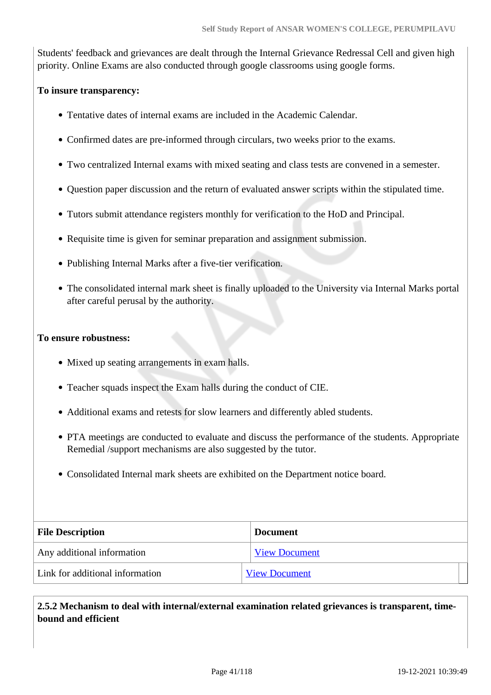Students' feedback and grievances are dealt through the Internal Grievance Redressal Cell and given high priority. Online Exams are also conducted through google classrooms using google forms.

#### **To insure transparency:**

- Tentative dates of internal exams are included in the Academic Calendar.
- Confirmed dates are pre-informed through circulars, two weeks prior to the exams.
- Two centralized Internal exams with mixed seating and class tests are convened in a semester.
- Question paper discussion and the return of evaluated answer scripts within the stipulated time.
- Tutors submit attendance registers monthly for verification to the HoD and Principal.
- Requisite time is given for seminar preparation and assignment submission.
- Publishing Internal Marks after a five-tier verification.
- The consolidated internal mark sheet is finally uploaded to the University via Internal Marks portal after careful perusal by the authority.

#### **To ensure robustness:**

- Mixed up seating arrangements in exam halls.
- Teacher squads inspect the Exam halls during the conduct of CIE.
- Additional exams and retests for slow learners and differently abled students.
- PTA meetings are conducted to evaluate and discuss the performance of the students. Appropriate Remedial /support mechanisms are also suggested by the tutor.
- Consolidated Internal mark sheets are exhibited on the Department notice board.

| <b>File Description</b>         | <b>Document</b>      |  |
|---------------------------------|----------------------|--|
| Any additional information      | <b>View Document</b> |  |
| Link for additional information | <b>View Document</b> |  |

 **2.5.2 Mechanism to deal with internal/external examination related grievances is transparent, timebound and efficient**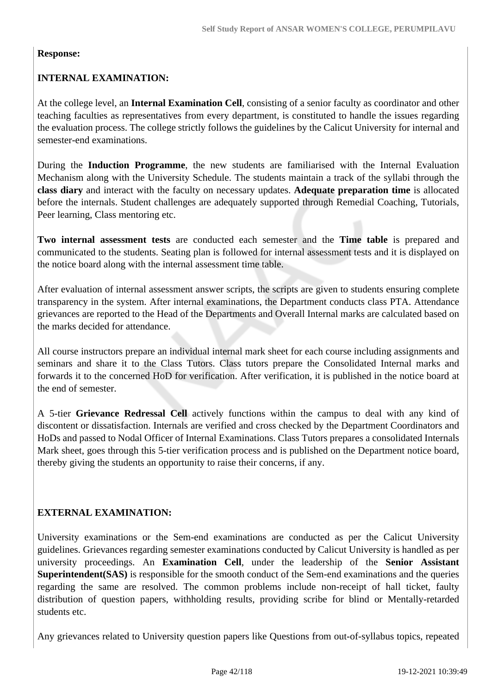## **Response:**

## **INTERNAL EXAMINATION:**

At the college level, an **Internal Examination Cell**, consisting of a senior faculty as coordinator and other teaching faculties as representatives from every department, is constituted to handle the issues regarding the evaluation process. The college strictly follows the guidelines by the Calicut University for internal and semester-end examinations.

During the **Induction Programme**, the new students are familiarised with the Internal Evaluation Mechanism along with the University Schedule. The students maintain a track of the syllabi through the **class diary** and interact with the faculty on necessary updates. **Adequate preparation time** is allocated before the internals. Student challenges are adequately supported through Remedial Coaching, Tutorials, Peer learning, Class mentoring etc.

**Two internal assessment tests** are conducted each semester and the **Time table** is prepared and communicated to the students. Seating plan is followed for internal assessment tests and it is displayed on the notice board along with the internal assessment time table.

After evaluation of internal assessment answer scripts, the scripts are given to students ensuring complete transparency in the system. After internal examinations, the Department conducts class PTA. Attendance grievances are reported to the Head of the Departments and Overall Internal marks are calculated based on the marks decided for attendance.

All course instructors prepare an individual internal mark sheet for each course including assignments and seminars and share it to the Class Tutors. Class tutors prepare the Consolidated Internal marks and forwards it to the concerned HoD for verification. After verification, it is published in the notice board at the end of semester.

A 5-tier **Grievance Redressal Cell** actively functions within the campus to deal with any kind of discontent or dissatisfaction. Internals are verified and cross checked by the Department Coordinators and HoDs and passed to Nodal Officer of Internal Examinations. Class Tutors prepares a consolidated Internals Mark sheet, goes through this 5-tier verification process and is published on the Department notice board, thereby giving the students an opportunity to raise their concerns, if any.

## **EXTERNAL EXAMINATION:**

University examinations or the Sem-end examinations are conducted as per the Calicut University guidelines. Grievances regarding semester examinations conducted by Calicut University is handled as per university proceedings. An **Examination Cell**, under the leadership of the **Senior Assistant Superintendent(SAS)** is responsible for the smooth conduct of the Sem-end examinations and the queries regarding the same are resolved. The common problems include non-receipt of hall ticket, faulty distribution of question papers, withholding results, providing scribe for blind or Mentally-retarded students etc.

Any grievances related to University question papers like Questions from out-of-syllabus topics, repeated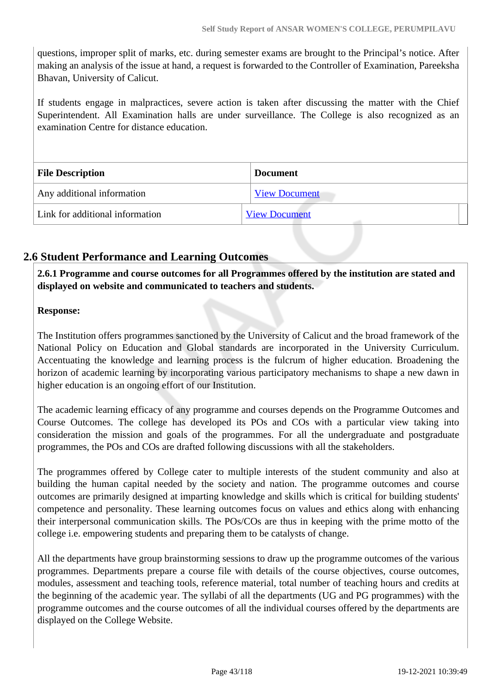questions, improper split of marks, etc. during semester exams are brought to the Principal's notice. After making an analysis of the issue at hand, a request is forwarded to the Controller of Examination, Pareeksha Bhavan, University of Calicut.

If students engage in malpractices, severe action is taken after discussing the matter with the Chief Superintendent. All Examination halls are under surveillance. The College is also recognized as an examination Centre for distance education.

| <b>File Description</b>         | <b>Document</b>      |  |
|---------------------------------|----------------------|--|
| Any additional information      | <b>View Document</b> |  |
| Link for additional information | <b>View Document</b> |  |

## **2.6 Student Performance and Learning Outcomes**

 **2.6.1 Programme and course outcomes for all Programmes offered by the institution are stated and displayed on website and communicated to teachers and students.**

## **Response:**

The Institution offers programmes sanctioned by the University of Calicut and the broad framework of the National Policy on Education and Global standards are incorporated in the University Curriculum. Accentuating the knowledge and learning process is the fulcrum of higher education. Broadening the horizon of academic learning by incorporating various participatory mechanisms to shape a new dawn in higher education is an ongoing effort of our Institution.

The academic learning efficacy of any programme and courses depends on the Programme Outcomes and Course Outcomes. The college has developed its POs and COs with a particular view taking into consideration the mission and goals of the programmes. For all the undergraduate and postgraduate programmes, the POs and COs are drafted following discussions with all the stakeholders.

The programmes offered by College cater to multiple interests of the student community and also at building the human capital needed by the society and nation. The programme outcomes and course outcomes are primarily designed at imparting knowledge and skills which is critical for building students' competence and personality. These learning outcomes focus on values and ethics along with enhancing their interpersonal communication skills. The POs/COs are thus in keeping with the prime motto of the college i.e. empowering students and preparing them to be catalysts of change.

All the departments have group brainstorming sessions to draw up the programme outcomes of the various programmes. Departments prepare a course file with details of the course objectives, course outcomes, modules, assessment and teaching tools, reference material, total number of teaching hours and credits at the beginning of the academic year. The syllabi of all the departments (UG and PG programmes) with the programme outcomes and the course outcomes of all the individual courses offered by the departments are displayed on the College Website.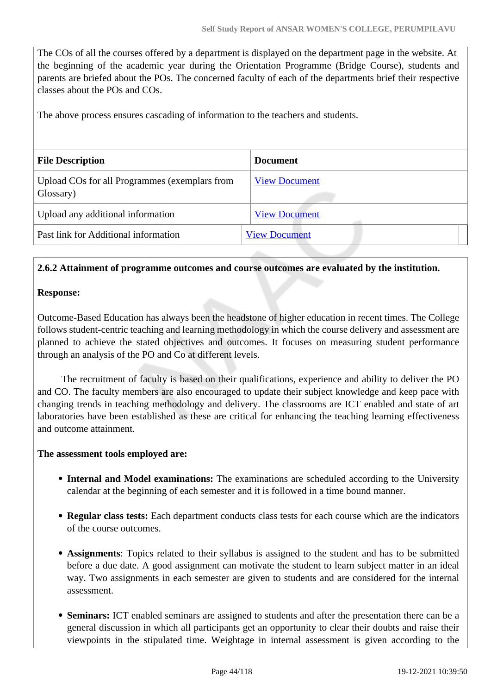The COs of all the courses offered by a department is displayed on the department page in the website. At the beginning of the academic year during the Orientation Programme (Bridge Course), students and parents are briefed about the POs. The concerned faculty of each of the departments brief their respective classes about the POs and COs.

The above process ensures cascading of information to the teachers and students.

| <b>File Description</b>                                    | <b>Document</b>      |  |  |
|------------------------------------------------------------|----------------------|--|--|
| Upload COs for all Programmes (exemplars from<br>Glossary) | <b>View Document</b> |  |  |
| Upload any additional information                          | <b>View Document</b> |  |  |
| Past link for Additional information                       | <b>View Document</b> |  |  |
|                                                            |                      |  |  |

#### **2.6.2 Attainment of programme outcomes and course outcomes are evaluated by the institution.**

#### **Response:**

Outcome-Based Education has always been the headstone of higher education in recent times. The College follows student-centric teaching and learning methodology in which the course delivery and assessment are planned to achieve the stated objectives and outcomes. It focuses on measuring student performance through an analysis of the PO and Co at different levels.

 The recruitment of faculty is based on their qualifications, experience and ability to deliver the PO and CO. The faculty members are also encouraged to update their subject knowledge and keep pace with changing trends in teaching methodology and delivery. The classrooms are ICT enabled and state of art laboratories have been established as these are critical for enhancing the teaching learning effectiveness and outcome attainment.

#### **The assessment tools employed are:**

- **Internal and Model examinations:** The examinations are scheduled according to the University calendar at the beginning of each semester and it is followed in a time bound manner.
- **Regular class tests:** Each department conducts class tests for each course which are the indicators of the course outcomes.
- **Assignments**: Topics related to their syllabus is assigned to the student and has to be submitted before a due date. A good assignment can motivate the student to learn subject matter in an ideal way. Two assignments in each semester are given to students and are considered for the internal assessment.
- **Seminars:** ICT enabled seminars are assigned to students and after the presentation there can be a general discussion in which all participants get an opportunity to clear their doubts and raise their viewpoints in the stipulated time. Weightage in internal assessment is given according to the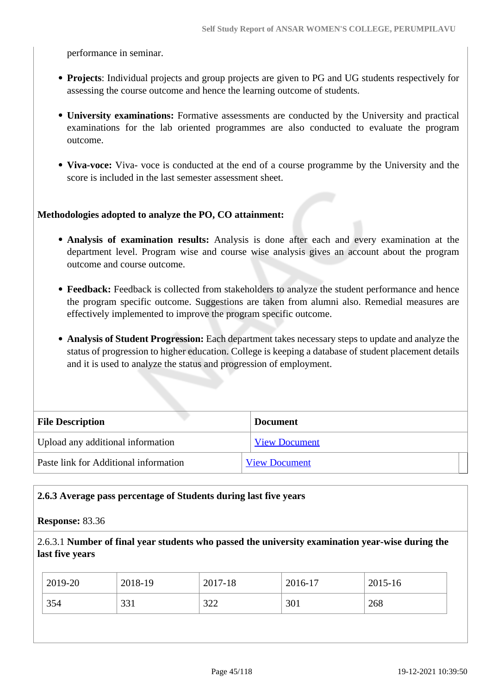performance in seminar.

- **Projects**: Individual projects and group projects are given to PG and UG students respectively for assessing the course outcome and hence the learning outcome of students.
- **University examinations:** Formative assessments are conducted by the University and practical examinations for the lab oriented programmes are also conducted to evaluate the program outcome.
- **Viva-voce:** Viva- voce is conducted at the end of a course programme by the University and the score is included in the last semester assessment sheet.

#### **Methodologies adopted to analyze the PO, CO attainment:**

- **Analysis of examination results:** Analysis is done after each and every examination at the department level. Program wise and course wise analysis gives an account about the program outcome and course outcome.
- **Feedback:** Feedback is collected from stakeholders to analyze the student performance and hence the program specific outcome. Suggestions are taken from alumni also. Remedial measures are effectively implemented to improve the program specific outcome.
- **Analysis of Student Progression:** Each department takes necessary steps to update and analyze the status of progression to higher education. College is keeping a database of student placement details and it is used to analyze the status and progression of employment.

| <b>File Description</b>               | <b>Document</b>      |
|---------------------------------------|----------------------|
| Upload any additional information     | <b>View Document</b> |
| Paste link for Additional information | <b>View Document</b> |

#### **2.6.3 Average pass percentage of Students during last five years**

#### **Response:** 83.36

2.6.3.1 **Number of final year students who passed the university examination year-wise during the last five years**

| 2019-20 | 2018-19 | 2017-18       | 2016-17 | 2015-16 |
|---------|---------|---------------|---------|---------|
| 354     | 331     | 200<br>ے بے ز | 301     | 268     |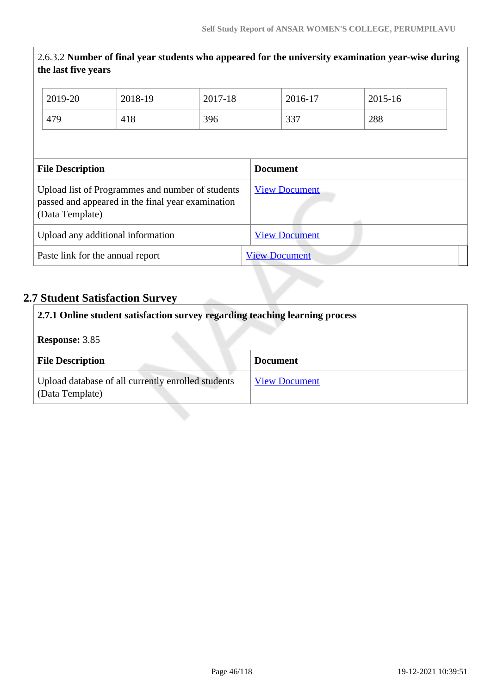|                                                                                                                          | 2.6.3.2 Number of final year students who appeared for the university examination year-wise during<br>the last five years |         |                 |  |                      |         |  |
|--------------------------------------------------------------------------------------------------------------------------|---------------------------------------------------------------------------------------------------------------------------|---------|-----------------|--|----------------------|---------|--|
|                                                                                                                          | 2019-20                                                                                                                   | 2018-19 | 2017-18         |  | 2016-17              | 2015-16 |  |
|                                                                                                                          | 479                                                                                                                       | 418     | 396             |  | 337                  | 288     |  |
|                                                                                                                          |                                                                                                                           |         |                 |  |                      |         |  |
| <b>File Description</b>                                                                                                  |                                                                                                                           |         | <b>Document</b> |  |                      |         |  |
| Upload list of Programmes and number of students<br>passed and appeared in the final year examination<br>(Data Template) |                                                                                                                           |         |                 |  |                      |         |  |
|                                                                                                                          |                                                                                                                           |         |                 |  | <b>View Document</b> |         |  |
|                                                                                                                          | Upload any additional information                                                                                         |         |                 |  | <b>View Document</b> |         |  |

## **2.7 Student Satisfaction Survey**

| 2.7.1 Online student satisfaction survey regarding teaching learning process |                      |  |
|------------------------------------------------------------------------------|----------------------|--|
| <b>Response: 3.85</b>                                                        |                      |  |
| <b>File Description</b>                                                      | <b>Document</b>      |  |
| Upload database of all currently enrolled students<br>(Data Template)        | <b>View Document</b> |  |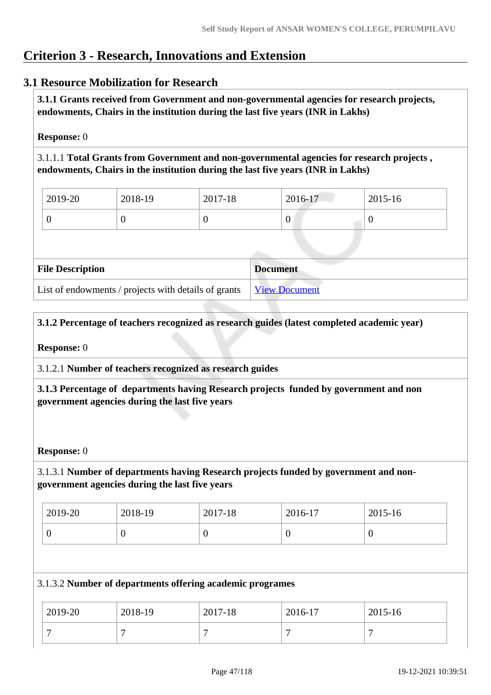## **Criterion 3 - Research, Innovations and Extension**

## **3.1 Resource Mobilization for Research**

 **3.1.1 Grants received from Government and non-governmental agencies for research projects, endowments, Chairs in the institution during the last five years (INR in Lakhs)** 

#### **Response:** 0

3.1.1.1 **Total Grants from Government and non-governmental agencies for research projects , endowments, Chairs in the institution during the last five years (INR in Lakhs)**

| 2019-20 | 2018-19 | 2017-18 | 2016-17 | $2015 - 16$ |
|---------|---------|---------|---------|-------------|
|         |         |         | ν       |             |

| <b>File Description</b>                              | <b>Document</b>      |
|------------------------------------------------------|----------------------|
| List of endowments / projects with details of grants | <b>View Document</b> |

## **3.1.2 Percentage of teachers recognized as research guides (latest completed academic year)**

#### **Response:** 0

3.1.2.1 **Number of teachers recognized as research guides**

 **3.1.3 Percentage of departments having Research projects funded by government and non government agencies during the last five years**

#### **Response:** 0

## 3.1.3.1 **Number of departments having Research projects funded by government and nongovernment agencies during the last five years**

| 2019-20 | 2018-19 | 2017-18 | 2016-17 | $12015 - 16$ |
|---------|---------|---------|---------|--------------|
|         |         | ν       | v       | v            |

#### 3.1.3.2 **Number of departments offering academic programes**

| 2019-20 | 2018-19 | 2017-18 | 2016-17 | 2015-16 |
|---------|---------|---------|---------|---------|
|         |         |         |         |         |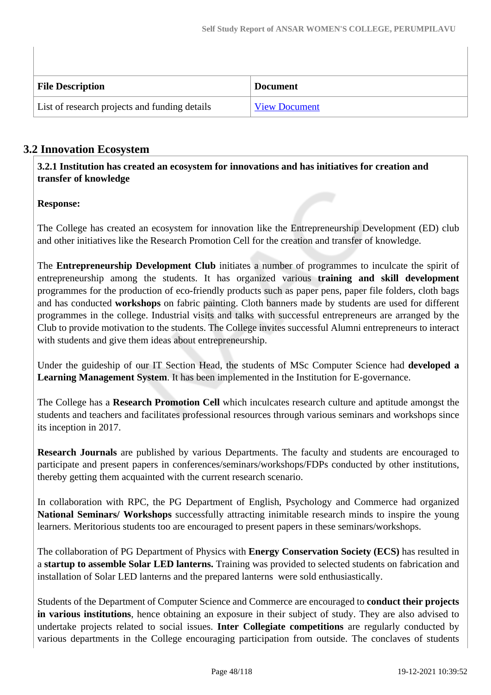| <b>File Description</b>                       | <b>Document</b>      |
|-----------------------------------------------|----------------------|
| List of research projects and funding details | <b>View Document</b> |

## **3.2 Innovation Ecosystem**

 **3.2.1 Institution has created an ecosystem for innovations and has initiatives for creation and transfer of knowledge**

## **Response:**

The College has created an ecosystem for innovation like the Entrepreneurship Development (ED) club and other initiatives like the Research Promotion Cell for the creation and transfer of knowledge.

The **Entrepreneurship Development Club** initiates a number of programmes to inculcate the spirit of entrepreneurship among the students. It has organized various **training and skill development** programmes for the production of eco-friendly products such as paper pens, paper file folders, cloth bags and has conducted **workshops** on fabric painting. Cloth banners made by students are used for different programmes in the college. Industrial visits and talks with successful entrepreneurs are arranged by the Club to provide motivation to the students. The College invites successful Alumni entrepreneurs to interact with students and give them ideas about entrepreneurship.

Under the guideship of our IT Section Head, the students of MSc Computer Science had **developed a Learning Management System**. It has been implemented in the Institution for E-governance.

The College has a **Research Promotion Cell** which inculcates research culture and aptitude amongst the students and teachers and facilitates professional resources through various seminars and workshops since its inception in 2017.

**Research Journals** are published by various Departments. The faculty and students are encouraged to participate and present papers in conferences/seminars/workshops/FDPs conducted by other institutions, thereby getting them acquainted with the current research scenario.

In collaboration with RPC, the PG Department of English, Psychology and Commerce had organized **National Seminars/ Workshops** successfully attracting inimitable research minds to inspire the young learners. Meritorious students too are encouraged to present papers in these seminars/workshops.

The collaboration of PG Department of Physics with **Energy Conservation Society (ECS)** has resulted in a **startup to assemble Solar LED lanterns.** Training was provided to selected students on fabrication and installation of Solar LED lanterns and the prepared lanterns were sold enthusiastically.

Students of the Department of Computer Science and Commerce are encouraged to **conduct their projects in various institutions**, hence obtaining an exposure in their subject of study. They are also advised to undertake projects related to social issues. **Inter Collegiate competitions** are regularly conducted by various departments in the College encouraging participation from outside. The conclaves of students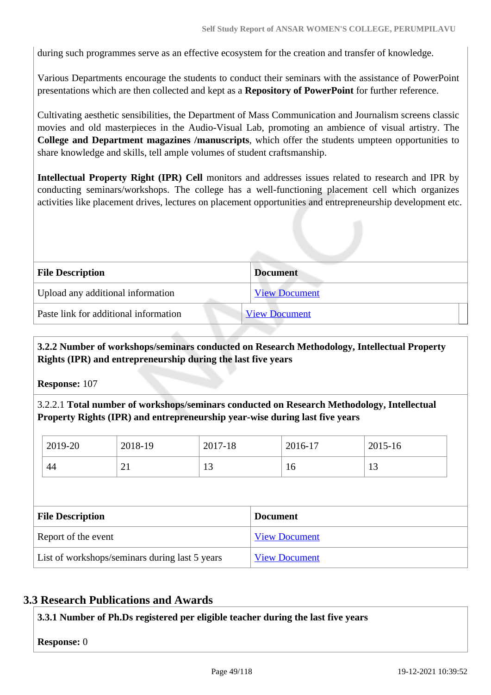during such programmes serve as an effective ecosystem for the creation and transfer of knowledge.

Various Departments encourage the students to conduct their seminars with the assistance of PowerPoint presentations which are then collected and kept as a **Repository of PowerPoint** for further reference.

Cultivating aesthetic sensibilities, the Department of Mass Communication and Journalism screens classic movies and old masterpieces in the Audio-Visual Lab, promoting an ambience of visual artistry. The **College and Department magazines /manuscripts**, which offer the students umpteen opportunities to share knowledge and skills, tell ample volumes of student craftsmanship.

**Intellectual Property Right (IPR) Cell** monitors and addresses issues related to research and IPR by conducting seminars/workshops. The college has a well-functioning placement cell which organizes activities like placement drives, lectures on placement opportunities and entrepreneurship development etc.

| <b>File Description</b>                                       | <b>Document</b>      |
|---------------------------------------------------------------|----------------------|
| Upload any additional information                             | <b>View Document</b> |
| Paste link for additional information<br><b>View Document</b> |                      |
|                                                               |                      |

## **3.2.2 Number of workshops/seminars conducted on Research Methodology, Intellectual Property Rights (IPR) and entrepreneurship during the last five years**

**Response:** 107

3.2.2.1 **Total number of workshops/seminars conducted on Research Methodology, Intellectual Property Rights (IPR) and entrepreneurship year-wise during last five years** 

| 2019-20                                        | 2018-19 | 2017-18 | 2016-17              | 2015-16 |
|------------------------------------------------|---------|---------|----------------------|---------|
| 44                                             | 21      | 13      | 16                   | 13      |
|                                                |         |         |                      |         |
| <b>File Description</b>                        |         |         | <b>Document</b>      |         |
| Report of the event                            |         |         | <b>View Document</b> |         |
| List of workshops/seminars during last 5 years |         |         |                      |         |

## **3.3 Research Publications and Awards**

**3.3.1 Number of Ph.Ds registered per eligible teacher during the last five years**

**Response:** 0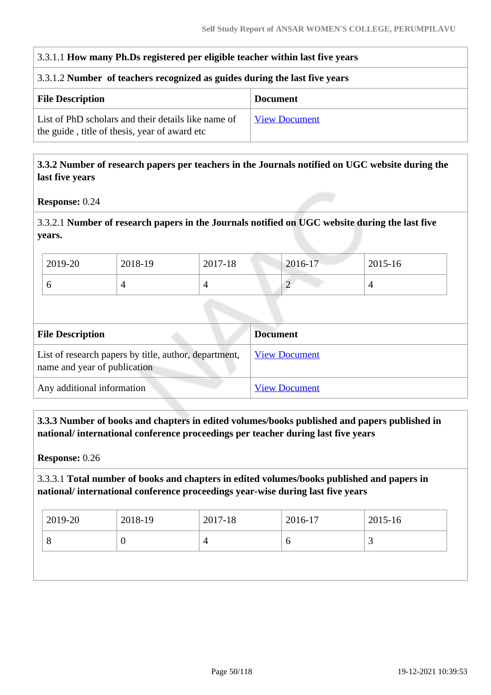## 3.3.1.1 **How many Ph.Ds registered per eligible teacher within last five years**

#### 3.3.1.2 **Number of teachers recognized as guides during the last five years**

| <b>File Description</b>                                                                              | <b>Document</b> |
|------------------------------------------------------------------------------------------------------|-----------------|
| List of PhD scholars and their details like name of<br>the guide, title of thesis, year of award etc | View Document   |

#### **3.3.2 Number of research papers per teachers in the Journals notified on UGC website during the last five years**

**Response:** 0.24

## 3.3.2.1 **Number of research papers in the Journals notified on UGC website during the last five years.**

| $12019 - 20$ | 2018-19 | 2017-18 | $2016 - 17$                           | 2015-16 |  |
|--------------|---------|---------|---------------------------------------|---------|--|
|              |         |         | $\bigcap$<br>$\overline{\phantom{0}}$ |         |  |

| <b>File Description</b>                                                               | <b>Document</b>      |
|---------------------------------------------------------------------------------------|----------------------|
| List of research papers by title, author, department,<br>name and year of publication | <b>View Document</b> |
| Any additional information                                                            | <b>View Document</b> |

## **3.3.3 Number of books and chapters in edited volumes/books published and papers published in national/ international conference proceedings per teacher during last five years**

**Response:** 0.26

## 3.3.3.1 **Total number of books and chapters in edited volumes/books published and papers in national/ international conference proceedings year-wise during last five years**

| 2019-20 | 2018-19 | 2017-18 | 2016-17 | 2015-16 |
|---------|---------|---------|---------|---------|
| O       | U       |         | О       |         |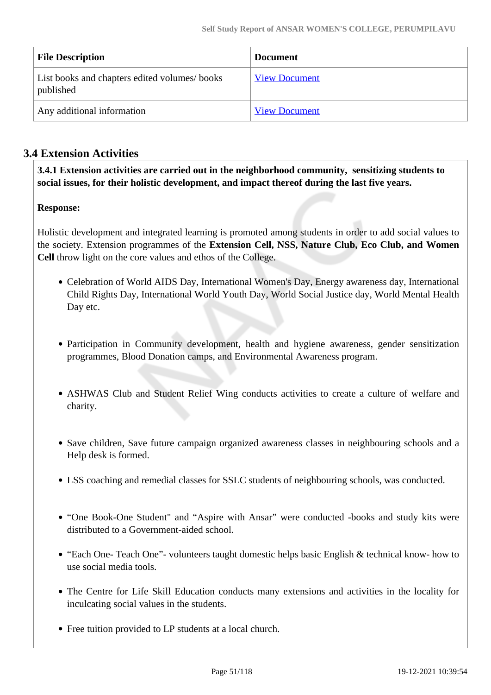| <b>File Description</b>                                   | <b>Document</b>      |
|-----------------------------------------------------------|----------------------|
| List books and chapters edited volumes/books<br>published | <b>View Document</b> |
| Any additional information                                | <b>View Document</b> |

## **3.4 Extension Activities**

 **3.4.1 Extension activities are carried out in the neighborhood community, sensitizing students to social issues, for their holistic development, and impact thereof during the last five years.**

## **Response:**

Holistic development and integrated learning is promoted among students in order to add social values to the society. Extension programmes of the **Extension Cell, NSS, Nature Club, Eco Club, and Women Cell** throw light on the core values and ethos of the College.

- Celebration of World AIDS Day, International Women's Day, Energy awareness day, International Child Rights Day, International World Youth Day, World Social Justice day, World Mental Health Day etc.
- Participation in Community development, health and hygiene awareness, gender sensitization programmes, Blood Donation camps, and Environmental Awareness program.
- ASHWAS Club and Student Relief Wing conducts activities to create a culture of welfare and charity.
- Save children, Save future campaign organized awareness classes in neighbouring schools and a Help desk is formed.
- LSS coaching and remedial classes for SSLC students of neighbouring schools, was conducted.
- "One Book-One Student" and "Aspire with Ansar" were conducted -books and study kits were distributed to a Government-aided school.
- "Each One- Teach One"- volunteers taught domestic helps basic English & technical know- how to use social media tools.
- The Centre for Life Skill Education conducts many extensions and activities in the locality for inculcating social values in the students.
- Free tuition provided to LP students at a local church.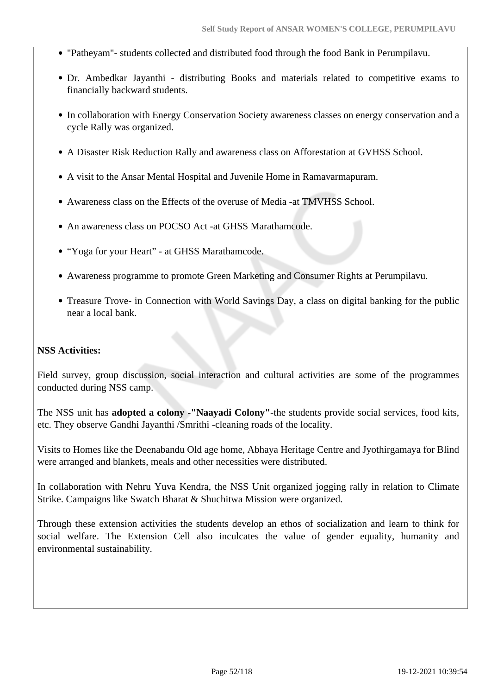- "Patheyam"- students collected and distributed food through the food Bank in Perumpilavu.
- Dr. Ambedkar Jayanthi distributing Books and materials related to competitive exams to financially backward students.
- In collaboration with Energy Conservation Society awareness classes on energy conservation and a cycle Rally was organized.
- A Disaster Risk Reduction Rally and awareness class on Afforestation at GVHSS School.
- A visit to the Ansar Mental Hospital and Juvenile Home in Ramavarmapuram.
- Awareness class on the Effects of the overuse of Media -at TMVHSS School.
- An awareness class on POCSO Act -at GHSS Marathamcode.
- "Yoga for your Heart" at GHSS Marathamcode.
- Awareness programme to promote Green Marketing and Consumer Rights at Perumpilavu.
- Treasure Trove- in Connection with World Savings Day, a class on digital banking for the public near a local bank.

#### **NSS Activities:**

Field survey, group discussion, social interaction and cultural activities are some of the programmes conducted during NSS camp.

The NSS unit has **adopted a colony -"Naayadi Colony"**-the students provide social services, food kits, etc. They observe Gandhi Jayanthi /Smrithi -cleaning roads of the locality.

Visits to Homes like the Deenabandu Old age home, Abhaya Heritage Centre and Jyothirgamaya for Blind were arranged and blankets, meals and other necessities were distributed.

In collaboration with Nehru Yuva Kendra, the NSS Unit organized jogging rally in relation to Climate Strike. Campaigns like Swatch Bharat & Shuchitwa Mission were organized.

Through these extension activities the students develop an ethos of socialization and learn to think for social welfare. The Extension Cell also inculcates the value of gender equality, humanity and environmental sustainability.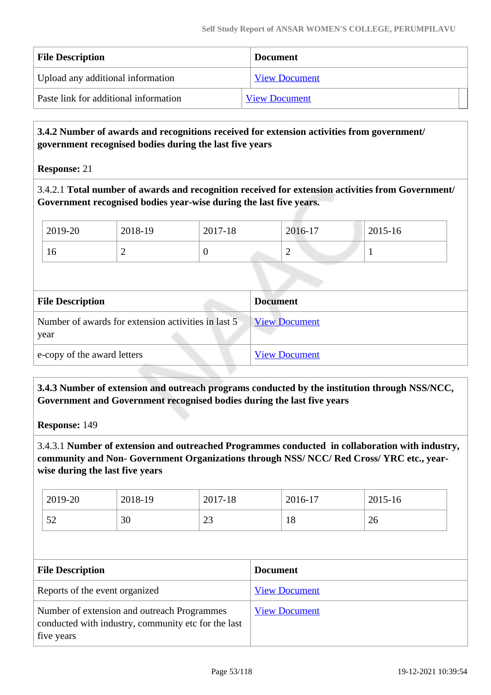| <b>File Description</b>               | <b>Document</b>      |
|---------------------------------------|----------------------|
| Upload any additional information     | <b>View Document</b> |
| Paste link for additional information | <b>View Document</b> |

## **3.4.2 Number of awards and recognitions received for extension activities from government/ government recognised bodies during the last five years**

**Response:** 21

3.4.2.1 **Total number of awards and recognition received for extension activities from Government/ Government recognised bodies year-wise during the last five years.**

| 2019-20 | 2018-19 | 2017-18 | 2016-17 | 2015-16 |
|---------|---------|---------|---------|---------|
| 1 Ω     | -       |         | -       |         |

| <b>File Description</b>                                     | <b>Document</b>      |
|-------------------------------------------------------------|----------------------|
| Number of awards for extension activities in last 5<br>year | <b>View Document</b> |
| e-copy of the award letters                                 | <b>View Document</b> |

 **3.4.3 Number of extension and outreach programs conducted by the institution through NSS/NCC, Government and Government recognised bodies during the last five years**

**Response:** 149

3.4.3.1 **Number of extension and outreached Programmes conducted in collaboration with industry, community and Non- Government Organizations through NSS/ NCC/ Red Cross/ YRC etc., yearwise during the last five years**

| 2019-20    | 2018-19 | 2017-18        | 2016-17   | 2015-16 |
|------------|---------|----------------|-----------|---------|
| r n<br>ے ر | 30      | $\cap$<br>ں کے | - 0<br>10 | 26      |

| <b>File Description</b>                                                                                          | <b>Document</b>      |
|------------------------------------------------------------------------------------------------------------------|----------------------|
| Reports of the event organized                                                                                   | <b>View Document</b> |
| Number of extension and outreach Programmes<br>conducted with industry, community etc for the last<br>five years | <b>View Document</b> |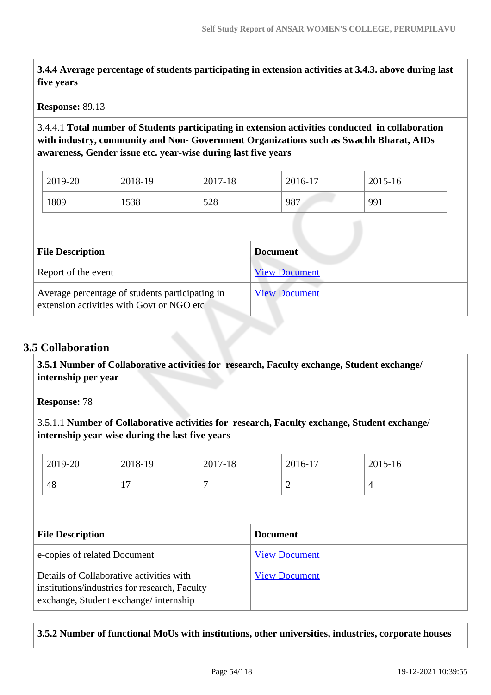**3.4.4 Average percentage of students participating in extension activities at 3.4.3. above during last five years**

#### **Response:** 89.13

3.4.4.1 **Total number of Students participating in extension activities conducted in collaboration with industry, community and Non- Government Organizations such as Swachh Bharat, AIDs awareness, Gender issue etc. year-wise during last five years**

| 2019-20 | 2018-19 | 2017-18 | 2016-17 | 2015-16 |
|---------|---------|---------|---------|---------|
| 1809    | 1538    | 528     | 987     | 991     |

| <b>File Description</b>                                                                      | <b>Document</b>      |
|----------------------------------------------------------------------------------------------|----------------------|
| Report of the event                                                                          | <b>View Document</b> |
| Average percentage of students participating in<br>extension activities with Govt or NGO etc | <b>View Document</b> |

## **3.5 Collaboration**

 **3.5.1 Number of Collaborative activities for research, Faculty exchange, Student exchange/ internship per year**

**Response:** 78

3.5.1.1 **Number of Collaborative activities for research, Faculty exchange, Student exchange/ internship year-wise during the last five years**

| 2019-20                      | 2018-19 | 2017-18 |                 | 2016-17              | $2015 - 16$    |
|------------------------------|---------|---------|-----------------|----------------------|----------------|
| 48                           | 17      | 7       |                 | 2                    | $\overline{4}$ |
|                              |         |         |                 |                      |                |
| <b>File Description</b>      |         |         | <b>Document</b> |                      |                |
|                              |         |         |                 |                      |                |
| e-copies of related Document |         |         |                 | <b>View Document</b> |                |

#### **3.5.2 Number of functional MoUs with institutions, other universities, industries, corporate houses**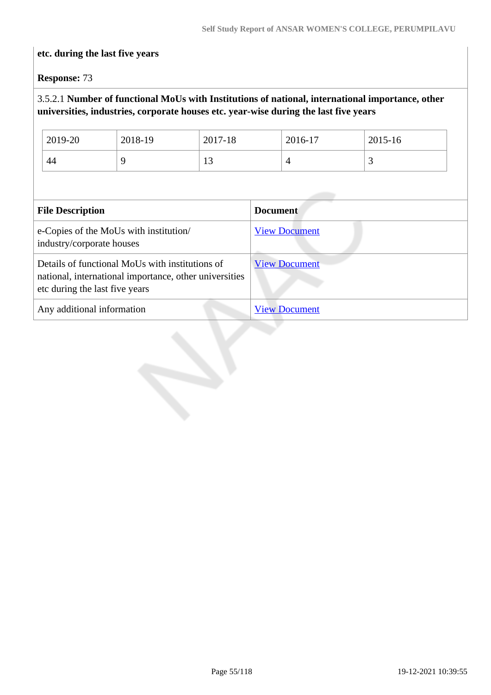## **etc. during the last five years**

**Response:** 73

## 3.5.2.1 **Number of functional MoUs with Institutions of national, international importance, other universities, industries, corporate houses etc. year-wise during the last five years**

| 2019-20 | 2018-19 | 2017-18 | 2016-17 | 2015-16 |
|---------|---------|---------|---------|---------|
| 44      |         | ⊥⊃      |         | ັ       |

| <b>File Description</b>                                                                                                                     | <b>Document</b>      |
|---------------------------------------------------------------------------------------------------------------------------------------------|----------------------|
| e-Copies of the MoUs with institution/<br>industry/corporate houses                                                                         | <b>View Document</b> |
| Details of functional MoUs with institutions of<br>national, international importance, other universities<br>etc during the last five years | <b>View Document</b> |
| Any additional information                                                                                                                  | <b>View Document</b> |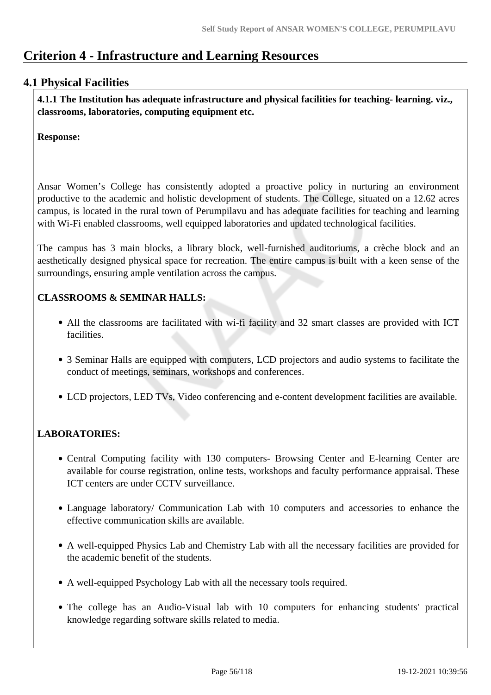## **Criterion 4 - Infrastructure and Learning Resources**

## **4.1 Physical Facilities**

 **4.1.1 The Institution has adequate infrastructure and physical facilities for teaching- learning. viz., classrooms, laboratories, computing equipment etc.** 

**Response:** 

Ansar Women's College has consistently adopted a proactive policy in nurturing an environment productive to the academic and holistic development of students. The College, situated on a 12.62 acres campus, is located in the rural town of Perumpilavu and has adequate facilities for teaching and learning with Wi-Fi enabled classrooms, well equipped laboratories and updated technological facilities.

The campus has 3 main blocks, a library block, well-furnished auditoriums, a crèche block and an aesthetically designed physical space for recreation. The entire campus is built with a keen sense of the surroundings, ensuring ample ventilation across the campus.

## **CLASSROOMS & SEMINAR HALLS:**

- All the classrooms are facilitated with wi-fi facility and 32 smart classes are provided with ICT facilities.
- 3 Seminar Halls are equipped with computers, LCD projectors and audio systems to facilitate the conduct of meetings, seminars, workshops and conferences.
- LCD projectors, LED TVs, Video conferencing and e-content development facilities are available.

## **LABORATORIES:**

- Central Computing facility with 130 computers- Browsing Center and E-learning Center are available for course registration, online tests, workshops and faculty performance appraisal. These ICT centers are under CCTV surveillance.
- Language laboratory/ Communication Lab with 10 computers and accessories to enhance the effective communication skills are available.
- A well-equipped Physics Lab and Chemistry Lab with all the necessary facilities are provided for the academic benefit of the students.
- A well-equipped Psychology Lab with all the necessary tools required.
- The college has an Audio-Visual lab with 10 computers for enhancing students' practical knowledge regarding software skills related to media.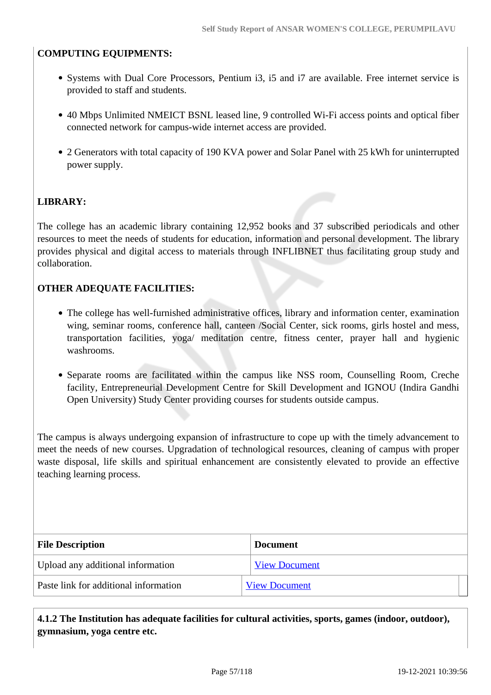## **COMPUTING EQUIPMENTS:**

- Systems with Dual Core Processors, Pentium i3, i5 and i7 are available. Free internet service is provided to staff and students.
- 40 Mbps Unlimited NMEICT BSNL leased line, 9 controlled Wi-Fi access points and optical fiber connected network for campus-wide internet access are provided.
- 2 Generators with total capacity of 190 KVA power and Solar Panel with 25 kWh for uninterrupted power supply.

## **LIBRARY:**

The college has an academic library containing 12,952 books and 37 subscribed periodicals and other resources to meet the needs of students for education, information and personal development. The library provides physical and digital access to materials through INFLIBNET thus facilitating group study and collaboration.

#### **OTHER ADEQUATE FACILITIES:**

- The college has well-furnished administrative offices, library and information center, examination wing, seminar rooms, conference hall, canteen /Social Center, sick rooms, girls hostel and mess, transportation facilities, yoga/ meditation centre, fitness center, prayer hall and hygienic washrooms.
- Separate rooms are facilitated within the campus like NSS room, Counselling Room, Creche facility, Entrepreneurial Development Centre for Skill Development and IGNOU (Indira Gandhi Open University) Study Center providing courses for students outside campus.

The campus is always undergoing expansion of infrastructure to cope up with the timely advancement to meet the needs of new courses. Upgradation of technological resources, cleaning of campus with proper waste disposal, life skills and spiritual enhancement are consistently elevated to provide an effective teaching learning process.

| <b>File Description</b>               | <b>Document</b>      |
|---------------------------------------|----------------------|
| Upload any additional information     | <b>View Document</b> |
| Paste link for additional information | <b>View Document</b> |

 **4.1.2 The Institution has adequate facilities for cultural activities, sports, games (indoor, outdoor), gymnasium, yoga centre etc.**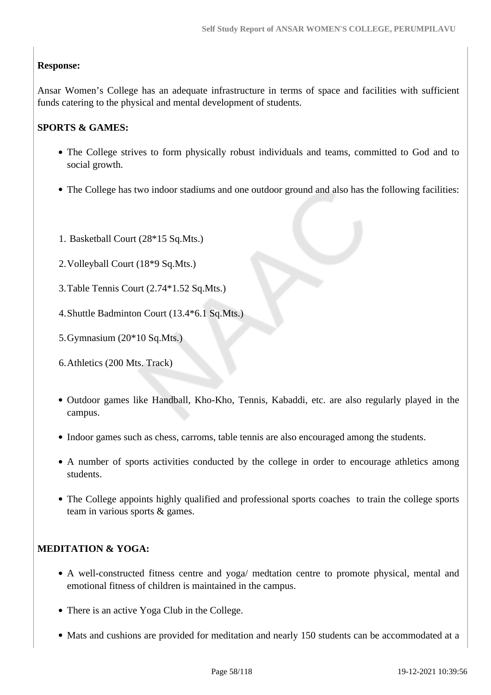## **Response:**

Ansar Women's College has an adequate infrastructure in terms of space and facilities with sufficient funds catering to the physical and mental development of students.

## **SPORTS & GAMES:**

- The College strives to form physically robust individuals and teams, committed to God and to social growth.
- The College has two indoor stadiums and one outdoor ground and also has the following facilities:
- 1. Basketball Court (28\*15 Sq.Mts.)
- 2.Volleyball Court (18\*9 Sq.Mts.)
- 3.Table Tennis Court (2.74\*1.52 Sq.Mts.)
- 4.Shuttle Badminton Court (13.4\*6.1 Sq.Mts.)
- 5.Gymnasium (20\*10 Sq.Mts.)
- 6.Athletics (200 Mts. Track)
- Outdoor games like Handball, Kho-Kho, Tennis, Kabaddi, etc. are also regularly played in the campus.
- Indoor games such as chess, carroms, table tennis are also encouraged among the students.
- A number of sports activities conducted by the college in order to encourage athletics among students.
- The College appoints highly qualified and professional sports coaches to train the college sports team in various sports & games.

## **MEDITATION & YOGA:**

- A well-constructed fitness centre and yoga/ medtation centre to promote physical, mental and emotional fitness of children is maintained in the campus.
- There is an active Yoga Club in the College.
- Mats and cushions are provided for meditation and nearly 150 students can be accommodated at a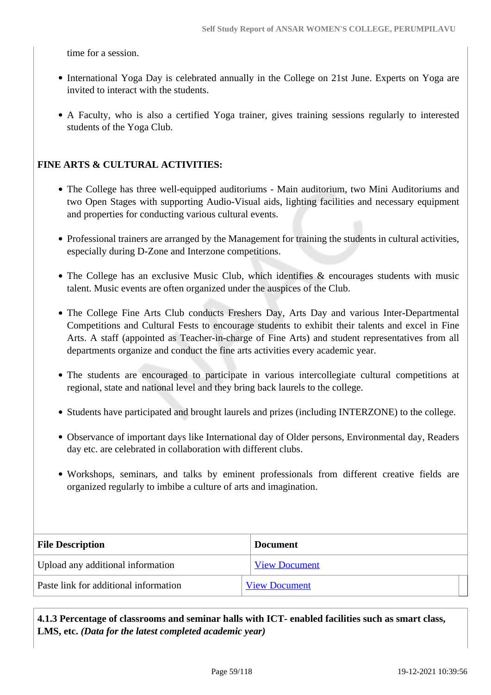time for a session.

- International Yoga Day is celebrated annually in the College on 21st June. Experts on Yoga are invited to interact with the students.
- A Faculty, who is also a certified Yoga trainer, gives training sessions regularly to interested students of the Yoga Club.

#### **FINE ARTS & CULTURAL ACTIVITIES:**

- The College has three well-equipped auditoriums Main auditorium, two Mini Auditoriums and two Open Stages with supporting Audio-Visual aids, lighting facilities and necessary equipment and properties for conducting various cultural events.
- Professional trainers are arranged by the Management for training the students in cultural activities, especially during D-Zone and Interzone competitions.
- The College has an exclusive Music Club, which identifies & encourages students with music talent. Music events are often organized under the auspices of the Club.
- The College Fine Arts Club conducts Freshers Day, Arts Day and various Inter-Departmental Competitions and Cultural Fests to encourage students to exhibit their talents and excel in Fine Arts. A staff (appointed as Teacher-in-charge of Fine Arts) and student representatives from all departments organize and conduct the fine arts activities every academic year.
- The students are encouraged to participate in various intercollegiate cultural competitions at regional, state and national level and they bring back laurels to the college.
- Students have participated and brought laurels and prizes (including INTERZONE) to the college.
- Observance of important days like International day of Older persons, Environmental day, Readers day etc. are celebrated in collaboration with different clubs.
- Workshops, seminars, and talks by eminent professionals from different creative fields are organized regularly to imbibe a culture of arts and imagination.

| <b>File Description</b>               | <b>Document</b>      |
|---------------------------------------|----------------------|
| Upload any additional information     | <b>View Document</b> |
| Paste link for additional information | <b>View Document</b> |

 **4.1.3 Percentage of classrooms and seminar halls with ICT- enabled facilities such as smart class, LMS, etc.** *(Data for the latest completed academic year)*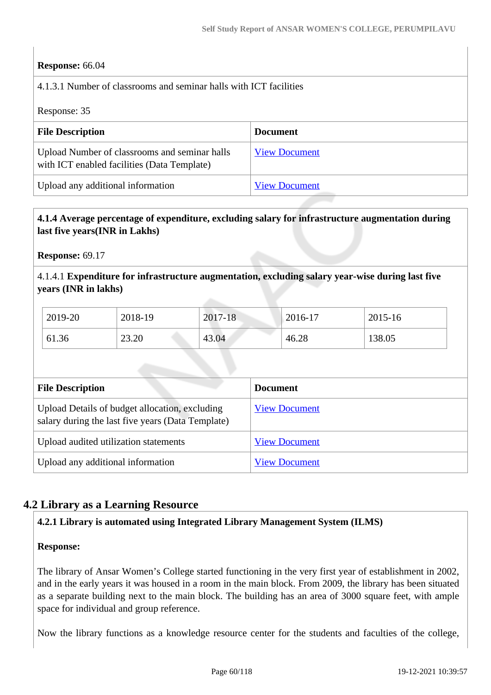#### **Response:** 66.04

4.1.3.1 Number of classrooms and seminar halls with ICT facilities

Response: 35

| <b>File Description</b>                                                                      | <b>Document</b>      |
|----------------------------------------------------------------------------------------------|----------------------|
| Upload Number of classrooms and seminar halls<br>with ICT enabled facilities (Data Template) | <b>View Document</b> |
| Upload any additional information                                                            | <b>View Document</b> |

#### **4.1.4 Average percentage of expenditure, excluding salary for infrastructure augmentation during last five years(INR in Lakhs)**

**Response:** 69.17

4.1.4.1 **Expenditure for infrastructure augmentation, excluding salary year-wise during last five years (INR in lakhs)**

| 2019-20 | 2018-19 | 2017-18 | 2016-17 | 2015-16 |
|---------|---------|---------|---------|---------|
| 61.36   | 23.20   | 43.04   | 46.28   | 138.05  |

| <b>File Description</b>                                                                             | <b>Document</b>      |
|-----------------------------------------------------------------------------------------------------|----------------------|
| Upload Details of budget allocation, excluding<br>salary during the last five years (Data Template) | <b>View Document</b> |
| Upload audited utilization statements                                                               | <b>View Document</b> |
| Upload any additional information                                                                   | <b>View Document</b> |

## **4.2 Library as a Learning Resource**

#### **4.2.1 Library is automated using Integrated Library Management System (ILMS)**

#### **Response:**

The library of Ansar Women's College started functioning in the very first year of establishment in 2002, and in the early years it was housed in a room in the main block. From 2009, the library has been situated as a separate building next to the main block. The building has an area of 3000 square feet, with ample space for individual and group reference.

Now the library functions as a knowledge resource center for the students and faculties of the college,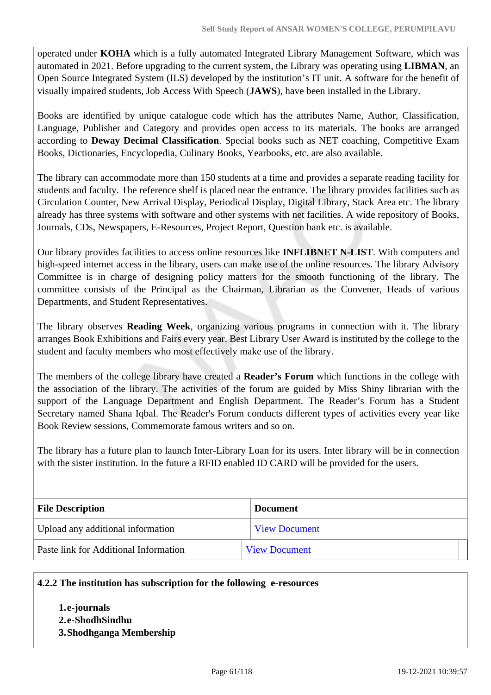operated under **KOHA** which is a fully automated Integrated Library Management Software, which was automated in 2021. Before upgrading to the current system, the Library was operating using **LIBMAN**, an Open Source Integrated System (ILS) developed by the institution's IT unit. A software for the benefit of visually impaired students, Job Access With Speech (**JAWS**), have been installed in the Library.

Books are identified by unique catalogue code which has the attributes Name, Author, Classification, Language, Publisher and Category and provides open access to its materials. The books are arranged according to **Deway Decimal Classification**. Special books such as NET coaching, Competitive Exam Books, Dictionaries, Encyclopedia, Culinary Books, Yearbooks, etc. are also available.

The library can accommodate more than 150 students at a time and provides a separate reading facility for students and faculty. The reference shelf is placed near the entrance. The library provides facilities such as Circulation Counter, New Arrival Display, Periodical Display, Digital Library, Stack Area etc. The library already has three systems with software and other systems with net facilities. A wide repository of Books, Journals, CDs, Newspapers, E-Resources, Project Report, Question bank etc. is available.

Our library provides facilities to access online resources like **INFLIBNET N-LIST**. With computers and high-speed internet access in the library, users can make use of the online resources. The library Advisory Committee is in charge of designing policy matters for the smooth functioning of the library. The committee consists of the Principal as the Chairman, Librarian as the Convener, Heads of various Departments, and Student Representatives.

The library observes **Reading Week**, organizing various programs in connection with it. The library arranges Book Exhibitions and Fairs every year. Best Library User Award is instituted by the college to the student and faculty members who most effectively make use of the library.

The members of the college library have created a **Reader's Forum** which functions in the college with the association of the library. The activities of the forum are guided by Miss Shiny librarian with the support of the Language Department and English Department. The Reader's Forum has a Student Secretary named Shana Iqbal. The Reader's Forum conducts different types of activities every year like Book Review sessions, Commemorate famous writers and so on.

The library has a future plan to launch Inter-Library Loan for its users. Inter library will be in connection with the sister institution. In the future a RFID enabled ID CARD will be provided for the users.

| <b>File Description</b>               | <b>Document</b>      |
|---------------------------------------|----------------------|
| Upload any additional information     | <b>View Document</b> |
| Paste link for Additional Information | <b>View Document</b> |

#### **4.2.2 The institution has subscription for the following e-resources**

**1.e-journals 2.e-ShodhSindhu 3.Shodhganga Membership**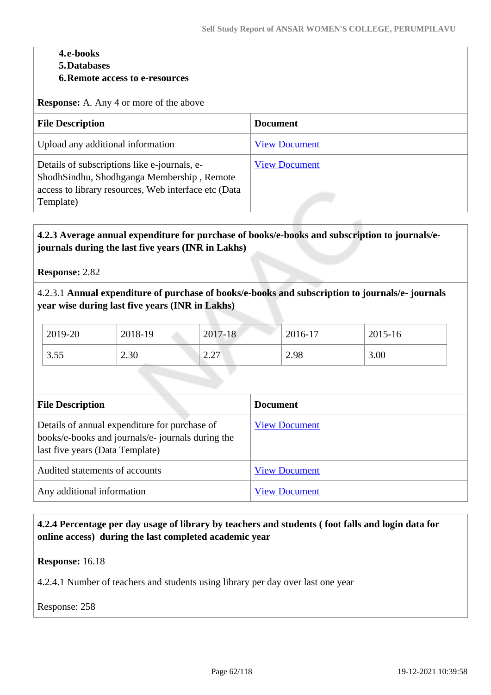#### **4.e-books**

- **5.Databases**
- **6.Remote access to e-resources**

**Response:** A. Any 4 or more of the above

| <b>File Description</b>                                                                                                                                         | <b>Document</b>      |
|-----------------------------------------------------------------------------------------------------------------------------------------------------------------|----------------------|
| Upload any additional information                                                                                                                               | <b>View Document</b> |
| Details of subscriptions like e-journals, e-<br>ShodhSindhu, Shodhganga Membership, Remote<br>access to library resources, Web interface etc (Data<br>Template) | <b>View Document</b> |

## **4.2.3 Average annual expenditure for purchase of books/e-books and subscription to journals/ejournals during the last five years (INR in Lakhs)**

**Response:** 2.82

4.2.3.1 **Annual expenditure of purchase of books/e-books and subscription to journals/e- journals year wise during last five years (INR in Lakhs)**

| 2019-20 | 2018-19 | 2017-18                                  | 2016-17 | 2015-16 |
|---------|---------|------------------------------------------|---------|---------|
| 3.55    | 2.30    | 227<br>$\overline{a}$ . $\overline{a}$ l | 2.98    | 3.00    |

| <b>File Description</b>                                                                                                               | <b>Document</b>      |
|---------------------------------------------------------------------------------------------------------------------------------------|----------------------|
| Details of annual expenditure for purchase of<br>books/e-books and journals/e- journals during the<br>last five years (Data Template) | <b>View Document</b> |
| Audited statements of accounts                                                                                                        | <b>View Document</b> |
| Any additional information                                                                                                            | <b>View Document</b> |

## **4.2.4 Percentage per day usage of library by teachers and students ( foot falls and login data for online access) during the last completed academic year**

**Response:** 16.18

4.2.4.1 Number of teachers and students using library per day over last one year

Response: 258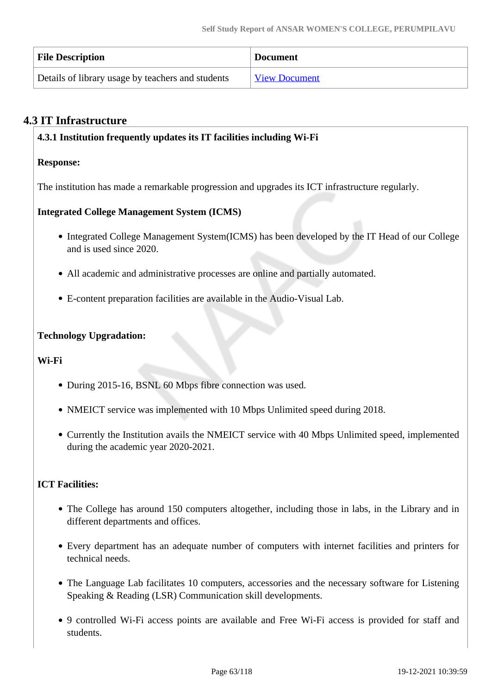| <b>File Description</b>                           | <b>Document</b>      |
|---------------------------------------------------|----------------------|
| Details of library usage by teachers and students | <b>View Document</b> |

## **4.3 IT Infrastructure**

#### **4.3.1 Institution frequently updates its IT facilities including Wi-Fi**

#### **Response:**

The institution has made a remarkable progression and upgrades its ICT infrastructure regularly.

## **Integrated College Management System (ICMS)**

- Integrated College Management System(ICMS) has been developed by the IT Head of our College and is used since 2020.
- All academic and administrative processes are online and partially automated.
- E-content preparation facilities are available in the Audio-Visual Lab.

## **Technology Upgradation:**

#### **Wi-Fi**

- During 2015-16, BSNL 60 Mbps fibre connection was used.
- NMEICT service was implemented with 10 Mbps Unlimited speed during 2018.
- Currently the Institution avails the NMEICT service with 40 Mbps Unlimited speed, implemented during the academic year 2020-2021.

## **ICT Facilities:**

- The College has around 150 computers altogether, including those in labs, in the Library and in different departments and offices.
- Every department has an adequate number of computers with internet facilities and printers for technical needs.
- The Language Lab facilitates 10 computers, accessories and the necessary software for Listening Speaking & Reading (LSR) Communication skill developments.
- 9 controlled Wi-Fi access points are available and Free Wi-Fi access is provided for staff and students.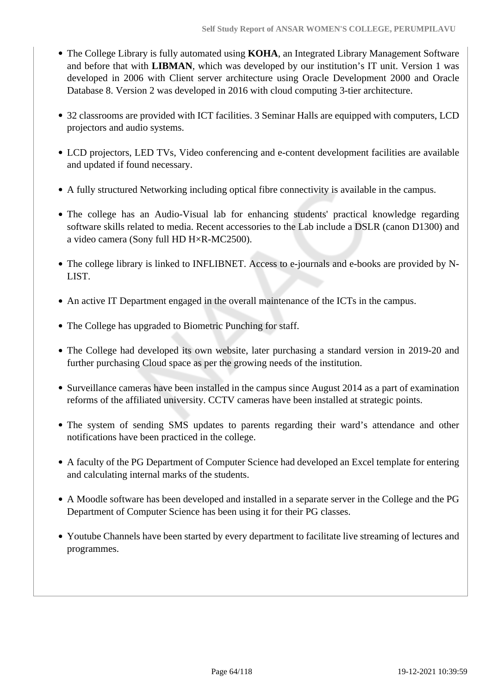- The College Library is fully automated using **KOHA**, an Integrated Library Management Software and before that with **LIBMAN**, which was developed by our institution's IT unit. Version 1 was developed in 2006 with Client server architecture using Oracle Development 2000 and Oracle Database 8. Version 2 was developed in 2016 with cloud computing 3-tier architecture.
- 32 classrooms are provided with ICT facilities. 3 Seminar Halls are equipped with computers, LCD projectors and audio systems.
- LCD projectors, LED TVs, Video conferencing and e-content development facilities are available and updated if found necessary.
- A fully structured Networking including optical fibre connectivity is available in the campus.
- The college has an Audio-Visual lab for enhancing students' practical knowledge regarding software skills related to media. Recent accessories to the Lab include a DSLR (canon D1300) and a video camera (Sony full HD H×R-MC2500).
- The college library is linked to INFLIBNET. Access to e-journals and e-books are provided by N-LIST.
- An active IT Department engaged in the overall maintenance of the ICTs in the campus.
- The College has upgraded to Biometric Punching for staff.
- The College had developed its own website, later purchasing a standard version in 2019-20 and further purchasing Cloud space as per the growing needs of the institution.
- Surveillance cameras have been installed in the campus since August 2014 as a part of examination reforms of the affiliated university. CCTV cameras have been installed at strategic points.
- The system of sending SMS updates to parents regarding their ward's attendance and other notifications have been practiced in the college.
- A faculty of the PG Department of Computer Science had developed an Excel template for entering and calculating internal marks of the students.
- A Moodle software has been developed and installed in a separate server in the College and the PG Department of Computer Science has been using it for their PG classes.
- Youtube Channels have been started by every department to facilitate live streaming of lectures and programmes.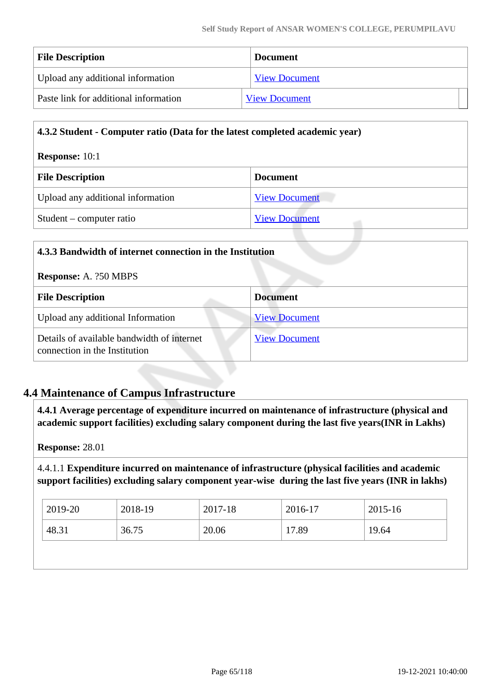| <b>File Description</b>               | <b>Document</b>      |  |
|---------------------------------------|----------------------|--|
| Upload any additional information     | <b>View Document</b> |  |
| Paste link for additional information | <b>View Document</b> |  |

| 4.3.2 Student - Computer ratio (Data for the latest completed academic year) |                      |
|------------------------------------------------------------------------------|----------------------|
| <b>Response:</b> $10:1$                                                      |                      |
| <b>File Description</b><br><b>Document</b>                                   |                      |
| Upload any additional information                                            | <b>View Document</b> |
| Student – computer ratio                                                     | <b>View Document</b> |

| 4.3.3 Bandwidth of internet connection in the Institution                                           |  |  |
|-----------------------------------------------------------------------------------------------------|--|--|
| <b>Response: A. ?50 MBPS</b>                                                                        |  |  |
| <b>Document</b>                                                                                     |  |  |
| <b>View Document</b>                                                                                |  |  |
| Details of available bandwidth of internet<br><b>View Document</b><br>connection in the Institution |  |  |
|                                                                                                     |  |  |

## **4.4 Maintenance of Campus Infrastructure**

 **4.4.1 Average percentage of expenditure incurred on maintenance of infrastructure (physical and academic support facilities) excluding salary component during the last five years(INR in Lakhs)**

**Response:** 28.01

4.4.1.1 **Expenditure incurred on maintenance of infrastructure (physical facilities and academic support facilities) excluding salary component year-wise during the last five years (INR in lakhs)**

| $\frac{12019-20}{20}$ | 2018-19 | 2017-18 | 2016-17 | 2015-16 |
|-----------------------|---------|---------|---------|---------|
| 48.31                 | 36.75   | 20.06   | 17.89   | 19.64   |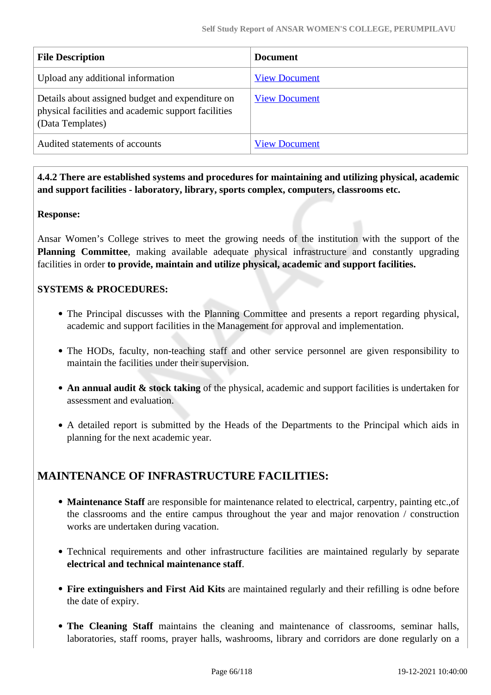| <b>File Description</b>                                                                                                     | <b>Document</b>      |
|-----------------------------------------------------------------------------------------------------------------------------|----------------------|
| Upload any additional information                                                                                           | <b>View Document</b> |
| Details about assigned budget and expenditure on<br>physical facilities and academic support facilities<br>(Data Templates) | <b>View Document</b> |
| Audited statements of accounts                                                                                              | <b>View Document</b> |

 **4.4.2 There are established systems and procedures for maintaining and utilizing physical, academic and support facilities - laboratory, library, sports complex, computers, classrooms etc.**

#### **Response:**

Ansar Women's College strives to meet the growing needs of the institution with the support of the **Planning Committee**, making available adequate physical infrastructure and constantly upgrading facilities in order **to provide, maintain and utilize physical, academic and support facilities.**

## **SYSTEMS & PROCEDURES:**

- The Principal discusses with the Planning Committee and presents a report regarding physical, academic and support facilities in the Management for approval and implementation.
- The HODs, faculty, non-teaching staff and other service personnel are given responsibility to maintain the facilities under their supervision.
- **An annual audit & stock taking** of the physical, academic and support facilities is undertaken for assessment and evaluation.
- A detailed report is submitted by the Heads of the Departments to the Principal which aids in planning for the next academic year.

## **MAINTENANCE OF INFRASTRUCTURE FACILITIES:**

- **Maintenance Staff** are responsible for maintenance related to electrical, carpentry, painting etc.,of the classrooms and the entire campus throughout the year and major renovation / construction works are undertaken during vacation.
- Technical requirements and other infrastructure facilities are maintained regularly by separate **electrical and technical maintenance staff**.
- **Fire extinguishers and First Aid Kits** are maintained regularly and their refilling is odne before the date of expiry.
- **The Cleaning Staff** maintains the cleaning and maintenance of classrooms, seminar halls, laboratories, staff rooms, prayer halls, washrooms, library and corridors are done regularly on a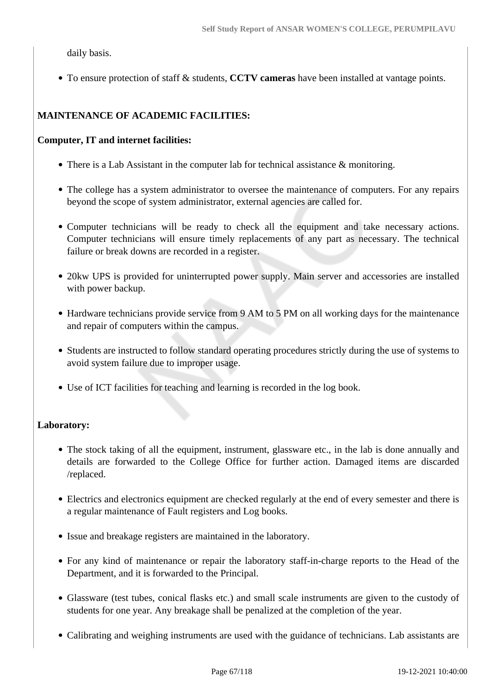daily basis.

To ensure protection of staff & students, **CCTV cameras** have been installed at vantage points.

## **MAINTENANCE OF ACADEMIC FACILITIES:**

#### **Computer, IT and internet facilities:**

- There is a Lab Assistant in the computer lab for technical assistance & monitoring.
- The college has a system administrator to oversee the maintenance of computers. For any repairs beyond the scope of system administrator, external agencies are called for.
- Computer technicians will be ready to check all the equipment and take necessary actions. Computer technicians will ensure timely replacements of any part as necessary. The technical failure or break downs are recorded in a register.
- 20kw UPS is provided for uninterrupted power supply. Main server and accessories are installed with power backup.
- Hardware technicians provide service from 9 AM to 5 PM on all working days for the maintenance and repair of computers within the campus.
- Students are instructed to follow standard operating procedures strictly during the use of systems to avoid system failure due to improper usage.
- Use of ICT facilities for teaching and learning is recorded in the log book.

#### **Laboratory:**

- The stock taking of all the equipment, instrument, glassware etc., in the lab is done annually and details are forwarded to the College Office for further action. Damaged items are discarded /replaced.
- Electrics and electronics equipment are checked regularly at the end of every semester and there is a regular maintenance of Fault registers and Log books.
- Issue and breakage registers are maintained in the laboratory.
- For any kind of maintenance or repair the laboratory staff-in-charge reports to the Head of the Department, and it is forwarded to the Principal.
- Glassware (test tubes, conical flasks etc.) and small scale instruments are given to the custody of students for one year. Any breakage shall be penalized at the completion of the year.
- Calibrating and weighing instruments are used with the guidance of technicians. Lab assistants are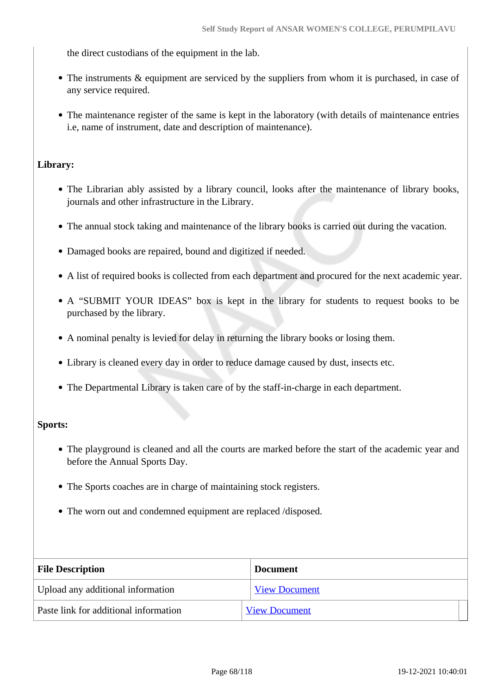the direct custodians of the equipment in the lab.

- The instruments & equipment are serviced by the suppliers from whom it is purchased, in case of any service required.
- The maintenance register of the same is kept in the laboratory (with details of maintenance entries i.e, name of instrument, date and description of maintenance).

#### **Library:**

- The Librarian ably assisted by a library council, looks after the maintenance of library books, journals and other infrastructure in the Library.
- The annual stock taking and maintenance of the library books is carried out during the vacation.
- Damaged books are repaired, bound and digitized if needed.
- A list of required books is collected from each department and procured for the next academic year.
- A "SUBMIT YOUR IDEAS" box is kept in the library for students to request books to be purchased by the library.
- A nominal penalty is levied for delay in returning the library books or losing them.
- Library is cleaned every day in order to reduce damage caused by dust, insects etc.
- The Departmental Library is taken care of by the staff-in-charge in each department.

#### **Sports:**

- The playground is cleaned and all the courts are marked before the start of the academic year and before the Annual Sports Day.
- The Sports coaches are in charge of maintaining stock registers.
- The worn out and condemned equipment are replaced /disposed.

| <b>File Description</b>               | <b>Document</b>      |  |
|---------------------------------------|----------------------|--|
| Upload any additional information     | <b>View Document</b> |  |
| Paste link for additional information | <b>View Document</b> |  |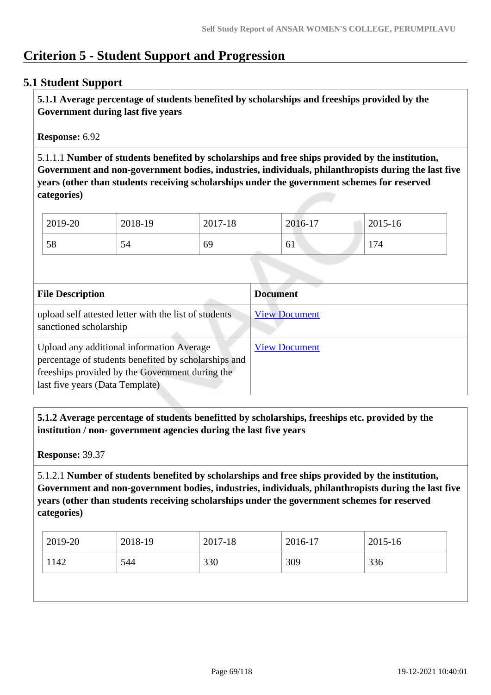## **Criterion 5 - Student Support and Progression**

## **5.1 Student Support**

 **5.1.1 Average percentage of students benefited by scholarships and freeships provided by the Government during last five years** 

**Response:** 6.92

5.1.1.1 **Number of students benefited by scholarships and free ships provided by the institution, Government and non-government bodies, industries, individuals, philanthropists during the last five years (other than students receiving scholarships under the government schemes for reserved categories)** 

| 2019-20 | 2018-19 | 2017-18 | 2016-17   | 2015-16 |
|---------|---------|---------|-----------|---------|
| 58      | Э4      | 69      | - 1<br>61 | 174     |

| <b>File Description</b>                                                                                                                                                                 | <b>Document</b>      |
|-----------------------------------------------------------------------------------------------------------------------------------------------------------------------------------------|----------------------|
| upload self attested letter with the list of students<br>sanctioned scholarship                                                                                                         | <b>View Document</b> |
| Upload any additional information Average<br>percentage of students benefited by scholarships and<br>freeships provided by the Government during the<br>last five years (Data Template) | <b>View Document</b> |

 **5.1.2 Average percentage of students benefitted by scholarships, freeships etc. provided by the institution / non- government agencies during the last five years**

**Response:** 39.37

5.1.2.1 **Number of students benefited by scholarships and free ships provided by the institution, Government and non-government bodies, industries, individuals, philanthropists during the last five years (other than students receiving scholarships under the government schemes for reserved categories)** 

| 2019-20 | 2018-19 | 2017-18 | 2016-17 | $2015 - 16$ |
|---------|---------|---------|---------|-------------|
| 1142    | 544     | 330     | 309     | 336         |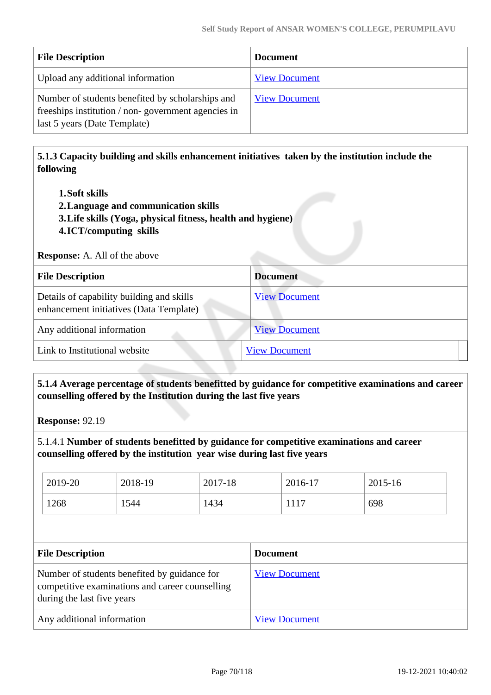| <b>File Description</b>                                                                                                                | <b>Document</b>      |
|----------------------------------------------------------------------------------------------------------------------------------------|----------------------|
| Upload any additional information                                                                                                      | <b>View Document</b> |
| Number of students benefited by scholarships and<br>freeships institution / non-government agencies in<br>last 5 years (Date Template) | <b>View Document</b> |

 **5.1.3 Capacity building and skills enhancement initiatives taken by the institution include the following**

- **1.Soft skills**
- **2.Language and communication skills**
- **3.Life skills (Yoga, physical fitness, health and hygiene)**
- **4.ICT/computing skills**

**Response:** A. All of the above

| <b>File Description</b>                                                              | <b>Document</b>      |
|--------------------------------------------------------------------------------------|----------------------|
| Details of capability building and skills<br>enhancement initiatives (Data Template) | <b>View Document</b> |
| Any additional information                                                           | <b>View Document</b> |
| Link to Institutional website                                                        | <b>View Document</b> |

 **5.1.4 Average percentage of students benefitted by guidance for competitive examinations and career counselling offered by the Institution during the last five years**

**Response:** 92.19

5.1.4.1 **Number of students benefitted by guidance for competitive examinations and career counselling offered by the institution year wise during last five years**

| 2019-20 | 2018-19 | 2017-18 | 2016-17         | 2015-16 |
|---------|---------|---------|-----------------|---------|
| 1268    | 1544    | 1434    | 11 <sup>-</sup> | 698     |

| <b>File Description</b>                                                                                                       | <b>Document</b>      |
|-------------------------------------------------------------------------------------------------------------------------------|----------------------|
| Number of students benefited by guidance for<br>competitive examinations and career counselling<br>during the last five years | <b>View Document</b> |
| Any additional information                                                                                                    | <b>View Document</b> |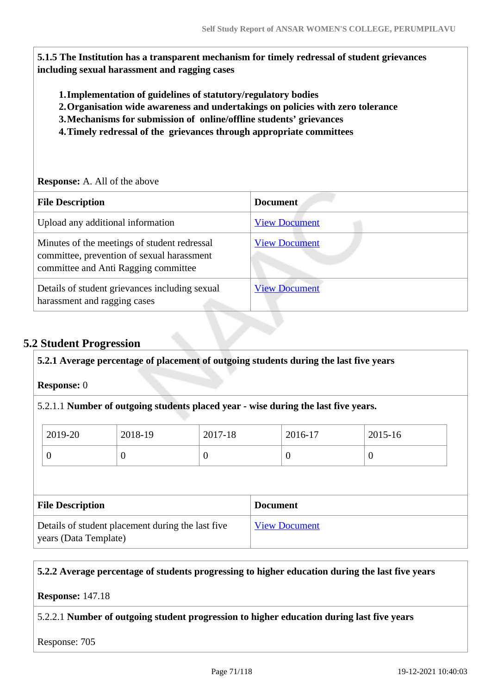**5.1.5 The Institution has a transparent mechanism for timely redressal of student grievances including sexual harassment and ragging cases**

- **1.Implementation of guidelines of statutory/regulatory bodies**
- **2.Organisation wide awareness and undertakings on policies with zero tolerance**
- **3.Mechanisms for submission of online/offline students' grievances**
- **4.Timely redressal of the grievances through appropriate committees**

#### **Response:** A. All of the above

| <b>File Description</b>                                                                                                            | <b>Document</b>      |
|------------------------------------------------------------------------------------------------------------------------------------|----------------------|
| Upload any additional information                                                                                                  | <b>View Document</b> |
| Minutes of the meetings of student redressal<br>committee, prevention of sexual harassment<br>committee and Anti Ragging committee | <b>View Document</b> |
| Details of student grievances including sexual<br>harassment and ragging cases                                                     | <b>View Document</b> |

## **5.2 Student Progression**

## **5.2.1 Average percentage of placement of outgoing students during the last five years**

#### **Response:** 0

5.2.1.1 **Number of outgoing students placed year - wise during the last five years.**

| 2019-20 | 2018-19 | 2017-18 | 2016-17          | 2015-16 |
|---------|---------|---------|------------------|---------|
|         | v       | ◡       | $\boldsymbol{0}$ |         |

| <b>File Description</b>                                                    | <b>Document</b>      |
|----------------------------------------------------------------------------|----------------------|
| Details of student placement during the last five<br>years (Data Template) | <b>View Document</b> |

#### **5.2.2 Average percentage of students progressing to higher education during the last five years**

#### **Response:** 147.18

#### 5.2.2.1 **Number of outgoing student progression to higher education during last five years**

Response: 705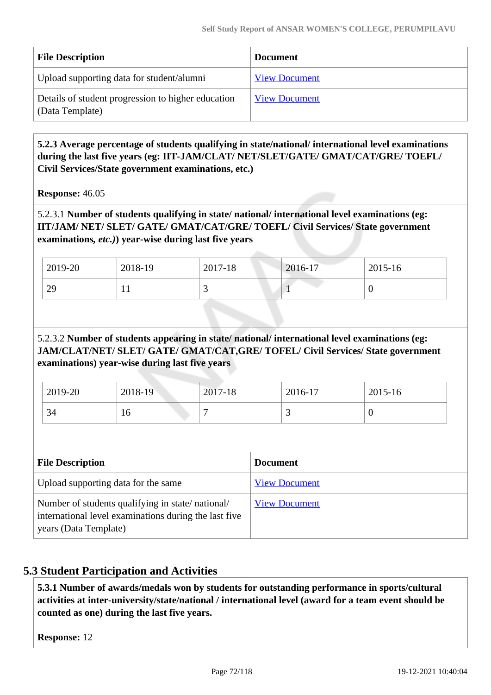| <b>File Description</b>                                               | <b>Document</b>      |
|-----------------------------------------------------------------------|----------------------|
| Upload supporting data for student/alumni                             | <b>View Document</b> |
| Details of student progression to higher education<br>(Data Template) | <b>View Document</b> |

## **5.2.3 Average percentage of students qualifying in state/national/ international level examinations during the last five years (eg: IIT-JAM/CLAT/ NET/SLET/GATE/ GMAT/CAT/GRE/ TOEFL/ Civil Services/State government examinations, etc.)**

**Response:** 46.05

5.2.3.1 **Number of students qualifying in state/ national/ international level examinations (eg: IIT/JAM/ NET/ SLET/ GATE/ GMAT/CAT/GRE/ TOEFL/ Civil Services/ State government examinations***, etc.)***) year-wise during last five years**

| 2019-20 | 2018-19 | 2017-18 | 2016-17 | 2015-16 |
|---------|---------|---------|---------|---------|
| 29      | . .     | ັ       |         |         |

## 5.2.3.2 **Number of students appearing in state/ national/ international level examinations (eg: JAM/CLAT/NET/ SLET/ GATE/ GMAT/CAT,GRE/ TOFEL/ Civil Services/ State government examinations) year-wise during last five years**

| 2019-20 | 2018-19 | 2017-18 | 2016-17  | 2015-16 |
|---------|---------|---------|----------|---------|
| 34      | 10      |         | <u>ب</u> | ν       |

| <b>File Description</b>                                                                                                            | <b>Document</b>      |
|------------------------------------------------------------------------------------------------------------------------------------|----------------------|
| Upload supporting data for the same                                                                                                | <b>View Document</b> |
| Number of students qualifying in state/national/<br>international level examinations during the last five<br>years (Data Template) | <b>View Document</b> |

## **5.3 Student Participation and Activities**

 **5.3.1 Number of awards/medals won by students for outstanding performance in sports/cultural activities at inter-university/state/national / international level (award for a team event should be counted as one) during the last five years.**

**Response:** 12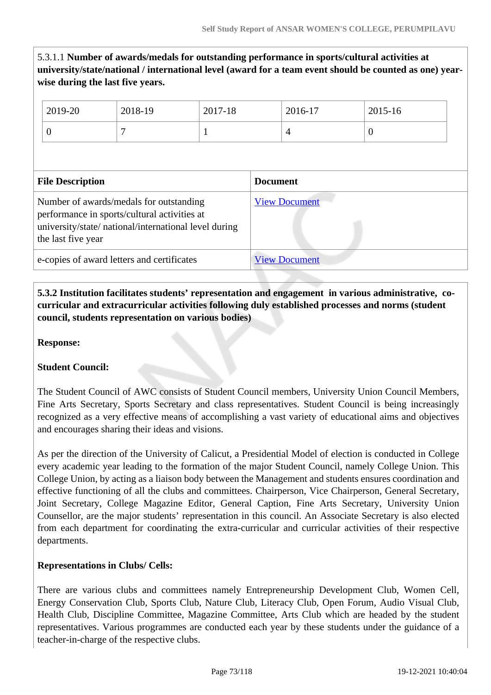## 5.3.1.1 **Number of awards/medals for outstanding performance in sports/cultural activities at university/state/national / international level (award for a team event should be counted as one) yearwise during the last five years.**

| 2019-20                                                                                                                                                                | 2018-19 | 2017-18              |                 | 2016-17        | 2015-16  |
|------------------------------------------------------------------------------------------------------------------------------------------------------------------------|---------|----------------------|-----------------|----------------|----------|
| $\overline{0}$                                                                                                                                                         | 7       |                      |                 | $\overline{4}$ | $\Omega$ |
|                                                                                                                                                                        |         |                      |                 |                |          |
| <b>File Description</b>                                                                                                                                                |         |                      | <b>Document</b> |                |          |
| Number of awards/medals for outstanding<br>performance in sports/cultural activities at<br>university/state/ national/international level during<br>the last five year |         | <b>View Document</b> |                 |                |          |
| e-copies of award letters and certificates                                                                                                                             |         | <b>View Document</b> |                 |                |          |

### **5.3.2 Institution facilitates students' representation and engagement in various administrative, cocurricular and extracurricular activities following duly established processes and norms (student council, students representation on various bodies)**

**Response:** 

### **Student Council:**

The Student Council of AWC consists of Student Council members, University Union Council Members, Fine Arts Secretary, Sports Secretary and class representatives. Student Council is being increasingly recognized as a very effective means of accomplishing a vast variety of educational aims and objectives and encourages sharing their ideas and visions.

As per the direction of the University of Calicut, a Presidential Model of election is conducted in College every academic year leading to the formation of the major Student Council, namely College Union. This College Union, by acting as a liaison body between the Management and students ensures coordination and effective functioning of all the clubs and committees. Chairperson, Vice Chairperson, General Secretary, Joint Secretary, College Magazine Editor, General Caption, Fine Arts Secretary, University Union Counsellor, are the major students' representation in this council. An Associate Secretary is also elected from each department for coordinating the extra-curricular and curricular activities of their respective departments.

### **Representations in Clubs/ Cells:**

There are various clubs and committees namely Entrepreneurship Development Club, Women Cell, Energy Conservation Club, Sports Club, Nature Club, Literacy Club, Open Forum, Audio Visual Club, Health Club, Discipline Committee, Magazine Committee, Arts Club which are headed by the student representatives. Various programmes are conducted each year by these students under the guidance of a teacher-in-charge of the respective clubs.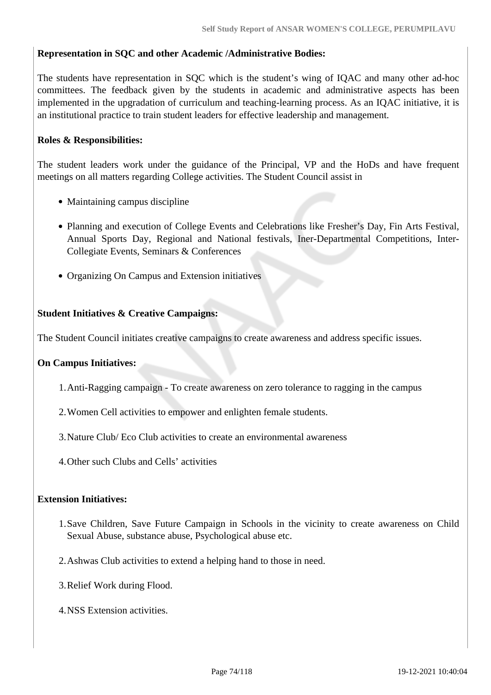#### **Representation in SQC and other Academic /Administrative Bodies:**

The students have representation in SQC which is the student's wing of IQAC and many other ad-hoc committees. The feedback given by the students in academic and administrative aspects has been implemented in the upgradation of curriculum and teaching-learning process. As an IQAC initiative, it is an institutional practice to train student leaders for effective leadership and management.

#### **Roles & Responsibilities:**

The student leaders work under the guidance of the Principal, VP and the HoDs and have frequent meetings on all matters regarding College activities. The Student Council assist in

- Maintaining campus discipline
- Planning and execution of College Events and Celebrations like Fresher's Day, Fin Arts Festival, Annual Sports Day, Regional and National festivals, Iner-Departmental Competitions, Inter-Collegiate Events, Seminars & Conferences
- Organizing On Campus and Extension initiatives

#### **Student Initiatives & Creative Campaigns:**

The Student Council initiates creative campaigns to create awareness and address specific issues.

#### **On Campus Initiatives:**

- 1.Anti-Ragging campaign To create awareness on zero tolerance to ragging in the campus
- 2.Women Cell activities to empower and enlighten female students.
- 3.Nature Club/ Eco Club activities to create an environmental awareness
- 4.Other such Clubs and Cells' activities

#### **Extension Initiatives:**

- 1.Save Children, Save Future Campaign in Schools in the vicinity to create awareness on Child Sexual Abuse, substance abuse, Psychological abuse etc.
- 2.Ashwas Club activities to extend a helping hand to those in need.
- 3.Relief Work during Flood.
- 4.NSS Extension activities.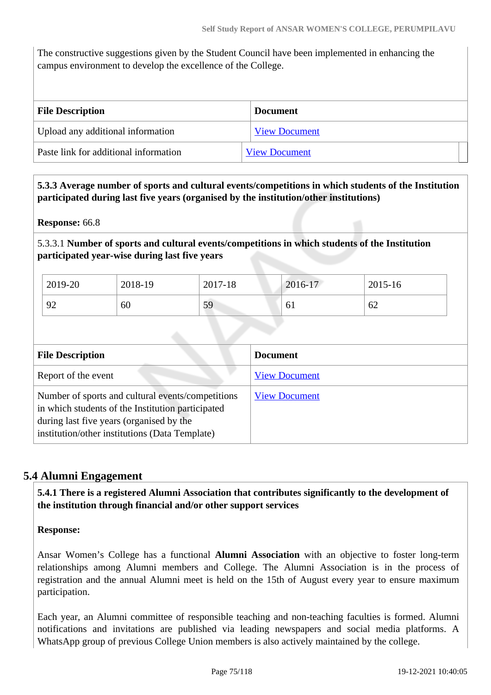The constructive suggestions given by the Student Council have been implemented in enhancing the campus environment to develop the excellence of the College.

| <b>File Description</b>               | <b>Document</b>      |  |
|---------------------------------------|----------------------|--|
| Upload any additional information     | <b>View Document</b> |  |
| Paste link for additional information | <b>View Document</b> |  |

 **5.3.3 Average number of sports and cultural events/competitions in which students of the Institution participated during last five years (organised by the institution/other institutions)**

**Response:** 66.8

5.3.3.1 **Number of sports and cultural events/competitions in which students of the Institution participated year-wise during last five years**

| 2019-20       | 2018-19 | 2017-18 | 2016-17 | 2015-16 |
|---------------|---------|---------|---------|---------|
| $\Omega$<br>╯ | 60      | 59      | 61      | 62      |

| <b>File Description</b>                                                                                                                                                                              | <b>Document</b>      |
|------------------------------------------------------------------------------------------------------------------------------------------------------------------------------------------------------|----------------------|
| Report of the event                                                                                                                                                                                  | <b>View Document</b> |
| Number of sports and cultural events/competitions<br>in which students of the Institution participated<br>during last five years (organised by the<br>institution/other institutions (Data Template) | <b>View Document</b> |

### **5.4 Alumni Engagement**

 **5.4.1 There is a registered Alumni Association that contributes significantly to the development of the institution through financial and/or other support services**

**Response:** 

Ansar Women's College has a functional **Alumni Association** with an objective to foster long-term relationships among Alumni members and College. The Alumni Association is in the process of registration and the annual Alumni meet is held on the 15th of August every year to ensure maximum participation.

Each year, an Alumni committee of responsible teaching and non-teaching faculties is formed. Alumni notifications and invitations are published via leading newspapers and social media platforms. A WhatsApp group of previous College Union members is also actively maintained by the college.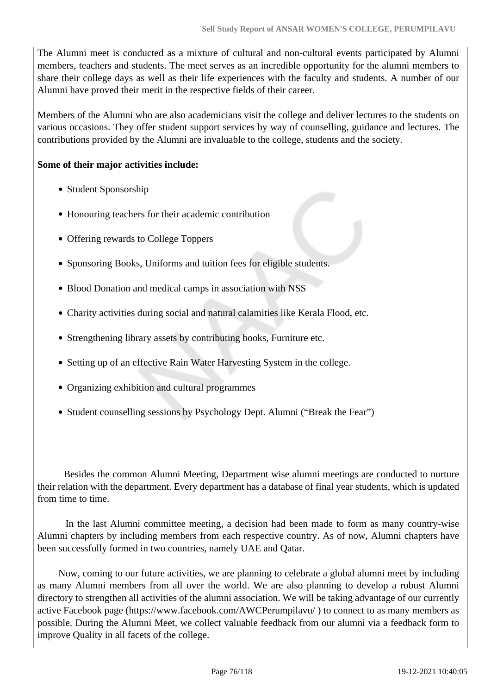The Alumni meet is conducted as a mixture of cultural and non-cultural events participated by Alumni members, teachers and students. The meet serves as an incredible opportunity for the alumni members to share their college days as well as their life experiences with the faculty and students. A number of our Alumni have proved their merit in the respective fields of their career.

Members of the Alumni who are also academicians visit the college and deliver lectures to the students on various occasions. They offer student support services by way of counselling, guidance and lectures. The contributions provided by the Alumni are invaluable to the college, students and the society.

#### **Some of their major activities include:**

- Student Sponsorship
- Honouring teachers for their academic contribution
- Offering rewards to College Toppers
- Sponsoring Books, Uniforms and tuition fees for eligible students.
- Blood Donation and medical camps in association with NSS
- Charity activities during social and natural calamities like Kerala Flood, etc.
- Strengthening library assets by contributing books, Furniture etc.
- Setting up of an effective Rain Water Harvesting System in the college.
- Organizing exhibition and cultural programmes
- Student counselling sessions by Psychology Dept. Alumni ("Break the Fear")

 Besides the common Alumni Meeting, Department wise alumni meetings are conducted to nurture their relation with the department. Every department has a database of final year students, which is updated from time to time.

 In the last Alumni committee meeting, a decision had been made to form as many country-wise Alumni chapters by including members from each respective country. As of now, Alumni chapters have been successfully formed in two countries, namely UAE and Qatar.

 Now, coming to our future activities, we are planning to celebrate a global alumni meet by including as many Alumni members from all over the world. We are also planning to develop a robust Alumni directory to strengthen all activities of the alumni association. We will be taking advantage of our currently active Facebook page (https://www.facebook.com/AWCPerumpilavu/ ) to connect to as many members as possible. During the Alumni Meet, we collect valuable feedback from our alumni via a feedback form to improve Quality in all facets of the college.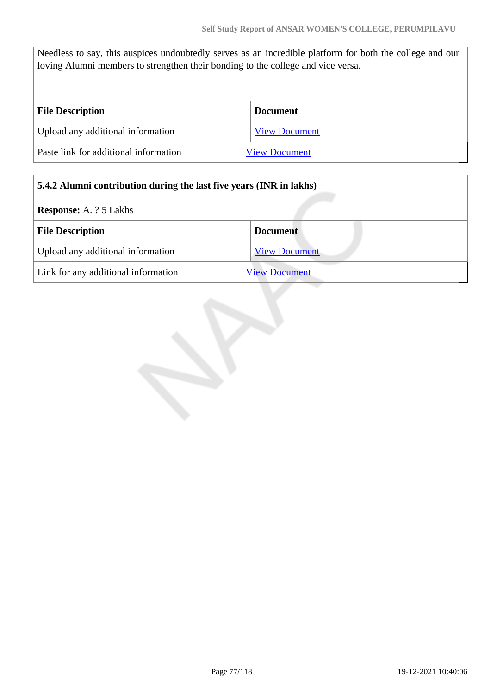Needless to say, this auspices undoubtedly serves as an incredible platform for both the college and our loving Alumni members to strengthen their bonding to the college and vice versa.

| <b>File Description</b>               | <b>Document</b>      |
|---------------------------------------|----------------------|
| Upload any additional information     | <b>View Document</b> |
| Paste link for additional information | <b>View Document</b> |

### **5.4.2 Alumni contribution during the last five years (INR in lakhs)**

**Response:** A. ? 5 Lakhs

| <b>File Description</b>             | <b>Document</b>      |  |
|-------------------------------------|----------------------|--|
| Upload any additional information   | <b>View Document</b> |  |
| Link for any additional information | <b>View Document</b> |  |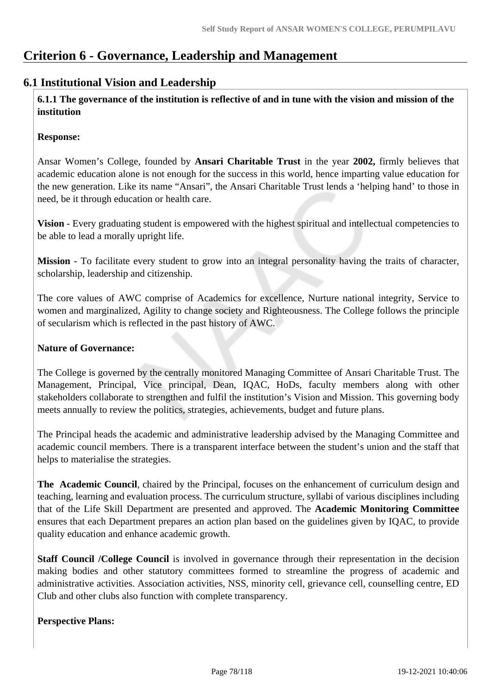# **Criterion 6 - Governance, Leadership and Management**

### **6.1 Institutional Vision and Leadership**

 **6.1.1 The governance of the institution is reflective of and in tune with the vision and mission of the institution**

### **Response:**

Ansar Women's College, founded by **Ansari Charitable Trust** in the year **2002,** firmly believes that academic education alone is not enough for the success in this world, hence imparting value education for the new generation. Like its name "Ansari", the Ansari Charitable Trust lends a 'helping hand' to those in need, be it through education or health care.

**Vision** - Every graduating student is empowered with the highest spiritual and intellectual competencies to be able to lead a morally upright life.

**Mission** - To facilitate every student to grow into an integral personality having the traits of character, scholarship, leadership and citizenship.

The core values of AWC comprise of Academics for excellence, Nurture national integrity, Service to women and marginalized, Agility to change society and Righteousness. The College follows the principle of secularism which is reflected in the past history of AWC.

### **Nature of Governance:**

The College is governed by the centrally monitored Managing Committee of Ansari Charitable Trust. The Management, Principal, Vice principal, Dean, IQAC, HoDs, faculty members along with other stakeholders collaborate to strengthen and fulfil the institution's Vision and Mission. This governing body meets annually to review the politics, strategies, achievements, budget and future plans.

The Principal heads the academic and administrative leadership advised by the Managing Committee and academic council members. There is a transparent interface between the student's union and the staff that helps to materialise the strategies.

**The Academic Council**, chaired by the Principal, focuses on the enhancement of curriculum design and teaching, learning and evaluation process. The curriculum structure, syllabi of various disciplines including that of the Life Skill Department are presented and approved. The **Academic Monitoring Committee** ensures that each Department prepares an action plan based on the guidelines given by IQAC, to provide quality education and enhance academic growth.

**Staff Council /College Council** is involved in governance through their representation in the decision making bodies and other statutory committees formed to streamline the progress of academic and administrative activities. Association activities, NSS, minority cell, grievance cell, counselling centre, ED Club and other clubs also function with complete transparency.

### **Perspective Plans:**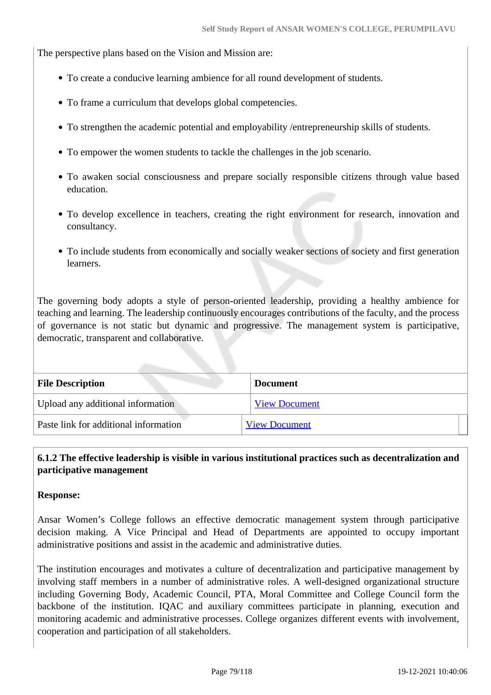The perspective plans based on the Vision and Mission are:

- To create a conducive learning ambience for all round development of students.
- To frame a curriculum that develops global competencies.
- To strengthen the academic potential and employability /entrepreneurship skills of students.
- To empower the women students to tackle the challenges in the job scenario.
- To awaken social consciousness and prepare socially responsible citizens through value based education.
- To develop excellence in teachers, creating the right environment for research, innovation and consultancy.
- To include students from economically and socially weaker sections of society and first generation learners.

The governing body adopts a style of person-oriented leadership, providing a healthy ambience for teaching and learning. The leadership continuously encourages contributions of the faculty, and the process of governance is not static but dynamic and progressive. The management system is participative, democratic, transparent and collaborative.

| <b>File Description</b>               | <b>Document</b>      |
|---------------------------------------|----------------------|
| Upload any additional information     | <b>View Document</b> |
| Paste link for additional information | <b>View Document</b> |

### **6.1.2 The effective leadership is visible in various institutional practices such as decentralization and participative management**

### **Response:**

Ansar Women's College follows an effective democratic management system through participative decision making. A Vice Principal and Head of Departments are appointed to occupy important administrative positions and assist in the academic and administrative duties.

The institution encourages and motivates a culture of decentralization and participative management by involving staff members in a number of administrative roles. A well-designed organizational structure including Governing Body, Academic Council, PTA, Moral Committee and College Council form the backbone of the institution. IQAC and auxiliary committees participate in planning, execution and monitoring academic and administrative processes. College organizes different events with involvement, cooperation and participation of all stakeholders.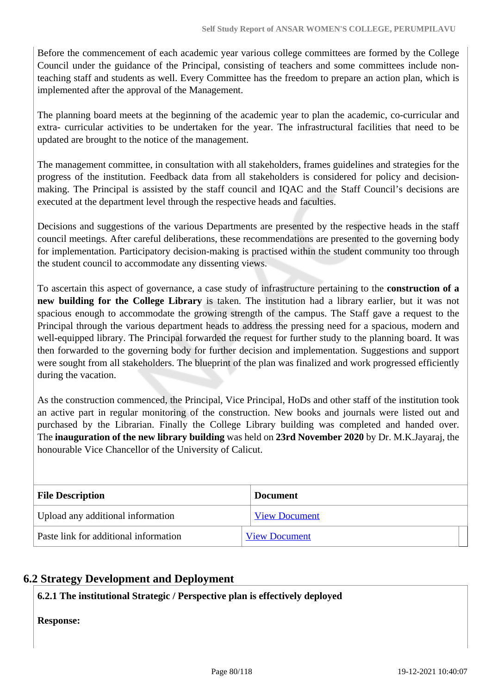Before the commencement of each academic year various college committees are formed by the College Council under the guidance of the Principal, consisting of teachers and some committees include nonteaching staff and students as well. Every Committee has the freedom to prepare an action plan, which is implemented after the approval of the Management.

The planning board meets at the beginning of the academic year to plan the academic, co-curricular and extra- curricular activities to be undertaken for the year. The infrastructural facilities that need to be updated are brought to the notice of the management.

The management committee, in consultation with all stakeholders, frames guidelines and strategies for the progress of the institution. Feedback data from all stakeholders is considered for policy and decisionmaking. The Principal is assisted by the staff council and IQAC and the Staff Council's decisions are executed at the department level through the respective heads and faculties.

Decisions and suggestions of the various Departments are presented by the respective heads in the staff council meetings. After careful deliberations, these recommendations are presented to the governing body for implementation. Participatory decision-making is practised within the student community too through the student council to accommodate any dissenting views.

To ascertain this aspect of governance, a case study of infrastructure pertaining to the **construction of a new building for the College Library** is taken. The institution had a library earlier, but it was not spacious enough to accommodate the growing strength of the campus. The Staff gave a request to the Principal through the various department heads to address the pressing need for a spacious, modern and well-equipped library. The Principal forwarded the request for further study to the planning board. It was then forwarded to the governing body for further decision and implementation. Suggestions and support were sought from all stakeholders. The blueprint of the plan was finalized and work progressed efficiently during the vacation.

As the construction commenced, the Principal, Vice Principal, HoDs and other staff of the institution took an active part in regular monitoring of the construction. New books and journals were listed out and purchased by the Librarian. Finally the College Library building was completed and handed over. The **inauguration of the new library building** was held on **23rd November 2020** by Dr. M.K.Jayaraj, the honourable Vice Chancellor of the University of Calicut.

| <b>File Description</b>               | <b>Document</b>      |  |
|---------------------------------------|----------------------|--|
| Upload any additional information     | <b>View Document</b> |  |
| Paste link for additional information | <b>View Document</b> |  |

### **6.2 Strategy Development and Deployment**

### **6.2.1 The institutional Strategic / Perspective plan is effectively deployed**

**Response:**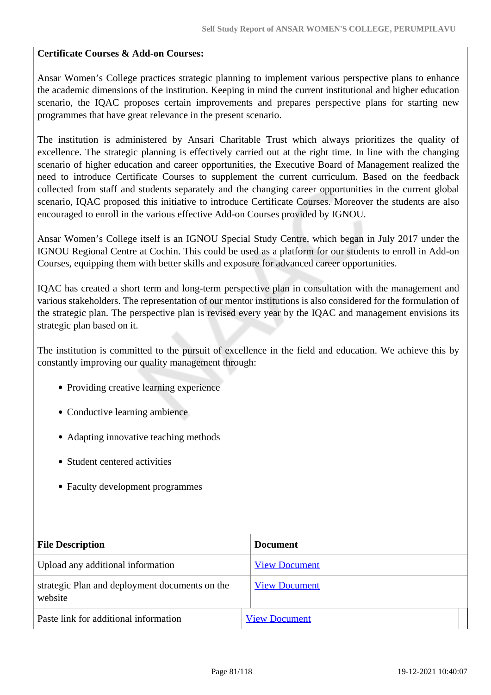#### **Certificate Courses & Add-on Courses:**

Ansar Women's College practices strategic planning to implement various perspective plans to enhance the academic dimensions of the institution. Keeping in mind the current institutional and higher education scenario, the IQAC proposes certain improvements and prepares perspective plans for starting new programmes that have great relevance in the present scenario.

The institution is administered by Ansari Charitable Trust which always prioritizes the quality of excellence. The strategic planning is effectively carried out at the right time. In line with the changing scenario of higher education and career opportunities, the Executive Board of Management realized the need to introduce Certificate Courses to supplement the current curriculum. Based on the feedback collected from staff and students separately and the changing career opportunities in the current global scenario, IQAC proposed this initiative to introduce Certificate Courses. Moreover the students are also encouraged to enroll in the various effective Add-on Courses provided by IGNOU.

Ansar Women's College itself is an IGNOU Special Study Centre, which began in July 2017 under the IGNOU Regional Centre at Cochin. This could be used as a platform for our students to enroll in Add-on Courses, equipping them with better skills and exposure for advanced career opportunities.

IQAC has created a short term and long-term perspective plan in consultation with the management and various stakeholders. The representation of our mentor institutions is also considered for the formulation of the strategic plan. The perspective plan is revised every year by the IQAC and management envisions its strategic plan based on it.

The institution is committed to the pursuit of excellence in the field and education. We achieve this by constantly improving our quality management through:

- Providing creative learning experience
- Conductive learning ambience
- Adapting innovative teaching methods
- Student centered activities
- Faculty development programmes

| <b>File Description</b>                                   | <b>Document</b>      |
|-----------------------------------------------------------|----------------------|
| Upload any additional information                         | <b>View Document</b> |
| strategic Plan and deployment documents on the<br>website | <b>View Document</b> |
| Paste link for additional information                     | <b>View Document</b> |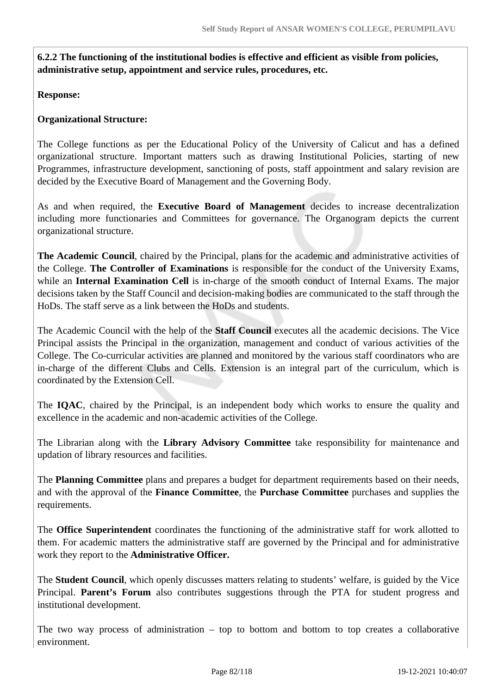**6.2.2 The functioning of the institutional bodies is effective and efficient as visible from policies, administrative setup, appointment and service rules, procedures, etc.**

**Response:** 

### **Organizational Structure:**

The College functions as per the Educational Policy of the University of Calicut and has a defined organizational structure. Important matters such as drawing Institutional Policies, starting of new Programmes, infrastructure development, sanctioning of posts, staff appointment and salary revision are decided by the Executive Board of Management and the Governing Body.

As and when required, the **Executive Board of Management** decides to increase decentralization including more functionaries and Committees for governance. The Organogram depicts the current organizational structure.

**The Academic Council**, chaired by the Principal, plans for the academic and administrative activities of the College. **The Controller of Examinations** is responsible for the conduct of the University Exams, while an **Internal Examination Cell** is in-charge of the smooth conduct of Internal Exams. The major decisions taken by the Staff Council and decision-making bodies are communicated to the staff through the HoDs. The staff serve as a link between the HoDs and students.

The Academic Council with the help of the **Staff Council** executes all the academic decisions. The Vice Principal assists the Principal in the organization, management and conduct of various activities of the College. The Co-curricular activities are planned and monitored by the various staff coordinators who are in-charge of the different Clubs and Cells. Extension is an integral part of the curriculum, which is coordinated by the Extension Cell.

The **IQAC**, chaired by the Principal, is an independent body which works to ensure the quality and excellence in the academic and non-academic activities of the College.

The Librarian along with the **Library Advisory Committee** take responsibility for maintenance and updation of library resources and facilities.

The **Planning Committee** plans and prepares a budget for department requirements based on their needs, and with the approval of the **Finance Committee**, the **Purchase Committee** purchases and supplies the requirements.

The **Office Superintendent** coordinates the functioning of the administrative staff for work allotted to them. For academic matters the administrative staff are governed by the Principal and for administrative work they report to the **Administrative Officer.**

The **Student Council**, which openly discusses matters relating to students' welfare, is guided by the Vice Principal. **Parent's Forum** also contributes suggestions through the PTA for student progress and institutional development.

The two way process of administration – top to bottom and bottom to top creates a collaborative environment.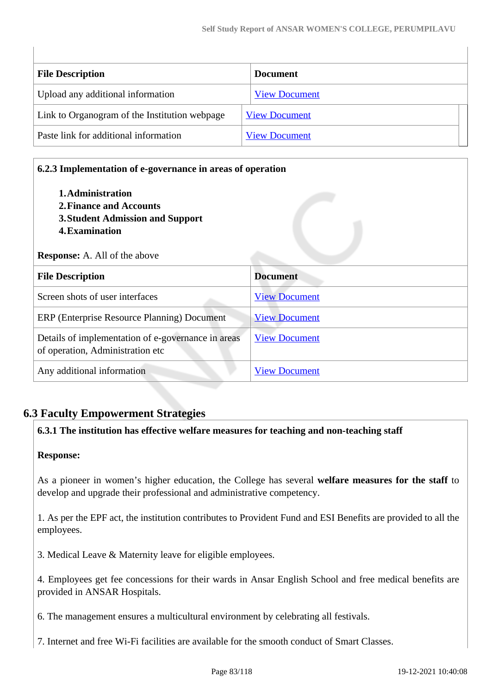| <b>File Description</b>                       | <b>Document</b>      |
|-----------------------------------------------|----------------------|
| Upload any additional information             | <b>View Document</b> |
| Link to Organogram of the Institution webpage | <b>View Document</b> |
| Paste link for additional information         | <b>View Document</b> |

# **6.2.3 Implementation of e-governance in areas of operation 1.Administration 2.Finance and Accounts 3.Student Admission and Support 4.Examination Response:** A. All of the above **File Description Document** Screen shots of user interfaces [View Document](https://assessmentonline.naac.gov.in/storage/app/hei/SSR/104353/6.2.3_1621514286_3559.pdf) ERP (Enterprise Resource Planning) Document [View Document](https://assessmentonline.naac.gov.in/storage/app/hei/SSR/104353/6.2.3_1621526495_3559.pdf) Details of implementation of e-governance in areas of operation, Administration etc [View Document](https://assessmentonline.naac.gov.in/storage/app/hei/SSR/104353/6.2.3_1620244898_3559.xlsx) Any additional information [View Document](https://assessmentonline.naac.gov.in/storage/app/hei/SSR/104353/6.2.3_1621514297_3559.pdf)

# **6.3 Faculty Empowerment Strategies**

### **6.3.1 The institution has effective welfare measures for teaching and non-teaching staff**

### **Response:**

As a pioneer in women's higher education, the College has several **welfare measures for the staff** to develop and upgrade their professional and administrative competency.

1. As per the EPF act, the institution contributes to Provident Fund and ESI Benefits are provided to all the employees.

3. Medical Leave & Maternity leave for eligible employees.

4. Employees get fee concessions for their wards in Ansar English School and free medical benefits are provided in ANSAR Hospitals.

6. The management ensures a multicultural environment by celebrating all festivals.

7. Internet and free Wi-Fi facilities are available for the smooth conduct of Smart Classes.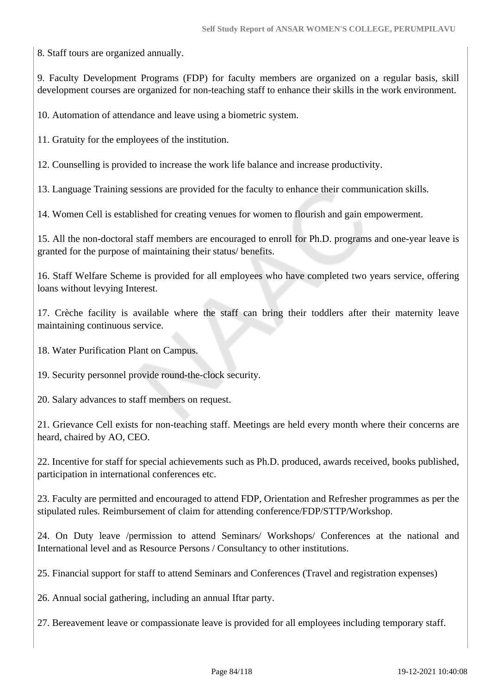8. Staff tours are organized annually.

9. Faculty Development Programs (FDP) for faculty members are organized on a regular basis, skill development courses are organized for non-teaching staff to enhance their skills in the work environment.

10. Automation of attendance and leave using a biometric system.

11. Gratuity for the employees of the institution.

12. Counselling is provided to increase the work life balance and increase productivity.

13. Language Training sessions are provided for the faculty to enhance their communication skills.

14. Women Cell is established for creating venues for women to flourish and gain empowerment.

15. All the non-doctoral staff members are encouraged to enroll for Ph.D. programs and one-year leave is granted for the purpose of maintaining their status/ benefits.

16. Staff Welfare Scheme is provided for all employees who have completed two years service, offering loans without levying Interest.

17. Crèche facility is available where the staff can bring their toddlers after their maternity leave maintaining continuous service.

18. Water Purification Plant on Campus.

19. Security personnel provide round-the-clock security.

20. Salary advances to staff members on request.

21. Grievance Cell exists for non-teaching staff. Meetings are held every month where their concerns are heard, chaired by AO, CEO.

22. Incentive for staff for special achievements such as Ph.D. produced, awards received, books published, participation in international conferences etc.

23. Faculty are permitted and encouraged to attend FDP, Orientation and Refresher programmes as per the stipulated rules. Reimbursement of claim for attending conference/FDP/STTP/Workshop.

24. On Duty leave /permission to attend Seminars/ Workshops/ Conferences at the national and International level and as Resource Persons / Consultancy to other institutions.

25. Financial support for staff to attend Seminars and Conferences (Travel and registration expenses)

26. Annual social gathering, including an annual Iftar party.

27. Bereavement leave or compassionate leave is provided for all employees including temporary staff.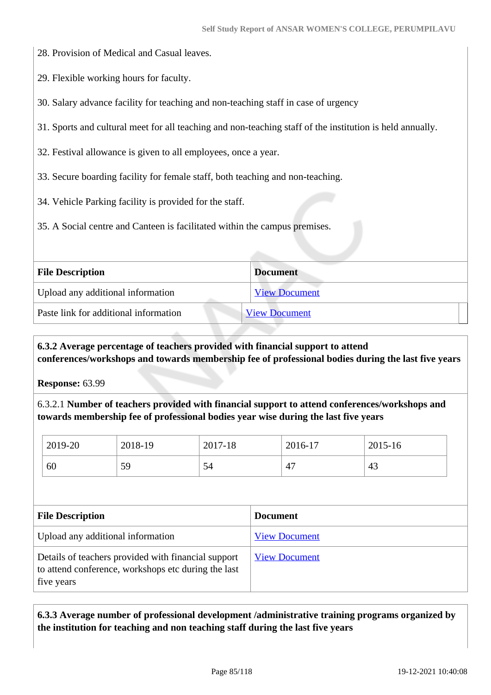- 28. Provision of Medical and Casual leaves.
- 29. Flexible working hours for faculty.
- 30. Salary advance facility for teaching and non-teaching staff in case of urgency
- 31. Sports and cultural meet for all teaching and non-teaching staff of the institution is held annually.
- 32. Festival allowance is given to all employees, once a year.
- 33. Secure boarding facility for female staff, both teaching and non-teaching.
- 34. Vehicle Parking facility is provided for the staff.
- 35. A Social centre and Canteen is facilitated within the campus premises.

| <b>File Description</b>               | <b>Document</b>      |
|---------------------------------------|----------------------|
| Upload any additional information     | <b>View Document</b> |
| Paste link for additional information | <b>View Document</b> |

### **6.3.2 Average percentage of teachers provided with financial support to attend conferences/workshops and towards membership fee of professional bodies during the last five years**

**Response:** 63.99

6.3.2.1 **Number of teachers provided with financial support to attend conferences/workshops and towards membership fee of professional bodies year wise during the last five years**

| 2019-20 | 2018-19 | 2017-18 | 2016-17             | 2015-16 |
|---------|---------|---------|---------------------|---------|
| 60      | 59      | 54      | $\overline{ }$<br>4 | 43      |

| <b>File Description</b>                                                                                                  | <b>Document</b>      |
|--------------------------------------------------------------------------------------------------------------------------|----------------------|
| Upload any additional information                                                                                        | <b>View Document</b> |
| Details of teachers provided with financial support<br>to attend conference, workshops etc during the last<br>five years | <b>View Document</b> |

 **6.3.3 Average number of professional development /administrative training programs organized by the institution for teaching and non teaching staff during the last five years**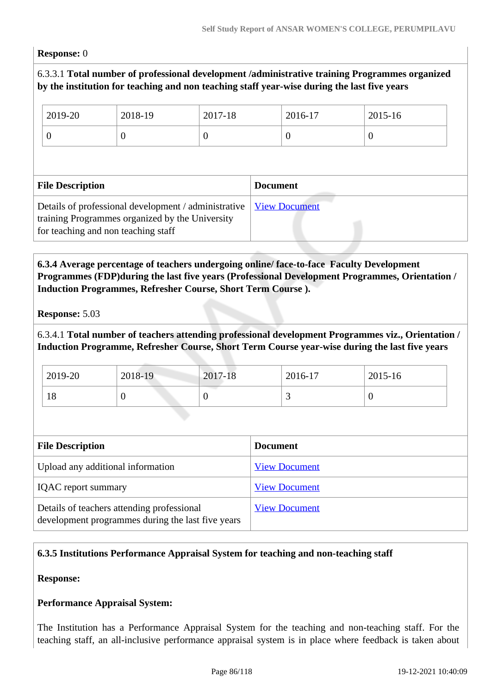#### **Response:** 0

### 6.3.3.1 **Total number of professional development /administrative training Programmes organized by the institution for teaching and non teaching staff year-wise during the last five years**

|                         | 2019-20                                                                                                                                        | 2018-19         | 2017-18  |                      | 2016-17  | 2015-16 |  |
|-------------------------|------------------------------------------------------------------------------------------------------------------------------------------------|-----------------|----------|----------------------|----------|---------|--|
|                         | $\boldsymbol{0}$                                                                                                                               | $\theta$        | $\theta$ |                      | $\theta$ | $\cup$  |  |
|                         |                                                                                                                                                |                 |          |                      |          |         |  |
| <b>File Description</b> |                                                                                                                                                | <b>Document</b> |          |                      |          |         |  |
|                         | Details of professional development / administrative<br>training Programmes organized by the University<br>for teaching and non teaching staff |                 |          | <b>View Document</b> |          |         |  |

### **6.3.4 Average percentage of teachers undergoing online/ face-to-face Faculty Development Programmes (FDP)during the last five years (Professional Development Programmes, Orientation / Induction Programmes, Refresher Course, Short Term Course ).**

**Response:** 5.03

### 6.3.4.1 **Total number of teachers attending professional development Programmes viz., Orientation / Induction Programme, Refresher Course, Short Term Course year-wise during the last five years**

| 2019-20 | 2018-19 | 2017-18 | 2016-17 | 2015-16 |
|---------|---------|---------|---------|---------|
| 18      |         | ν       |         |         |

| <b>File Description</b>                                                                         | <b>Document</b>      |
|-------------------------------------------------------------------------------------------------|----------------------|
| Upload any additional information                                                               | <b>View Document</b> |
| <b>IQAC</b> report summary                                                                      | <b>View Document</b> |
| Details of teachers attending professional<br>development programmes during the last five years | <b>View Document</b> |

### **6.3.5 Institutions Performance Appraisal System for teaching and non-teaching staff**

**Response:** 

### **Performance Appraisal System:**

The Institution has a Performance Appraisal System for the teaching and non-teaching staff. For the teaching staff, an all-inclusive performance appraisal system is in place where feedback is taken about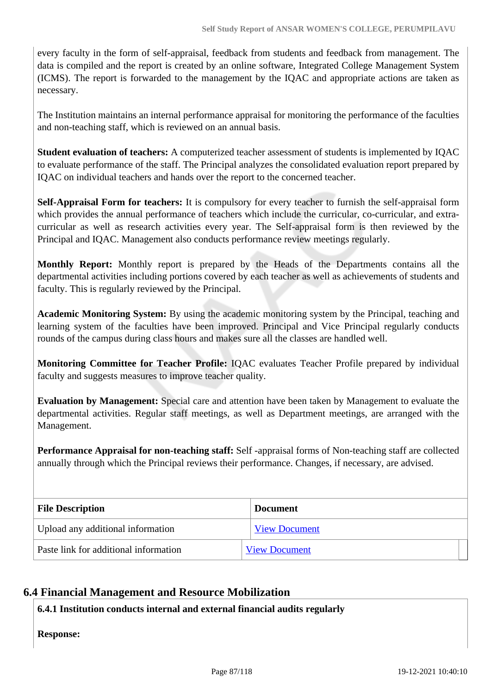every faculty in the form of self-appraisal, feedback from students and feedback from management. The data is compiled and the report is created by an online software, Integrated College Management System (ICMS). The report is forwarded to the management by the IQAC and appropriate actions are taken as necessary.

The Institution maintains an internal performance appraisal for monitoring the performance of the faculties and non-teaching staff, which is reviewed on an annual basis.

**Student evaluation of teachers:** A computerized teacher assessment of students is implemented by IQAC to evaluate performance of the staff. The Principal analyzes the consolidated evaluation report prepared by IQAC on individual teachers and hands over the report to the concerned teacher.

**Self-Appraisal Form for teachers:** It is compulsory for every teacher to furnish the self-appraisal form which provides the annual performance of teachers which include the curricular, co-curricular, and extracurricular as well as research activities every year. The Self-appraisal form is then reviewed by the Principal and IQAC. Management also conducts performance review meetings regularly.

**Monthly Report:** Monthly report is prepared by the Heads of the Departments contains all the departmental activities including portions covered by each teacher as well as achievements of students and faculty. This is regularly reviewed by the Principal.

**Academic Monitoring System:** By using the academic monitoring system by the Principal, teaching and learning system of the faculties have been improved. Principal and Vice Principal regularly conducts rounds of the campus during class hours and makes sure all the classes are handled well.

**Monitoring Committee for Teacher Profile:** IQAC evaluates Teacher Profile prepared by individual faculty and suggests measures to improve teacher quality.

**Evaluation by Management:** Special care and attention have been taken by Management to evaluate the departmental activities. Regular staff meetings, as well as Department meetings, are arranged with the Management.

**Performance Appraisal for non-teaching staff:** Self -appraisal forms of Non-teaching staff are collected annually through which the Principal reviews their performance. Changes, if necessary, are advised.

| <b>File Description</b>               | <b>Document</b>      |
|---------------------------------------|----------------------|
| Upload any additional information     | <b>View Document</b> |
| Paste link for additional information | <b>View Document</b> |

### **6.4 Financial Management and Resource Mobilization**

**6.4.1 Institution conducts internal and external financial audits regularly**

**Response:**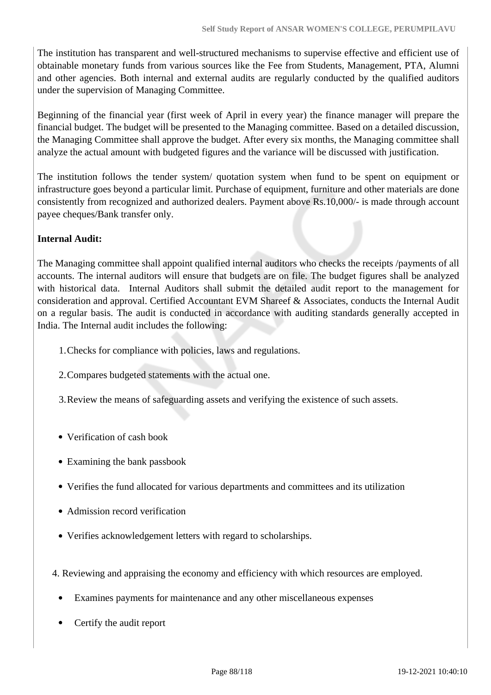The institution has transparent and well-structured mechanisms to supervise effective and efficient use of obtainable monetary funds from various sources like the Fee from Students, Management, PTA, Alumni and other agencies. Both internal and external audits are regularly conducted by the qualified auditors under the supervision of Managing Committee.

Beginning of the financial year (first week of April in every year) the finance manager will prepare the financial budget. The budget will be presented to the Managing committee. Based on a detailed discussion, the Managing Committee shall approve the budget. After every six months, the Managing committee shall analyze the actual amount with budgeted figures and the variance will be discussed with justification.

The institution follows the tender system/ quotation system when fund to be spent on equipment or infrastructure goes beyond a particular limit. Purchase of equipment, furniture and other materials are done consistently from recognized and authorized dealers. Payment above Rs.10,000/- is made through account payee cheques/Bank transfer only.

### **Internal Audit:**

The Managing committee shall appoint qualified internal auditors who checks the receipts /payments of all accounts. The internal auditors will ensure that budgets are on file. The budget figures shall be analyzed with historical data. Internal Auditors shall submit the detailed audit report to the management for consideration and approval. Certified Accountant EVM Shareef & Associates, conducts the Internal Audit on a regular basis. The audit is conducted in accordance with auditing standards generally accepted in India. The Internal audit includes the following:

- 1.Checks for compliance with policies, laws and regulations.
- 2.Compares budgeted statements with the actual one.
- 3.Review the means of safeguarding assets and verifying the existence of such assets.
- Verification of cash book
- Examining the bank passbook
- Verifies the fund allocated for various departments and committees and its utilization
- Admission record verification
- Verifies acknowledgement letters with regard to scholarships.
- 4. Reviewing and appraising the economy and efficiency with which resources are employed.
	- Examines payments for maintenance and any other miscellaneous expenses
	- Certify the audit report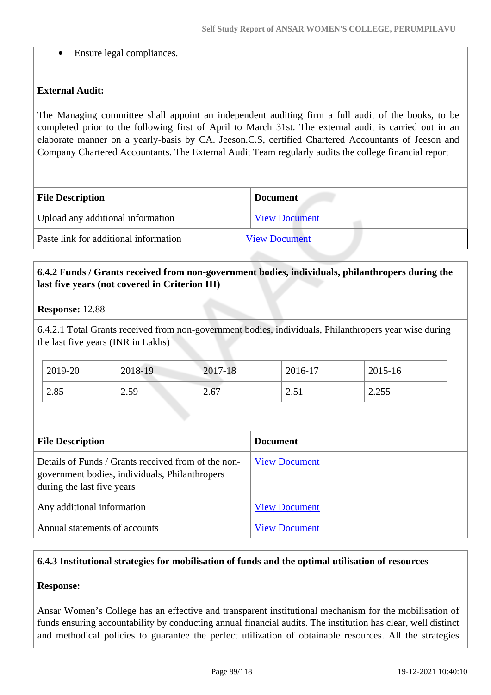Ensure legal compliances.

### **External Audit:**

The Managing committee shall appoint an independent auditing firm a full audit of the books, to be completed prior to the following first of April to March 31st. The external audit is carried out in an elaborate manner on a yearly-basis by CA. Jeeson.C.S, certified Chartered Accountants of Jeeson and Company Chartered Accountants. The External Audit Team regularly audits the college financial report

| <b>File Description</b>               | <b>Document</b>      |  |
|---------------------------------------|----------------------|--|
| Upload any additional information     | <b>View Document</b> |  |
| Paste link for additional information | <b>View Document</b> |  |

### **6.4.2 Funds / Grants received from non-government bodies, individuals, philanthropers during the last five years (not covered in Criterion III)**

#### **Response:** 12.88

6.4.2.1 Total Grants received from non-government bodies, individuals, Philanthropers year wise during the last five years (INR in Lakhs)

| 2019-20 | 2018-19 | 2017-18 | 2016-17                               | 2015-16                |
|---------|---------|---------|---------------------------------------|------------------------|
| 2.85    | 2.59    | 2.67    | $\bigcap$ $\leq$ 1<br>$\sim$ $\sim$ 1 | つ つちち<br><i>L</i> .LJJ |

| <b>File Description</b>                                                                                                             | <b>Document</b>      |
|-------------------------------------------------------------------------------------------------------------------------------------|----------------------|
| Details of Funds / Grants received from of the non-<br>government bodies, individuals, Philanthropers<br>during the last five years | <b>View Document</b> |
| Any additional information                                                                                                          | <b>View Document</b> |
| Annual statements of accounts                                                                                                       | <b>View Document</b> |

### **6.4.3 Institutional strategies for mobilisation of funds and the optimal utilisation of resources**

### **Response:**

Ansar Women's College has an effective and transparent institutional mechanism for the mobilisation of funds ensuring accountability by conducting annual financial audits. The institution has clear, well distinct and methodical policies to guarantee the perfect utilization of obtainable resources. All the strategies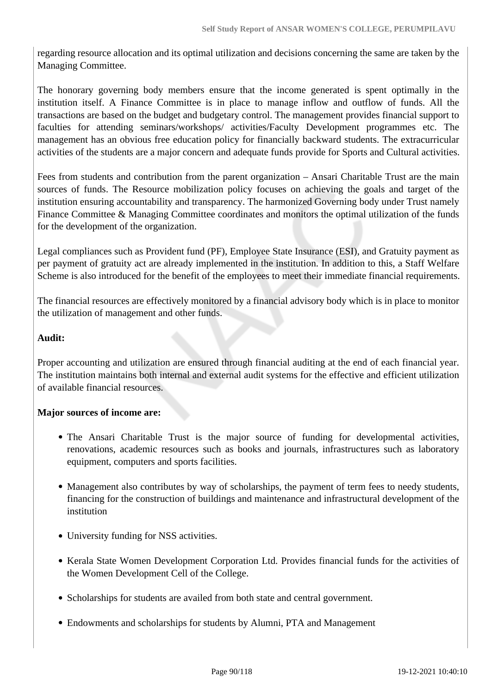regarding resource allocation and its optimal utilization and decisions concerning the same are taken by the Managing Committee.

The honorary governing body members ensure that the income generated is spent optimally in the institution itself. A Finance Committee is in place to manage inflow and outflow of funds. All the transactions are based on the budget and budgetary control. The management provides financial support to faculties for attending seminars/workshops/ activities/Faculty Development programmes etc. The management has an obvious free education policy for financially backward students. The extracurricular activities of the students are a major concern and adequate funds provide for Sports and Cultural activities.

Fees from students and contribution from the parent organization – Ansari Charitable Trust are the main sources of funds. The Resource mobilization policy focuses on achieving the goals and target of the institution ensuring accountability and transparency. The harmonized Governing body under Trust namely Finance Committee & Managing Committee coordinates and monitors the optimal utilization of the funds for the development of the organization.

Legal compliances such as Provident fund (PF), Employee State Insurance (ESI), and Gratuity payment as per payment of gratuity act are already implemented in the institution. In addition to this, a Staff Welfare Scheme is also introduced for the benefit of the employees to meet their immediate financial requirements.

The financial resources are effectively monitored by a financial advisory body which is in place to monitor the utilization of management and other funds.

### **Audit:**

Proper accounting and utilization are ensured through financial auditing at the end of each financial year. The institution maintains both internal and external audit systems for the effective and efficient utilization of available financial resources.

### **Major sources of income are:**

- The Ansari Charitable Trust is the major source of funding for developmental activities, renovations, academic resources such as books and journals, infrastructures such as laboratory equipment, computers and sports facilities.
- Management also contributes by way of scholarships, the payment of term fees to needy students, financing for the construction of buildings and maintenance and infrastructural development of the institution
- University funding for NSS activities.
- Kerala State Women Development Corporation Ltd. Provides financial funds for the activities of the Women Development Cell of the College.
- Scholarships for students are availed from both state and central government.
- Endowments and scholarships for students by Alumni, PTA and Management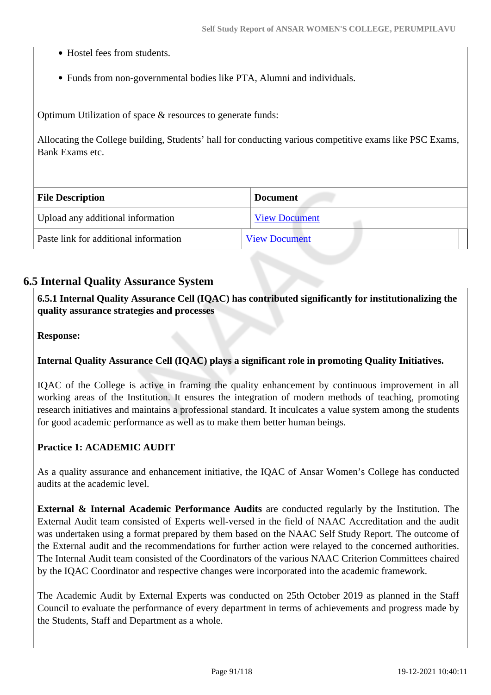- Hostel fees from students.
- Funds from non-governmental bodies like PTA, Alumni and individuals.

Optimum Utilization of space & resources to generate funds:

Allocating the College building, Students' hall for conducting various competitive exams like PSC Exams, Bank Exams etc.

| <b>File Description</b>               | <b>Document</b>      |
|---------------------------------------|----------------------|
| Upload any additional information     | <b>View Document</b> |
| Paste link for additional information | <b>View Document</b> |

### **6.5 Internal Quality Assurance System**

 **6.5.1 Internal Quality Assurance Cell (IQAC) has contributed significantly for institutionalizing the quality assurance strategies and processes**

**Response:** 

### **Internal Quality Assurance Cell (IQAC) plays a significant role in promoting Quality Initiatives.**

IQAC of the College is active in framing the quality enhancement by continuous improvement in all working areas of the Institution. It ensures the integration of modern methods of teaching, promoting research initiatives and maintains a professional standard. It inculcates a value system among the students for good academic performance as well as to make them better human beings.

### **Practice 1: ACADEMIC AUDIT**

As a quality assurance and enhancement initiative, the IQAC of Ansar Women's College has conducted audits at the academic level.

**External & Internal Academic Performance Audits** are conducted regularly by the Institution. The External Audit team consisted of Experts well-versed in the field of NAAC Accreditation and the audit was undertaken using a format prepared by them based on the NAAC Self Study Report. The outcome of the External audit and the recommendations for further action were relayed to the concerned authorities. The Internal Audit team consisted of the Coordinators of the various NAAC Criterion Committees chaired by the IQAC Coordinator and respective changes were incorporated into the academic framework.

The Academic Audit by External Experts was conducted on 25th October 2019 as planned in the Staff Council to evaluate the performance of every department in terms of achievements and progress made by the Students, Staff and Department as a whole.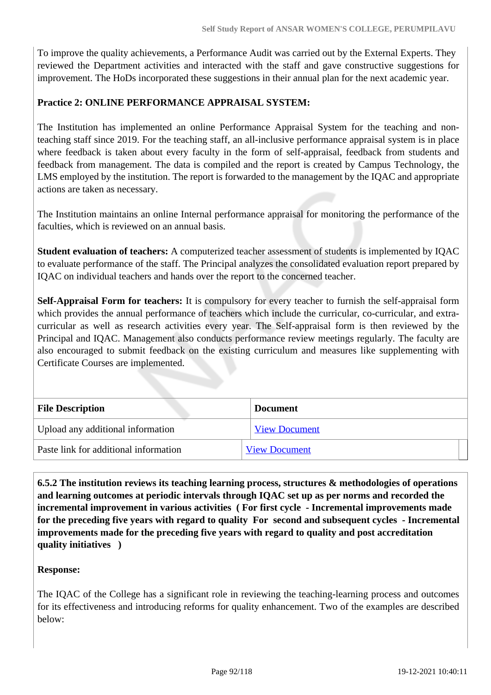To improve the quality achievements, a Performance Audit was carried out by the External Experts. They reviewed the Department activities and interacted with the staff and gave constructive suggestions for improvement. The HoDs incorporated these suggestions in their annual plan for the next academic year.

### **Practice 2: ONLINE PERFORMANCE APPRAISAL SYSTEM:**

The Institution has implemented an online Performance Appraisal System for the teaching and nonteaching staff since 2019. For the teaching staff, an all-inclusive performance appraisal system is in place where feedback is taken about every faculty in the form of self-appraisal, feedback from students and feedback from management. The data is compiled and the report is created by Campus Technology, the LMS employed by the institution. The report is forwarded to the management by the IQAC and appropriate actions are taken as necessary.

The Institution maintains an online Internal performance appraisal for monitoring the performance of the faculties, which is reviewed on an annual basis.

**Student evaluation of teachers:** A computerized teacher assessment of students is implemented by IQAC to evaluate performance of the staff. The Principal analyzes the consolidated evaluation report prepared by IQAC on individual teachers and hands over the report to the concerned teacher.

**Self-Appraisal Form for teachers:** It is compulsory for every teacher to furnish the self-appraisal form which provides the annual performance of teachers which include the curricular, co-curricular, and extracurricular as well as research activities every year. The Self-appraisal form is then reviewed by the Principal and IQAC. Management also conducts performance review meetings regularly. The faculty are also encouraged to submit feedback on the existing curriculum and measures like supplementing with Certificate Courses are implemented.

| <b>File Description</b>               | <b>Document</b>      |  |
|---------------------------------------|----------------------|--|
| Upload any additional information     | <b>View Document</b> |  |
| Paste link for additional information | <b>View Document</b> |  |

 **6.5.2 The institution reviews its teaching learning process, structures & methodologies of operations and learning outcomes at periodic intervals through IQAC set up as per norms and recorded the incremental improvement in various activities ( For first cycle - Incremental improvements made for the preceding five years with regard to quality For second and subsequent cycles - Incremental improvements made for the preceding five years with regard to quality and post accreditation quality initiatives )** 

### **Response:**

The IQAC of the College has a significant role in reviewing the teaching-learning process and outcomes for its effectiveness and introducing reforms for quality enhancement. Two of the examples are described below: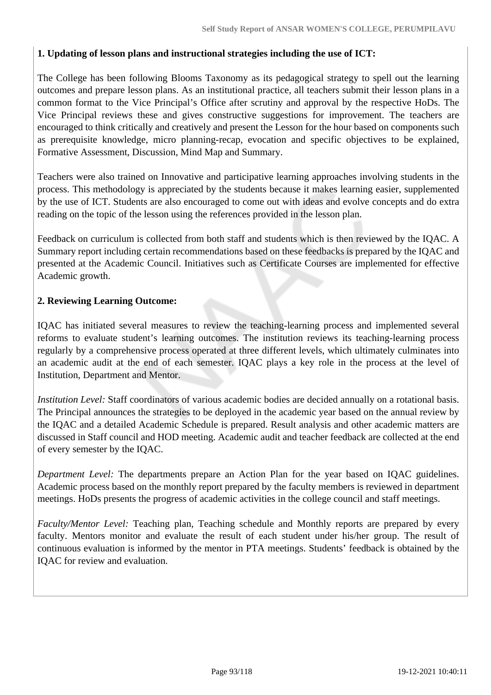### **1. Updating of lesson plans and instructional strategies including the use of ICT:**

The College has been following Blooms Taxonomy as its pedagogical strategy to spell out the learning outcomes and prepare lesson plans. As an institutional practice, all teachers submit their lesson plans in a common format to the Vice Principal's Office after scrutiny and approval by the respective HoDs. The Vice Principal reviews these and gives constructive suggestions for improvement. The teachers are encouraged to think critically and creatively and present the Lesson for the hour based on components such as prerequisite knowledge, micro planning-recap, evocation and specific objectives to be explained, Formative Assessment, Discussion, Mind Map and Summary.

Teachers were also trained on Innovative and participative learning approaches involving students in the process. This methodology is appreciated by the students because it makes learning easier, supplemented by the use of ICT. Students are also encouraged to come out with ideas and evolve concepts and do extra reading on the topic of the lesson using the references provided in the lesson plan.

Feedback on curriculum is collected from both staff and students which is then reviewed by the IQAC. A Summary report including certain recommendations based on these feedbacks is prepared by the IQAC and presented at the Academic Council. Initiatives such as Certificate Courses are implemented for effective Academic growth.

### **2. Reviewing Learning Outcome:**

IQAC has initiated several measures to review the teaching-learning process and implemented several reforms to evaluate student's learning outcomes. The institution reviews its teaching-learning process regularly by a comprehensive process operated at three different levels, which ultimately culminates into an academic audit at the end of each semester. IQAC plays a key role in the process at the level of Institution, Department and Mentor.

*Institution Level:* Staff coordinators of various academic bodies are decided annually on a rotational basis. The Principal announces the strategies to be deployed in the academic year based on the annual review by the IQAC and a detailed Academic Schedule is prepared. Result analysis and other academic matters are discussed in Staff council and HOD meeting. Academic audit and teacher feedback are collected at the end of every semester by the IQAC.

*Department Level:* The departments prepare an Action Plan for the year based on IQAC guidelines. Academic process based on the monthly report prepared by the faculty members is reviewed in department meetings. HoDs presents the progress of academic activities in the college council and staff meetings.

*Faculty/Mentor Level:* Teaching plan, Teaching schedule and Monthly reports are prepared by every faculty. Mentors monitor and evaluate the result of each student under his/her group. The result of continuous evaluation is informed by the mentor in PTA meetings. Students' feedback is obtained by the IQAC for review and evaluation.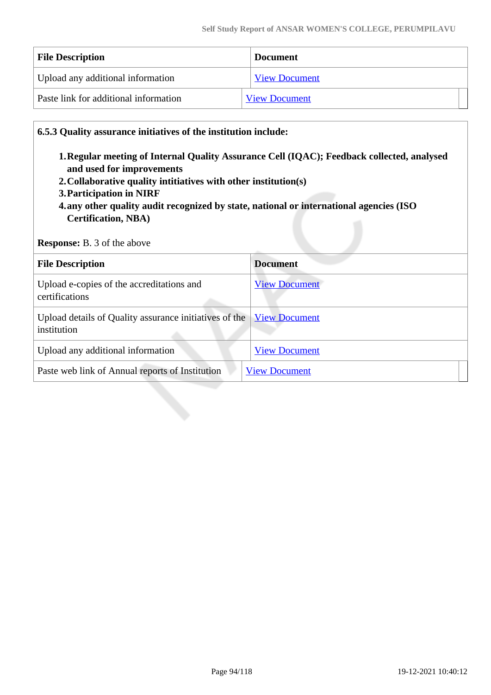| <b>File Description</b>               | <b>Document</b>      |  |
|---------------------------------------|----------------------|--|
| Upload any additional information     | <b>View Document</b> |  |
| Paste link for additional information | <b>View Document</b> |  |

#### **6.5.3 Quality assurance initiatives of the institution include:**

- **1.Regular meeting of Internal Quality Assurance Cell (IQAC); Feedback collected, analysed and used for improvements**
- **2.Collaborative quality intitiatives with other institution(s)**
- **3.Participation in NIRF**
- **4.any other quality audit recognized by state, national or international agencies (ISO Certification, NBA)**

**Response:** B. 3 of the above

| <b>File Description</b>                                               | <b>Document</b>      |
|-----------------------------------------------------------------------|----------------------|
| Upload e-copies of the accreditations and<br>certifications           | <b>View Document</b> |
| Upload details of Quality assurance initiatives of the<br>institution | <b>View Document</b> |
| Upload any additional information                                     | <b>View Document</b> |
| Paste web link of Annual reports of Institution                       | <b>View Document</b> |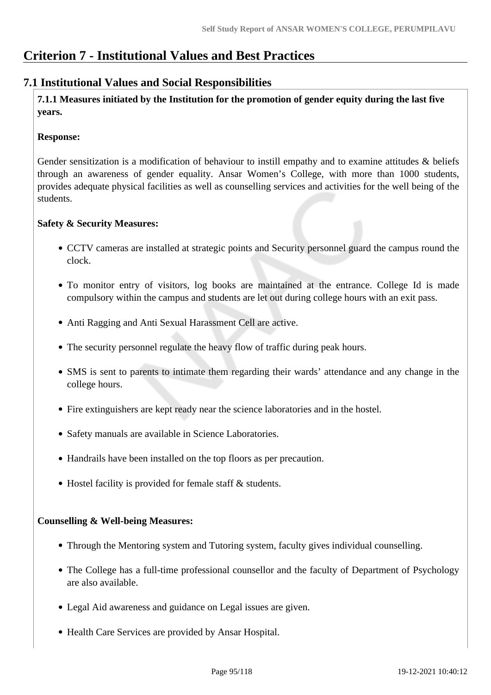# **Criterion 7 - Institutional Values and Best Practices**

### **7.1 Institutional Values and Social Responsibilities**

 **7.1.1 Measures initiated by the Institution for the promotion of gender equity during the last five years.**

#### **Response:**

Gender sensitization is a modification of behaviour to instill empathy and to examine attitudes & beliefs through an awareness of gender equality. Ansar Women's College, with more than 1000 students, provides adequate physical facilities as well as counselling services and activities for the well being of the students.

#### **Safety & Security Measures:**

- CCTV cameras are installed at strategic points and Security personnel guard the campus round the clock.
- To monitor entry of visitors, log books are maintained at the entrance. College Id is made compulsory within the campus and students are let out during college hours with an exit pass.
- Anti Ragging and Anti Sexual Harassment Cell are active.
- The security personnel regulate the heavy flow of traffic during peak hours.
- SMS is sent to parents to intimate them regarding their wards' attendance and any change in the college hours.
- Fire extinguishers are kept ready near the science laboratories and in the hostel.
- Safety manuals are available in Science Laboratories.
- Handrails have been installed on the top floors as per precaution.
- Hostel facility is provided for female staff & students.

### **Counselling & Well-being Measures:**

- Through the Mentoring system and Tutoring system, faculty gives individual counselling.
- The College has a full-time professional counsellor and the faculty of Department of Psychology are also available.
- Legal Aid awareness and guidance on Legal issues are given.
- Health Care Services are provided by Ansar Hospital.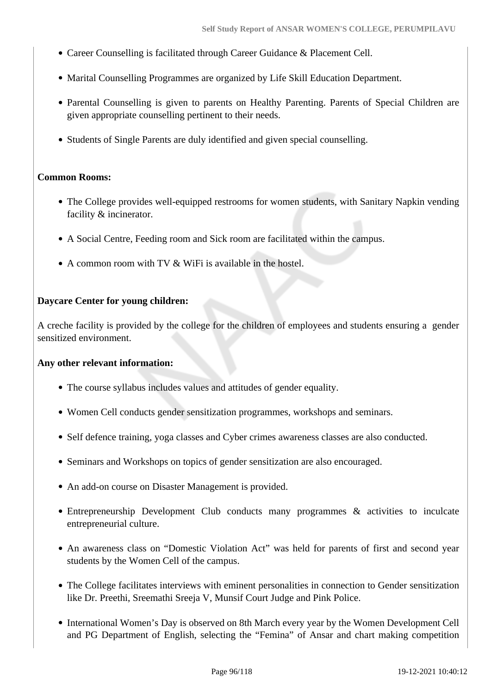- Career Counselling is facilitated through Career Guidance & Placement Cell.
- Marital Counselling Programmes are organized by Life Skill Education Department.
- Parental Counselling is given to parents on Healthy Parenting. Parents of Special Children are given appropriate counselling pertinent to their needs.
- Students of Single Parents are duly identified and given special counselling.

#### **Common Rooms:**

- The College provides well-equipped restrooms for women students, with Sanitary Napkin vending facility & incinerator.
- A Social Centre, Feeding room and Sick room are facilitated within the campus.
- A common room with TV & WiFi is available in the hostel.

#### **Daycare Center for young children:**

A creche facility is provided by the college for the children of employees and students ensuring a gender sensitized environment.

#### **Any other relevant information:**

- The course syllabus includes values and attitudes of gender equality.
- Women Cell conducts gender sensitization programmes, workshops and seminars.
- Self defence training, yoga classes and Cyber crimes awareness classes are also conducted.
- Seminars and Workshops on topics of gender sensitization are also encouraged.
- An add-on course on Disaster Management is provided.
- Entrepreneurship Development Club conducts many programmes & activities to inculcate entrepreneurial culture.
- An awareness class on "Domestic Violation Act" was held for parents of first and second year students by the Women Cell of the campus.
- The College facilitates interviews with eminent personalities in connection to Gender sensitization like Dr. Preethi, Sreemathi Sreeja V, Munsif Court Judge and Pink Police.
- International Women's Day is observed on 8th March every year by the Women Development Cell and PG Department of English, selecting the "Femina" of Ansar and chart making competition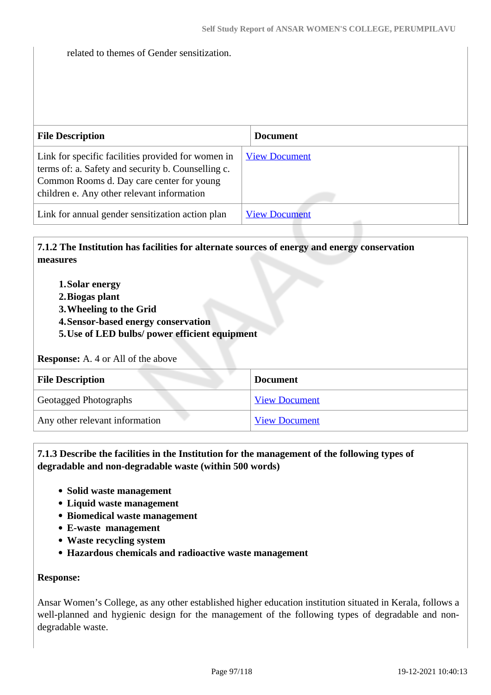related to themes of Gender sensitization.

| <b>File Description</b>                                                                                                                                                                             | <b>Document</b>      |
|-----------------------------------------------------------------------------------------------------------------------------------------------------------------------------------------------------|----------------------|
| Link for specific facilities provided for women in<br>terms of: a. Safety and security b. Counselling c.<br>Common Rooms d. Day care center for young<br>children e. Any other relevant information | <b>View Document</b> |
| Link for annual gender sensitization action plan                                                                                                                                                    | <b>View Document</b> |

### **7.1.2 The Institution has facilities for alternate sources of energy and energy conservation measures**

- **1.Solar energy**
- **2.Biogas plant**
- **3.Wheeling to the Grid**
- **4.Sensor-based energy conservation**
- **5.Use of LED bulbs/ power efficient equipment**

#### **Response:** A. 4 or All of the above

| <b>File Description</b>        | <b>Document</b>      |
|--------------------------------|----------------------|
| <b>Geotagged Photographs</b>   | <b>View Document</b> |
| Any other relevant information | <b>View Document</b> |

#### **7.1.3 Describe the facilities in the Institution for the management of the following types of degradable and non-degradable waste (within 500 words)**

- **Solid waste management**
- **Liquid waste management**
- **Biomedical waste management**
- **E-waste management**
- **Waste recycling system**
- **Hazardous chemicals and radioactive waste management**

#### **Response:**

Ansar Women's College, as any other established higher education institution situated in Kerala, follows a well-planned and hygienic design for the management of the following types of degradable and nondegradable waste.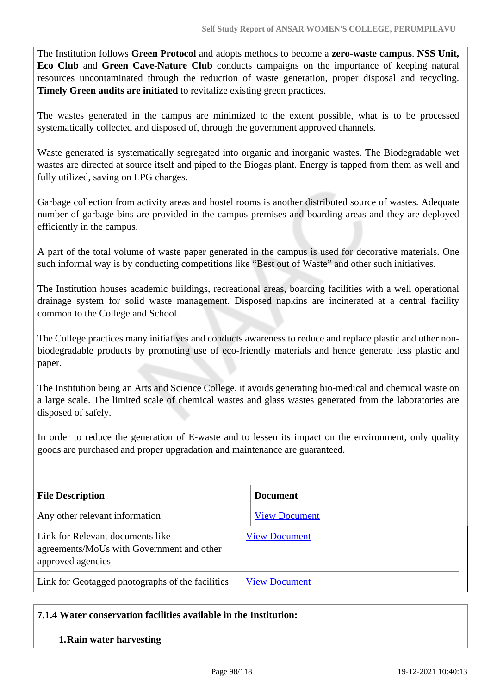The Institution follows **Green Protocol** and adopts methods to become a **zero-waste campus**. **NSS Unit, Eco Club** and **Green Cave-Nature Club** conducts campaigns on the importance of keeping natural resources uncontaminated through the reduction of waste generation, proper disposal and recycling. **Timely Green audits are initiated** to revitalize existing green practices.

The wastes generated in the campus are minimized to the extent possible, what is to be processed systematically collected and disposed of, through the government approved channels.

Waste generated is systematically segregated into organic and inorganic wastes. The Biodegradable wet wastes are directed at source itself and piped to the Biogas plant. Energy is tapped from them as well and fully utilized, saving on LPG charges.

Garbage collection from activity areas and hostel rooms is another distributed source of wastes. Adequate number of garbage bins are provided in the campus premises and boarding areas and they are deployed efficiently in the campus.

A part of the total volume of waste paper generated in the campus is used for decorative materials. One such informal way is by conducting competitions like "Best out of Waste" and other such initiatives.

The Institution houses academic buildings, recreational areas, boarding facilities with a well operational drainage system for solid waste management. Disposed napkins are incinerated at a central facility common to the College and School.

The College practices many initiatives and conducts awareness to reduce and replace plastic and other nonbiodegradable products by promoting use of eco-friendly materials and hence generate less plastic and paper.

The Institution being an Arts and Science College, it avoids generating bio-medical and chemical waste on a large scale. The limited scale of chemical wastes and glass wastes generated from the laboratories are disposed of safely.

In order to reduce the generation of E-waste and to lessen its impact on the environment, only quality goods are purchased and proper upgradation and maintenance are guaranteed.

| <b>File Description</b>                                                                            | <b>Document</b>      |
|----------------------------------------------------------------------------------------------------|----------------------|
| Any other relevant information                                                                     | <b>View Document</b> |
| Link for Relevant documents like<br>agreements/MoUs with Government and other<br>approved agencies | <b>View Document</b> |
| Link for Geotagged photographs of the facilities                                                   | <b>View Document</b> |

### **7.1.4 Water conservation facilities available in the Institution:**

### **1.Rain water harvesting**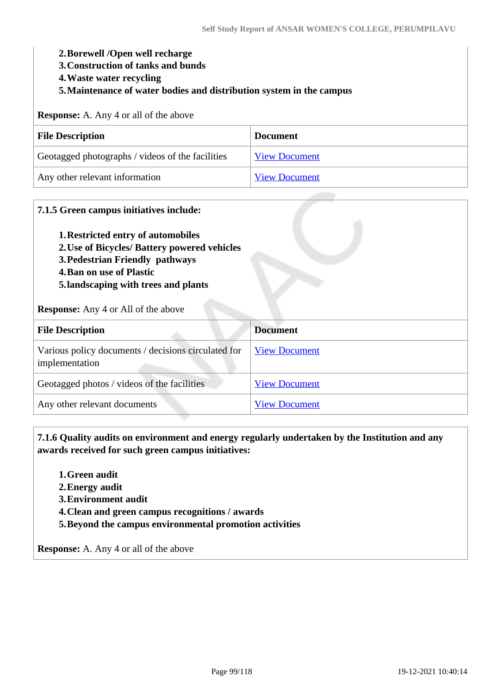#### **2.Borewell /Open well recharge**

- **3.Construction of tanks and bunds**
- **4.Waste water recycling**
- **5.Maintenance of water bodies and distribution system in the campus**

**Response:** A. Any 4 or all of the above

| <b>File Description</b>                          | <b>Document</b>      |
|--------------------------------------------------|----------------------|
| Geotagged photographs / videos of the facilities | <b>View Document</b> |
| Any other relevant information                   | <b>View Document</b> |

#### **7.1.5 Green campus initiatives include:**

- **1.Restricted entry of automobiles**
- **2.Use of Bicycles/ Battery powered vehicles**
- **3.Pedestrian Friendly pathways**
- **4.Ban on use of Plastic**
- **5.landscaping with trees and plants**

**Response:** Any 4 or All of the above

| <b>File Description</b>                                               | <b>Document</b>      |
|-----------------------------------------------------------------------|----------------------|
| Various policy documents / decisions circulated for<br>implementation | <b>View Document</b> |
| Geotagged photos / videos of the facilities                           | <b>View Document</b> |
| Any other relevant documents                                          | <b>View Document</b> |

 **7.1.6 Quality audits on environment and energy regularly undertaken by the Institution and any awards received for such green campus initiatives:**

- **1.Green audit**
- **2.Energy audit**
- **3.Environment audit**
- **4.Clean and green campus recognitions / awards**
- **5.Beyond the campus environmental promotion activities**

**Response:** A. Any 4 or all of the above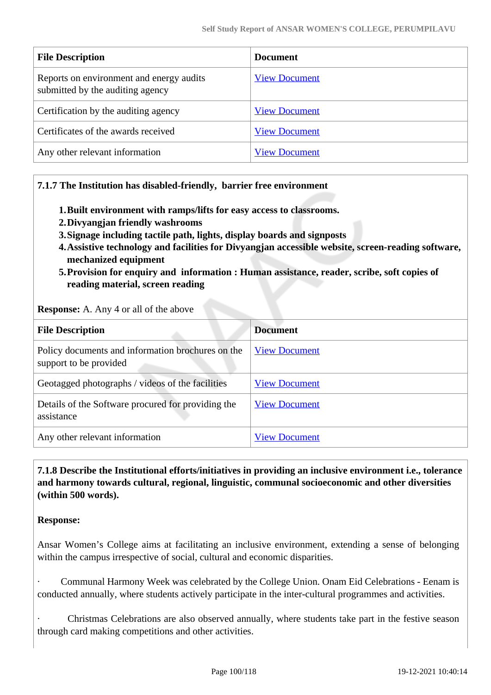| <b>File Description</b>                                                      | <b>Document</b>      |
|------------------------------------------------------------------------------|----------------------|
| Reports on environment and energy audits<br>submitted by the auditing agency | <b>View Document</b> |
| Certification by the auditing agency                                         | <b>View Document</b> |
| Certificates of the awards received                                          | <b>View Document</b> |
| Any other relevant information                                               | <b>View Document</b> |

### **7.1.7 The Institution has disabled-friendly, barrier free environment**

- **1.Built environment with ramps/lifts for easy access to classrooms.**
- **2.Divyangjan friendly washrooms**
- **3.Signage including tactile path, lights, display boards and signposts**
- **4.Assistive technology and facilities for Divyangjan accessible website, screen-reading software, mechanized equipment**
- **5.Provision for enquiry and information : Human assistance, reader, scribe, soft copies of reading material, screen reading**

**Response:** A. Any 4 or all of the above

| <b>File Description</b>                                                     | <b>Document</b>      |
|-----------------------------------------------------------------------------|----------------------|
| Policy documents and information brochures on the<br>support to be provided | <b>View Document</b> |
| Geotagged photographs / videos of the facilities                            | <b>View Document</b> |
| Details of the Software procured for providing the<br>assistance            | <b>View Document</b> |
| Any other relevant information                                              | <b>View Document</b> |

 **7.1.8 Describe the Institutional efforts/initiatives in providing an inclusive environment i.e., tolerance and harmony towards cultural, regional, linguistic, communal socioeconomic and other diversities (within 500 words).**

#### **Response:**

Ansar Women's College aims at facilitating an inclusive environment, extending a sense of belonging within the campus irrespective of social, cultural and economic disparities.

· Communal Harmony Week was celebrated by the College Union. Onam Eid Celebrations - Eenam is conducted annually, where students actively participate in the inter-cultural programmes and activities.

· Christmas Celebrations are also observed annually, where students take part in the festive season through card making competitions and other activities.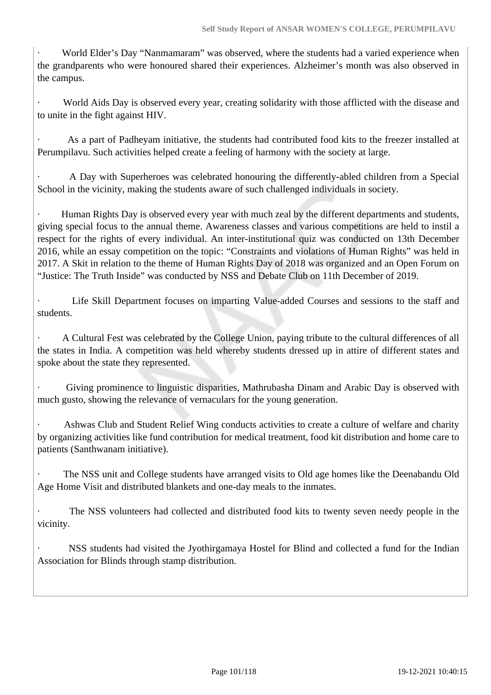World Elder's Day "Nanmamaram" was observed, where the students had a varied experience when the grandparents who were honoured shared their experiences. Alzheimer's month was also observed in the campus.

World Aids Day is observed every year, creating solidarity with those afflicted with the disease and to unite in the fight against HIV.

As a part of Padheyam initiative, the students had contributed food kits to the freezer installed at Perumpilavu. Such activities helped create a feeling of harmony with the society at large.

· A Day with Superheroes was celebrated honouring the differently-abled children from a Special School in the vicinity, making the students aware of such challenged individuals in society.

Human Rights Day is observed every year with much zeal by the different departments and students, giving special focus to the annual theme. Awareness classes and various competitions are held to instil a respect for the rights of every individual. An inter-institutional quiz was conducted on 13th December 2016, while an essay competition on the topic: "Constraints and violations of Human Rights" was held in 2017. A Skit in relation to the theme of Human Rights Day of 2018 was organized and an Open Forum on "Justice: The Truth Inside" was conducted by NSS and Debate Club on 11th December of 2019.

Life Skill Department focuses on imparting Value-added Courses and sessions to the staff and students.

· A Cultural Fest was celebrated by the College Union, paying tribute to the cultural differences of all the states in India. A competition was held whereby students dressed up in attire of different states and spoke about the state they represented.

Giving prominence to linguistic disparities, Mathrubasha Dinam and Arabic Day is observed with much gusto, showing the relevance of vernaculars for the young generation.

Ashwas Club and Student Relief Wing conducts activities to create a culture of welfare and charity by organizing activities like fund contribution for medical treatment, food kit distribution and home care to patients (Santhwanam initiative).

· The NSS unit and College students have arranged visits to Old age homes like the Deenabandu Old Age Home Visit and distributed blankets and one-day meals to the inmates.

The NSS volunteers had collected and distributed food kits to twenty seven needy people in the vicinity.

NSS students had visited the Jyothirgamaya Hostel for Blind and collected a fund for the Indian Association for Blinds through stamp distribution.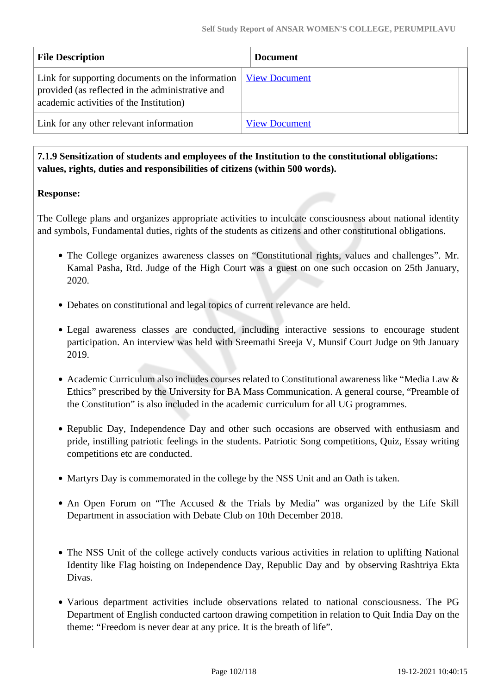| <b>File Description</b>                                                                                                                         | <b>Document</b>      |
|-------------------------------------------------------------------------------------------------------------------------------------------------|----------------------|
| Link for supporting documents on the information<br>provided (as reflected in the administrative and<br>academic activities of the Institution) | <b>View Document</b> |
| Link for any other relevant information                                                                                                         | <b>View Document</b> |

### **7.1.9 Sensitization of students and employees of the Institution to the constitutional obligations: values, rights, duties and responsibilities of citizens (within 500 words).**

### **Response:**

The College plans and organizes appropriate activities to inculcate consciousness about national identity and symbols, Fundamental duties, rights of the students as citizens and other constitutional obligations.

- The College organizes awareness classes on "Constitutional rights, values and challenges". Mr. Kamal Pasha, Rtd. Judge of the High Court was a guest on one such occasion on 25th January, 2020.
- Debates on constitutional and legal topics of current relevance are held.
- Legal awareness classes are conducted, including interactive sessions to encourage student participation. An interview was held with Sreemathi Sreeja V, Munsif Court Judge on 9th January 2019.
- Academic Curriculum also includes courses related to Constitutional awareness like "Media Law & Ethics" prescribed by the University for BA Mass Communication. A general course, "Preamble of the Constitution" is also included in the academic curriculum for all UG programmes.
- Republic Day, Independence Day and other such occasions are observed with enthusiasm and pride, instilling patriotic feelings in the students. Patriotic Song competitions, Quiz, Essay writing competitions etc are conducted.
- Martyrs Day is commemorated in the college by the NSS Unit and an Oath is taken.
- An Open Forum on "The Accused & the Trials by Media" was organized by the Life Skill Department in association with Debate Club on 10th December 2018.
- The NSS Unit of the college actively conducts various activities in relation to uplifting National Identity like Flag hoisting on Independence Day, Republic Day and by observing Rashtriya Ekta Divas.
- Various department activities include observations related to national consciousness. The PG Department of English conducted cartoon drawing competition in relation to Quit India Day on the theme: "Freedom is never dear at any price. It is the breath of life".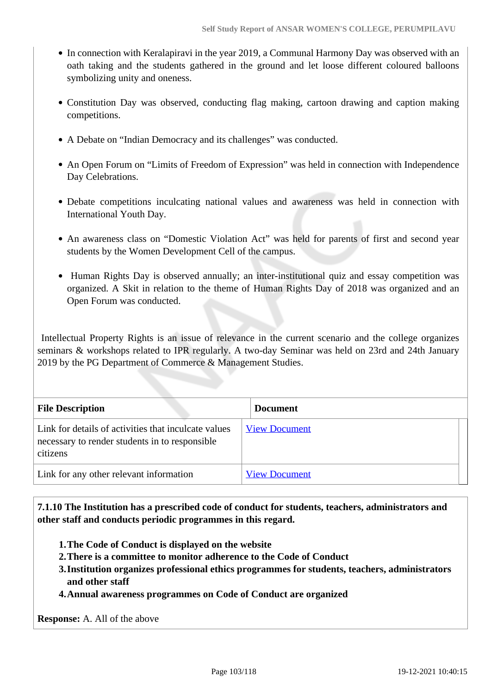- In connection with Keralapiravi in the year 2019, a Communal Harmony Day was observed with an oath taking and the students gathered in the ground and let loose different coloured balloons symbolizing unity and oneness.
- Constitution Day was observed, conducting flag making, cartoon drawing and caption making competitions.
- A Debate on "Indian Democracy and its challenges" was conducted.
- An Open Forum on "Limits of Freedom of Expression" was held in connection with Independence Day Celebrations.
- Debate competitions inculcating national values and awareness was held in connection with International Youth Day.
- An awareness class on "Domestic Violation Act" was held for parents of first and second year students by the Women Development Cell of the campus.
- Human Rights Day is observed annually; an inter-institutional quiz and essay competition was organized. A Skit in relation to the theme of Human Rights Day of 2018 was organized and an Open Forum was conducted.

 Intellectual Property Rights is an issue of relevance in the current scenario and the college organizes seminars & workshops related to IPR regularly. A two-day Seminar was held on 23rd and 24th January 2019 by the PG Department of Commerce & Management Studies.

| <b>File Description</b>                                                                                            | <b>Document</b>      |
|--------------------------------------------------------------------------------------------------------------------|----------------------|
| Link for details of activities that inculcate values<br>necessary to render students in to responsible<br>citizens | <b>View Document</b> |
| Link for any other relevant information                                                                            | <b>View Document</b> |

 **7.1.10 The Institution has a prescribed code of conduct for students, teachers, administrators and other staff and conducts periodic programmes in this regard.** 

- **1.The Code of Conduct is displayed on the website**
- **2.There is a committee to monitor adherence to the Code of Conduct**
- **3.Institution organizes professional ethics programmes for students, teachers, administrators and other staff**
- **4.Annual awareness programmes on Code of Conduct are organized**

**Response:** A. All of the above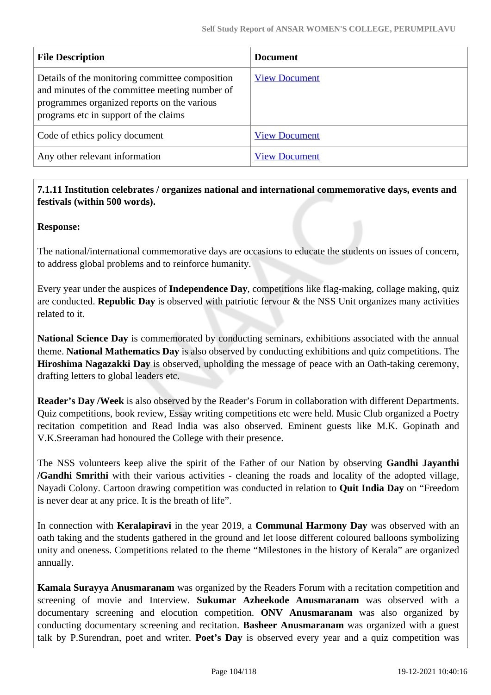| <b>File Description</b>                                                                                                                                                                   | <b>Document</b>      |
|-------------------------------------------------------------------------------------------------------------------------------------------------------------------------------------------|----------------------|
| Details of the monitoring committee composition<br>and minutes of the committee meeting number of<br>programmes organized reports on the various<br>programs etc in support of the claims | <b>View Document</b> |
| Code of ethics policy document                                                                                                                                                            | <b>View Document</b> |
| Any other relevant information                                                                                                                                                            | <b>View Document</b> |

### **7.1.11 Institution celebrates / organizes national and international commemorative days, events and festivals (within 500 words).**

### **Response:**

The national/international commemorative days are occasions to educate the students on issues of concern, to address global problems and to reinforce humanity.

Every year under the auspices of **Independence Day**, competitions like flag-making, collage making, quiz are conducted. **Republic Day** is observed with patriotic fervour & the NSS Unit organizes many activities related to it.

**National Science Day** is commemorated by conducting seminars, exhibitions associated with the annual theme. **National Mathematics Day** is also observed by conducting exhibitions and quiz competitions. The **Hiroshima Nagazakki Day** is observed, upholding the message of peace with an Oath-taking ceremony, drafting letters to global leaders etc.

**Reader's Day /Week** is also observed by the Reader's Forum in collaboration with different Departments. Quiz competitions, book review, Essay writing competitions etc were held. Music Club organized a Poetry recitation competition and Read India was also observed. Eminent guests like M.K. Gopinath and V.K.Sreeraman had honoured the College with their presence.

The NSS volunteers keep alive the spirit of the Father of our Nation by observing **Gandhi Jayanthi /Gandhi Smrithi** with their various activities - cleaning the roads and locality of the adopted village, Nayadi Colony. Cartoon drawing competition was conducted in relation to **Quit India Day** on "Freedom is never dear at any price. It is the breath of life".

In connection with **Keralapiravi** in the year 2019, a **Communal Harmony Day** was observed with an oath taking and the students gathered in the ground and let loose different coloured balloons symbolizing unity and oneness. Competitions related to the theme "Milestones in the history of Kerala" are organized annually.

**Kamala Surayya Anusmaranam** was organized by the Readers Forum with a recitation competition and screening of movie and Interview. **Sukumar Azheekode Anusmaranam** was observed with a documentary screening and elocution competition. **ONV Anusmaranam** was also organized by conducting documentary screening and recitation. **Basheer Anusmaranam** was organized with a guest talk by P.Surendran, poet and writer. **Poet's Day** is observed every year and a quiz competition was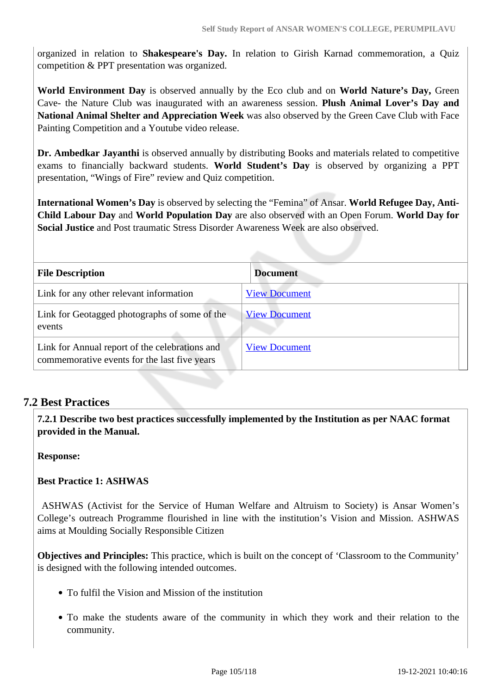organized in relation to **Shakespeare's Day.** In relation to Girish Karnad commemoration, a Quiz competition & PPT presentation was organized.

**World Environment Day** is observed annually by the Eco club and on **World Nature's Day,** Green Cave- the Nature Club was inaugurated with an awareness session. **Plush Animal Lover's Day and National Animal Shelter and Appreciation Week** was also observed by the Green Cave Club with Face Painting Competition and a Youtube video release.

**Dr. Ambedkar Jayanthi** is observed annually by distributing Books and materials related to competitive exams to financially backward students. **World Student's Day** is observed by organizing a PPT presentation, "Wings of Fire" review and Quiz competition.

**International Women's Day** is observed by selecting the "Femina" of Ansar. **World Refugee Day, Anti-Child Labour Day** and **World Population Day** are also observed with an Open Forum. **World Day for Social Justice** and Post traumatic Stress Disorder Awareness Week are also observed.

| <b>File Description</b>                        | <b>Document</b>      |
|------------------------------------------------|----------------------|
|                                                |                      |
| Link for any other relevant information        | <b>View Document</b> |
| Link for Geotagged photographs of some of the  | <b>View Document</b> |
| events                                         |                      |
| Link for Annual report of the celebrations and | <b>View Document</b> |
| commemorative events for the last five years   |                      |

### **7.2 Best Practices**

 **7.2.1 Describe two best practices successfully implemented by the Institution as per NAAC format provided in the Manual.**

**Response:** 

**Best Practice 1: ASHWAS**

 ASHWAS (Activist for the Service of Human Welfare and Altruism to Society) is Ansar Women's College's outreach Programme flourished in line with the institution's Vision and Mission. ASHWAS aims at Moulding Socially Responsible Citizen

**Objectives and Principles:** This practice, which is built on the concept of 'Classroom to the Community' is designed with the following intended outcomes.

- To fulfil the Vision and Mission of the institution
- To make the students aware of the community in which they work and their relation to the community.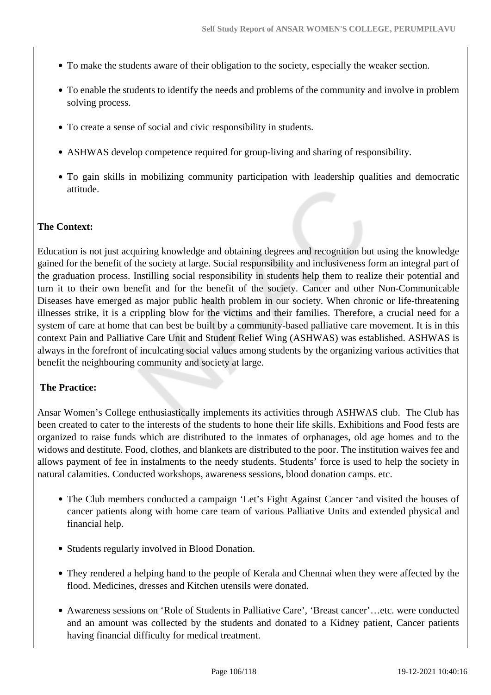- To make the students aware of their obligation to the society, especially the weaker section.
- To enable the students to identify the needs and problems of the community and involve in problem solving process.
- To create a sense of social and civic responsibility in students.
- ASHWAS develop competence required for group-living and sharing of responsibility.
- To gain skills in mobilizing community participation with leadership qualities and democratic attitude.

### **The Context:**

Education is not just acquiring knowledge and obtaining degrees and recognition but using the knowledge gained for the benefit of the society at large. Social responsibility and inclusiveness form an integral part of the graduation process. Instilling social responsibility in students help them to realize their potential and turn it to their own benefit and for the benefit of the society. Cancer and other Non-Communicable Diseases have emerged as major public health problem in our society. When chronic or life-threatening illnesses strike, it is a crippling blow for the victims and their families. Therefore, a crucial need for a system of care at home that can best be built by a community-based palliative care movement. It is in this context Pain and Palliative Care Unit and Student Relief Wing (ASHWAS) was established. ASHWAS is always in the forefront of inculcating social values among students by the organizing various activities that benefit the neighbouring community and society at large.

### **The Practice:**

Ansar Women's College enthusiastically implements its activities through ASHWAS club. The Club has been created to cater to the interests of the students to hone their life skills. Exhibitions and Food fests are organized to raise funds which are distributed to the inmates of orphanages, old age homes and to the widows and destitute. Food, clothes, and blankets are distributed to the poor. The institution waives fee and allows payment of fee in instalments to the needy students. Students' force is used to help the society in natural calamities. Conducted workshops, awareness sessions, blood donation camps. etc.

- The Club members conducted a campaign 'Let's Fight Against Cancer 'and visited the houses of cancer patients along with home care team of various Palliative Units and extended physical and financial help.
- Students regularly involved in Blood Donation.
- They rendered a helping hand to the people of Kerala and Chennai when they were affected by the flood. Medicines, dresses and Kitchen utensils were donated.
- Awareness sessions on 'Role of Students in Palliative Care', 'Breast cancer'…etc. were conducted and an amount was collected by the students and donated to a Kidney patient, Cancer patients having financial difficulty for medical treatment.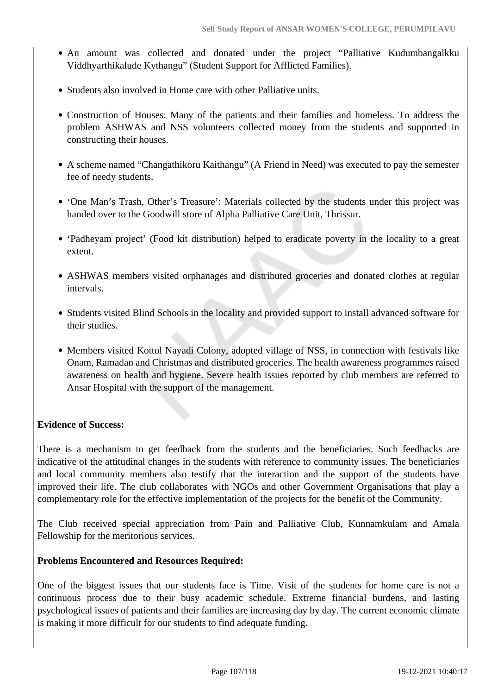- An amount was collected and donated under the project "Palliative Kudumbangalkku Viddhyarthikalude Kythangu" (Student Support for Afflicted Families).
- Students also involved in Home care with other Palliative units.
- Construction of Houses: Many of the patients and their families and homeless. To address the problem ASHWAS and NSS volunteers collected money from the students and supported in constructing their houses.
- A scheme named "Changathikoru Kaithangu" (A Friend in Need) was executed to pay the semester fee of needy students.
- 'One Man's Trash, Other's Treasure': Materials collected by the students under this project was handed over to the Goodwill store of Alpha Palliative Care Unit, Thrissur.
- 'Padheyam project' (Food kit distribution) helped to eradicate poverty in the locality to a great extent.
- ASHWAS members visited orphanages and distributed groceries and donated clothes at regular intervals.
- Students visited Blind Schools in the locality and provided support to install advanced software for their studies.
- Members visited Kottol Nayadi Colony, adopted village of NSS, in connection with festivals like Onam, Ramadan and Christmas and distributed groceries. The health awareness programmes raised awareness on health and hygiene. Severe health issues reported by club members are referred to Ansar Hospital with the support of the management.

### **Evidence of Success:**

There is a mechanism to get feedback from the students and the beneficiaries. Such feedbacks are indicative of the attitudinal changes in the students with reference to community issues. The beneficiaries and local community members also testify that the interaction and the support of the students have improved their life. The club collaborates with NGOs and other Government Organisations that play a complementary role for the effective implementation of the projects for the benefit of the Community.

The Club received special appreciation from Pain and Palliative Club, Kunnamkulam and Amala Fellowship for the meritorious services.

### **Problems Encountered and Resources Required:**

One of the biggest issues that our students face is Time. Visit of the students for home care is not a continuous process due to their busy academic schedule. Extreme financial burdens, and lasting psychological issues of patients and their families are increasing day by day. The current economic climate is making it more difficult for our students to find adequate funding.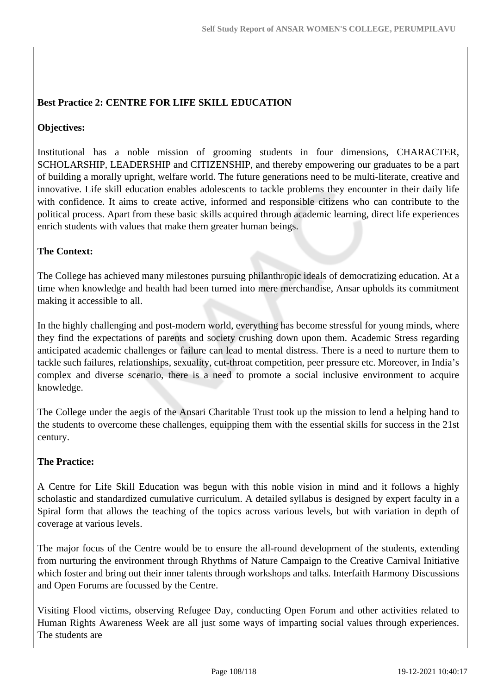### **Best Practice 2: CENTRE FOR LIFE SKILL EDUCATION**

### **Objectives:**

Institutional has a noble mission of grooming students in four dimensions, CHARACTER, SCHOLARSHIP, LEADERSHIP and CITIZENSHIP, and thereby empowering our graduates to be a part of building a morally upright, welfare world. The future generations need to be multi-literate, creative and innovative. Life skill education enables adolescents to tackle problems they encounter in their daily life with confidence. It aims to create active, informed and responsible citizens who can contribute to the political process. Apart from these basic skills acquired through academic learning, direct life experiences enrich students with values that make them greater human beings.

### **The Context:**

The College has achieved many milestones pursuing philanthropic ideals of democratizing education. At a time when knowledge and health had been turned into mere merchandise, Ansar upholds its commitment making it accessible to all.

In the highly challenging and post-modern world, everything has become stressful for young minds, where they find the expectations of parents and society crushing down upon them. Academic Stress regarding anticipated academic challenges or failure can lead to mental distress. There is a need to nurture them to tackle such failures, relationships, sexuality, cut-throat competition, peer pressure etc. Moreover, in India's complex and diverse scenario, there is a need to promote a social inclusive environment to acquire knowledge.

The College under the aegis of the Ansari Charitable Trust took up the mission to lend a helping hand to the students to overcome these challenges, equipping them with the essential skills for success in the 21st century.

### **The Practice:**

A Centre for Life Skill Education was begun with this noble vision in mind and it follows a highly scholastic and standardized cumulative curriculum. A detailed syllabus is designed by expert faculty in a Spiral form that allows the teaching of the topics across various levels, but with variation in depth of coverage at various levels.

The major focus of the Centre would be to ensure the all-round development of the students, extending from nurturing the environment through Rhythms of Nature Campaign to the Creative Carnival Initiative which foster and bring out their inner talents through workshops and talks. Interfaith Harmony Discussions and Open Forums are focussed by the Centre.

Visiting Flood victims, observing Refugee Day, conducting Open Forum and other activities related to Human Rights Awareness Week are all just some ways of imparting social values through experiences. The students are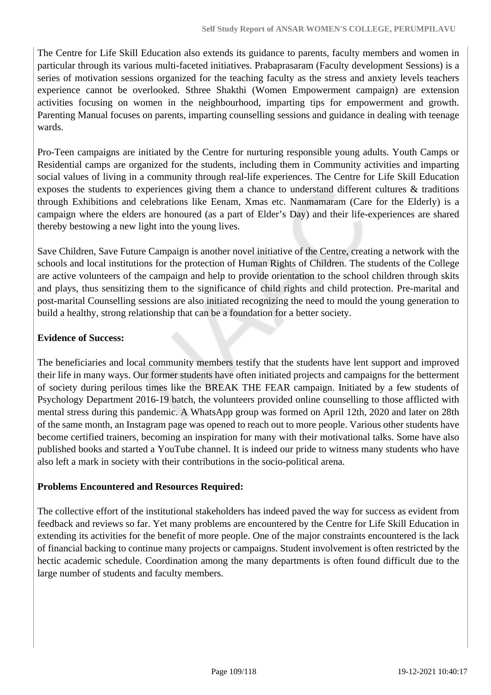The Centre for Life Skill Education also extends its guidance to parents, faculty members and women in particular through its various multi-faceted initiatives. Prabaprasaram (Faculty development Sessions) is a series of motivation sessions organized for the teaching faculty as the stress and anxiety levels teachers experience cannot be overlooked. Sthree Shakthi (Women Empowerment campaign) are extension activities focusing on women in the neighbourhood, imparting tips for empowerment and growth. Parenting Manual focuses on parents, imparting counselling sessions and guidance in dealing with teenage wards.

Pro-Teen campaigns are initiated by the Centre for nurturing responsible young adults. Youth Camps or Residential camps are organized for the students, including them in Community activities and imparting social values of living in a community through real-life experiences. The Centre for Life Skill Education exposes the students to experiences giving them a chance to understand different cultures & traditions through Exhibitions and celebrations like Eenam, Xmas etc. Nanmamaram (Care for the Elderly) is a campaign where the elders are honoured (as a part of Elder's Day) and their life-experiences are shared thereby bestowing a new light into the young lives.

Save Children, Save Future Campaign is another novel initiative of the Centre, creating a network with the schools and local institutions for the protection of Human Rights of Children. The students of the College are active volunteers of the campaign and help to provide orientation to the school children through skits and plays, thus sensitizing them to the significance of child rights and child protection. Pre-marital and post-marital Counselling sessions are also initiated recognizing the need to mould the young generation to build a healthy, strong relationship that can be a foundation for a better society.

### **Evidence of Success:**

The beneficiaries and local community members testify that the students have lent support and improved their life in many ways. Our former students have often initiated projects and campaigns for the betterment of society during perilous times like the BREAK THE FEAR campaign. Initiated by a few students of Psychology Department 2016-19 batch, the volunteers provided online counselling to those afflicted with mental stress during this pandemic. A WhatsApp group was formed on April 12th, 2020 and later on 28th of the same month, an Instagram page was opened to reach out to more people. Various other students have become certified trainers, becoming an inspiration for many with their motivational talks. Some have also published books and started a YouTube channel. It is indeed our pride to witness many students who have also left a mark in society with their contributions in the socio-political arena.

### **Problems Encountered and Resources Required:**

The collective effort of the institutional stakeholders has indeed paved the way for success as evident from feedback and reviews so far. Yet many problems are encountered by the Centre for Life Skill Education in extending its activities for the benefit of more people. One of the major constraints encountered is the lack of financial backing to continue many projects or campaigns. Student involvement is often restricted by the hectic academic schedule. Coordination among the many departments is often found difficult due to the large number of students and faculty members.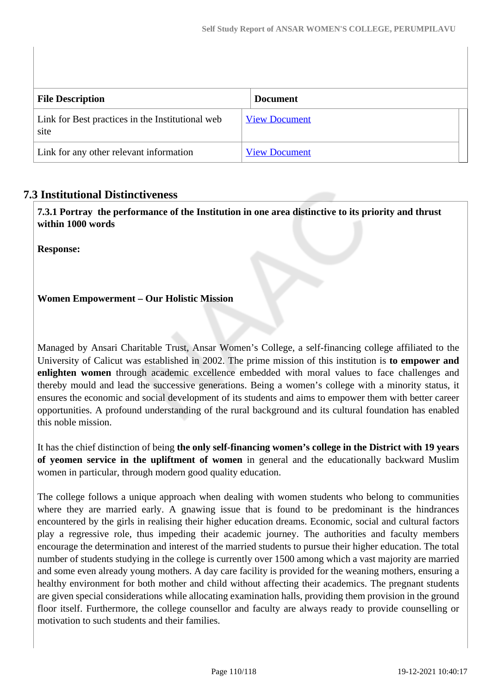| <b>File Description</b>                                  | <b>Document</b>      |
|----------------------------------------------------------|----------------------|
| Link for Best practices in the Institutional web<br>site | <b>View Document</b> |
| Link for any other relevant information                  | <b>View Document</b> |

# **7.3 Institutional Distinctiveness**

 **7.3.1 Portray the performance of the Institution in one area distinctive to its priority and thrust within 1000 words**

**Response:** 

## **Women Empowerment – Our Holistic Mission**

Managed by Ansari Charitable Trust, Ansar Women's College, a self-financing college affiliated to the University of Calicut was established in 2002. The prime mission of this institution is **to empower and enlighten women** through academic excellence embedded with moral values to face challenges and thereby mould and lead the successive generations. Being a women's college with a minority status, it ensures the economic and social development of its students and aims to empower them with better career opportunities. A profound understanding of the rural background and its cultural foundation has enabled this noble mission.

It has the chief distinction of being **the only self-financing women's college in the District with 19 years of yeomen service in the upliftment of women** in general and the educationally backward Muslim women in particular, through modern good quality education.

The college follows a unique approach when dealing with women students who belong to communities where they are married early. A gnawing issue that is found to be predominant is the hindrances encountered by the girls in realising their higher education dreams. Economic, social and cultural factors play a regressive role, thus impeding their academic journey. The authorities and faculty members encourage the determination and interest of the married students to pursue their higher education. The total number of students studying in the college is currently over 1500 among which a vast majority are married and some even already young mothers. A day care facility is provided for the weaning mothers, ensuring a healthy environment for both mother and child without affecting their academics. The pregnant students are given special considerations while allocating examination halls, providing them provision in the ground floor itself. Furthermore, the college counsellor and faculty are always ready to provide counselling or motivation to such students and their families.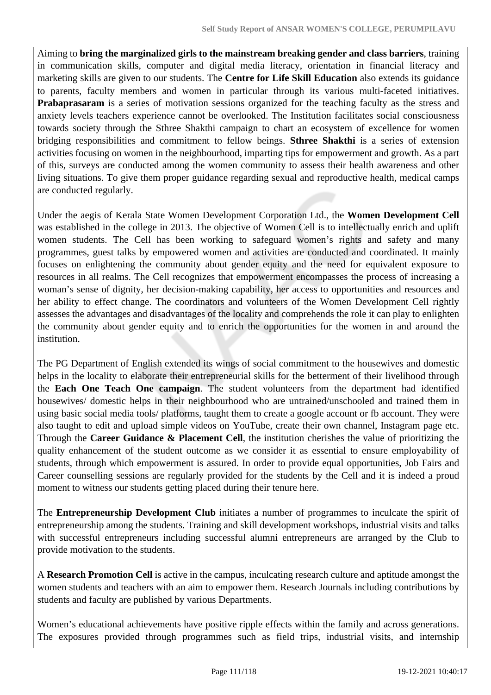Aiming to **bring the marginalized girls to the mainstream breaking gender and class barriers**, training in communication skills, computer and digital media literacy, orientation in financial literacy and marketing skills are given to our students. The **Centre for Life Skill Education** also extends its guidance to parents, faculty members and women in particular through its various multi-faceted initiatives. **Prabaprasaram** is a series of motivation sessions organized for the teaching faculty as the stress and anxiety levels teachers experience cannot be overlooked. The Institution facilitates social consciousness towards society through the Sthree Shakthi campaign to chart an ecosystem of excellence for women bridging responsibilities and commitment to fellow beings. **Sthree Shakthi** is a series of extension activities focusing on women in the neighbourhood, imparting tips for empowerment and growth. As a part of this, surveys are conducted among the women community to assess their health awareness and other living situations. To give them proper guidance regarding sexual and reproductive health, medical camps are conducted regularly.

Under the aegis of Kerala State Women Development Corporation Ltd., the **Women Development Cell** was established in the college in 2013. The objective of Women Cell is to intellectually enrich and uplift women students. The Cell has been working to safeguard women's rights and safety and many programmes, guest talks by empowered women and activities are conducted and coordinated. It mainly focuses on enlightening the community about gender equity and the need for equivalent exposure to resources in all realms. The Cell recognizes that empowerment encompasses the process of increasing a woman's sense of dignity, her decision-making capability, her access to opportunities and resources and her ability to effect change. The coordinators and volunteers of the Women Development Cell rightly assesses the advantages and disadvantages of the locality and comprehends the role it can play to enlighten the community about gender equity and to enrich the opportunities for the women in and around the institution.

The PG Department of English extended its wings of social commitment to the housewives and domestic helps in the locality to elaborate their entrepreneurial skills for the betterment of their livelihood through the **Each One Teach One campaign**. The student volunteers from the department had identified housewives/ domestic helps in their neighbourhood who are untrained/unschooled and trained them in using basic social media tools/ platforms, taught them to create a google account or fb account. They were also taught to edit and upload simple videos on YouTube, create their own channel, Instagram page etc. Through the **Career Guidance & Placement Cell**, the institution cherishes the value of prioritizing the quality enhancement of the student outcome as we consider it as essential to ensure employability of students, through which empowerment is assured. In order to provide equal opportunities, Job Fairs and Career counselling sessions are regularly provided for the students by the Cell and it is indeed a proud moment to witness our students getting placed during their tenure here.

The **Entrepreneurship Development Club** initiates a number of programmes to inculcate the spirit of entrepreneurship among the students. Training and skill development workshops, industrial visits and talks with successful entrepreneurs including successful alumni entrepreneurs are arranged by the Club to provide motivation to the students.

A **Research Promotion Cell** is active in the campus, inculcating research culture and aptitude amongst the women students and teachers with an aim to empower them. Research Journals including contributions by students and faculty are published by various Departments.

Women's educational achievements have positive ripple effects within the family and across generations. The exposures provided through programmes such as field trips, industrial visits, and internship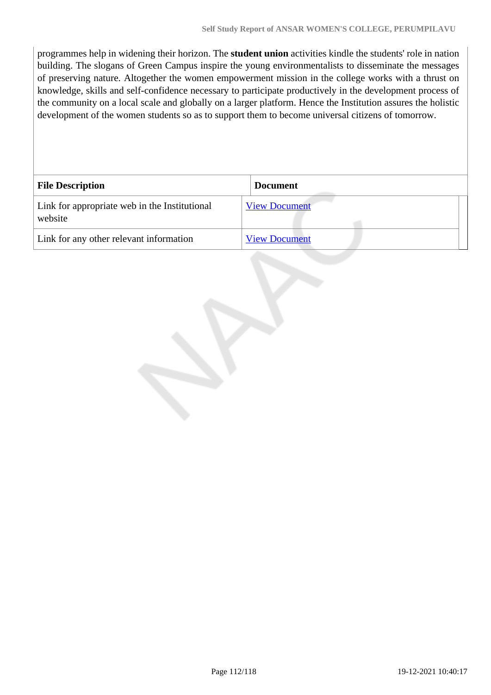programmes help in widening their horizon. The **student union** activities kindle the students' role in nation building. The slogans of Green Campus inspire the young environmentalists to disseminate the messages of preserving nature. Altogether the women empowerment mission in the college works with a thrust on knowledge, skills and self-confidence necessary to participate productively in the development process of the community on a local scale and globally on a larger platform. Hence the Institution assures the holistic development of the women students so as to support them to become universal citizens of tomorrow.

| <b>File Description</b>                                  | <b>Document</b>      |
|----------------------------------------------------------|----------------------|
| Link for appropriate web in the Institutional<br>website | <b>View Document</b> |
| Link for any other relevant information                  | <b>View Document</b> |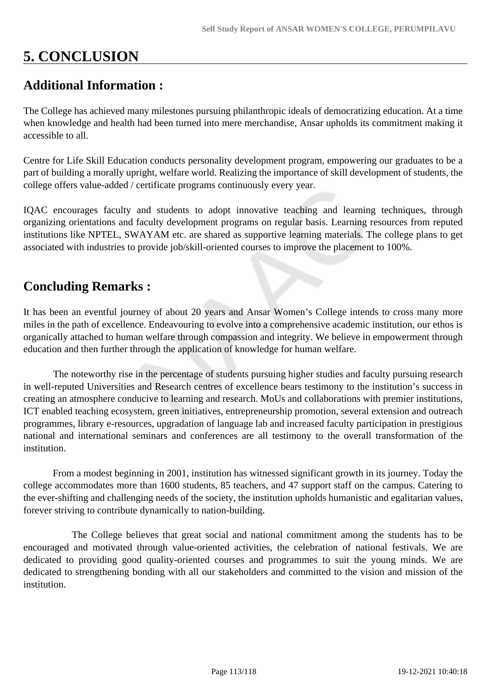# **5. CONCLUSION**

# **Additional Information :**

The College has achieved many milestones pursuing philanthropic ideals of democratizing education. At a time when knowledge and health had been turned into mere merchandise, Ansar upholds its commitment making it accessible to all.

Centre for Life Skill Education conducts personality development program, empowering our graduates to be a part of building a morally upright, welfare world. Realizing the importance of skill development of students, the college offers value-added / certificate programs continuously every year.

IQAC encourages faculty and students to adopt innovative teaching and learning techniques, through organizing orientations and faculty development programs on regular basis. Learning resources from reputed institutions like NPTEL, SWAYAM etc. are shared as supportive learning materials. The college plans to get associated with industries to provide job/skill-oriented courses to improve the placement to 100%.

# **Concluding Remarks :**

It has been an eventful journey of about 20 years and Ansar Women's College intends to cross many more miles in the path of excellence. Endeavouring to evolve into a comprehensive academic institution, our ethos is organically attached to human welfare through compassion and integrity. We believe in empowerment through education and then further through the application of knowledge for human welfare.

 The noteworthy rise in the percentage of students pursuing higher studies and faculty pursuing research in well-reputed Universities and Research centres of excellence bears testimony to the institution's success in creating an atmosphere conducive to learning and research. MoUs and collaborations with premier institutions, ICT enabled teaching ecosystem, green initiatives, entrepreneurship promotion, several extension and outreach programmes, library e-resources, upgradation of language lab and increased faculty participation in prestigious national and international seminars and conferences are all testimony to the overall transformation of the institution.

 From a modest beginning in 2001, institution has witnessed significant growth in its journey. Today the college accommodates more than 1600 students, 85 teachers, and 47 support staff on the campus. Catering to the ever-shifting and challenging needs of the society, the institution upholds humanistic and egalitarian values, forever striving to contribute dynamically to nation-building.

 The College believes that great social and national commitment among the students has to be encouraged and motivated through value-oriented activities, the celebration of national festivals. We are dedicated to providing good quality-oriented courses and programmes to suit the young minds. We are dedicated to strengthening bonding with all our stakeholders and committed to the vision and mission of the institution.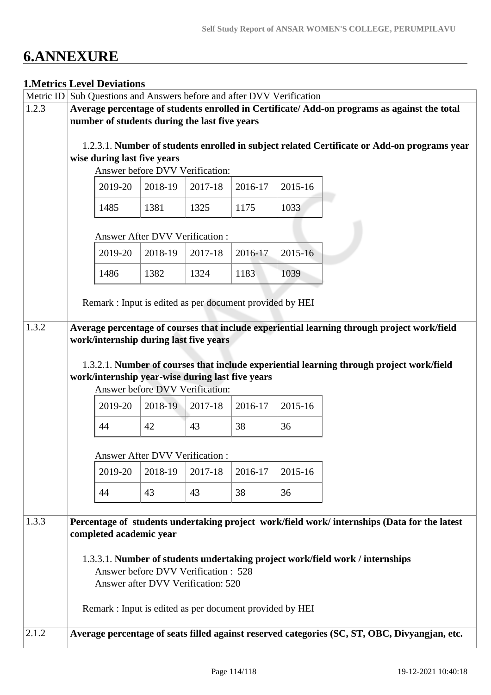# **6.ANNEXURE**

## **1.Metrics Level Deviations**

| Metric ID | Sub Questions and Answers before and after DVV Verification                                 |         |                                 |                                                  |                                                          |         |                                                                                               |  |  |
|-----------|---------------------------------------------------------------------------------------------|---------|---------------------------------|--------------------------------------------------|----------------------------------------------------------|---------|-----------------------------------------------------------------------------------------------|--|--|
| 1.2.3     | Average percentage of students enrolled in Certificate/Add-on programs as against the total |         |                                 |                                                  |                                                          |         |                                                                                               |  |  |
|           | number of students during the last five years                                               |         |                                 |                                                  |                                                          |         |                                                                                               |  |  |
|           |                                                                                             |         |                                 |                                                  |                                                          |         |                                                                                               |  |  |
|           | 1.2.3.1. Number of students enrolled in subject related Certificate or Add-on programs year |         |                                 |                                                  |                                                          |         |                                                                                               |  |  |
|           | wise during last five years                                                                 |         |                                 |                                                  |                                                          |         |                                                                                               |  |  |
|           |                                                                                             |         |                                 | Answer before DVV Verification:                  |                                                          |         |                                                                                               |  |  |
|           |                                                                                             | 2019-20 | 2018-19                         | 2017-18                                          | 2016-17                                                  | 2015-16 |                                                                                               |  |  |
|           | 1485                                                                                        |         | 1381                            | 1325                                             | 1175                                                     | 1033    |                                                                                               |  |  |
|           |                                                                                             |         |                                 | <b>Answer After DVV Verification:</b>            |                                                          |         |                                                                                               |  |  |
|           |                                                                                             | 2019-20 | 2018-19                         | 2017-18                                          | 2016-17                                                  | 2015-16 |                                                                                               |  |  |
|           | 1486                                                                                        |         | 1382                            | 1324                                             | 1183                                                     | 1039    |                                                                                               |  |  |
|           |                                                                                             |         |                                 |                                                  |                                                          |         |                                                                                               |  |  |
|           |                                                                                             |         |                                 |                                                  | Remark : Input is edited as per document provided by HEI |         |                                                                                               |  |  |
| 1.3.2     |                                                                                             |         |                                 |                                                  |                                                          |         | Average percentage of courses that include experiential learning through project work/field   |  |  |
|           |                                                                                             |         |                                 | work/internship during last five years           |                                                          |         |                                                                                               |  |  |
|           |                                                                                             |         |                                 |                                                  |                                                          |         |                                                                                               |  |  |
|           |                                                                                             |         |                                 |                                                  |                                                          |         | 1.3.2.1. Number of courses that include experiential learning through project work/field      |  |  |
|           |                                                                                             |         |                                 | work/internship year-wise during last five years |                                                          |         |                                                                                               |  |  |
|           |                                                                                             |         |                                 | Answer before DVV Verification:                  |                                                          |         |                                                                                               |  |  |
|           |                                                                                             | 2019-20 | 2018-19                         | 2017-18                                          | 2016-17                                                  | 2015-16 |                                                                                               |  |  |
|           | 44                                                                                          |         | 42                              | 43                                               | 38                                                       | 36      |                                                                                               |  |  |
|           |                                                                                             |         | Answer After DVV Verification : |                                                  |                                                          |         |                                                                                               |  |  |
|           |                                                                                             | 2019-20 | 2018-19                         | 2017-18                                          | 2016-17                                                  | 2015-16 |                                                                                               |  |  |
|           | 44                                                                                          |         | 43                              | 43                                               | 38                                                       | 36      |                                                                                               |  |  |
|           |                                                                                             |         |                                 |                                                  |                                                          |         |                                                                                               |  |  |
| 1.3.3     |                                                                                             |         |                                 |                                                  |                                                          |         | Percentage of students undertaking project work/field work/ internships (Data for the latest  |  |  |
|           | completed academic year                                                                     |         |                                 |                                                  |                                                          |         |                                                                                               |  |  |
|           |                                                                                             |         |                                 |                                                  |                                                          |         |                                                                                               |  |  |
|           | 1.3.3.1. Number of students undertaking project work/field work / internships               |         |                                 |                                                  |                                                          |         |                                                                                               |  |  |
|           | Answer before DVV Verification: 528<br>Answer after DVV Verification: 520                   |         |                                 |                                                  |                                                          |         |                                                                                               |  |  |
|           |                                                                                             |         |                                 |                                                  |                                                          |         |                                                                                               |  |  |
|           |                                                                                             |         |                                 |                                                  | Remark: Input is edited as per document provided by HEI  |         |                                                                                               |  |  |
| 2.1.2     |                                                                                             |         |                                 |                                                  |                                                          |         | Average percentage of seats filled against reserved categories (SC, ST, OBC, Divyangjan, etc. |  |  |
|           |                                                                                             |         |                                 |                                                  |                                                          |         |                                                                                               |  |  |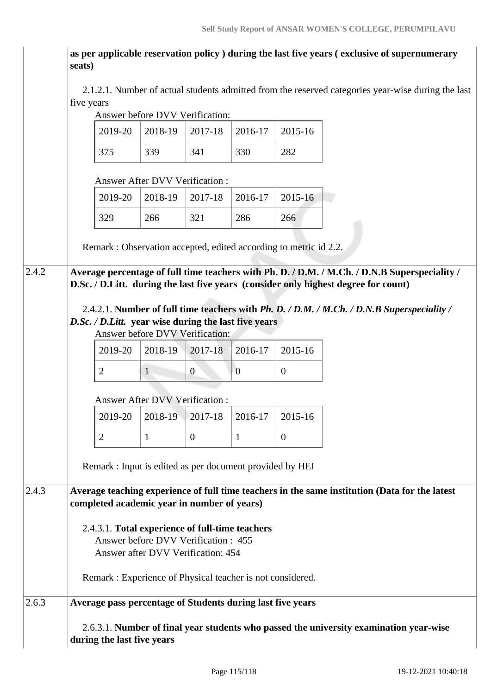**as per applicable reservation policy ) during the last five years ( exclusive of supernumerary seats)**

 2.1.2.1. Number of actual students admitted from the reserved categories year-wise during the last five years

# Answer before DVV Verification:

| 2019-20 |     | 2018-19   2017-18   2016-17 |     | $ 2015-16$ |
|---------|-----|-----------------------------|-----|------------|
|         | 339 | 341                         | 330 | 282        |

#### Answer After DVV Verification :

|  |     | $2019-20$   2018-19   2017-18   2016-17   2015-16 |     |     |
|--|-----|---------------------------------------------------|-----|-----|
|  | 266 | 321                                               | 286 | 266 |

Remark : Observation accepted, edited according to metric id 2.2.

2.4.2 **Average percentage of full time teachers with Ph. D. / D.M. / M.Ch. / D.N.B Superspeciality / D.Sc. / D.Litt. during the last five years (consider only highest degree for count)**

> 2.4.2.1. **Number of full time teachers with** *Ph. D. / D.M. / M.Ch. / D.N.B Superspeciality / D.Sc. / D.Litt.* **year wise during the last five years**

Answer before DVV Verification:

|  | $2019-20$   2018-19   2017-18   2016-17   2015-16 |  |
|--|---------------------------------------------------|--|
|  |                                                   |  |

#### Answer After DVV Verification :

|  | 2019-20   2018-19   2017-18   2016-17   2015-16 |  |
|--|-------------------------------------------------|--|
|  |                                                 |  |

Remark : Input is edited as per document provided by HEI

2.4.3 **Average teaching experience of full time teachers in the same institution (Data for the latest completed academic year in number of years)** 

> 2.4.3.1. **Total experience of full-time teachers** Answer before DVV Verification : 455 Answer after DVV Verification: 454

Remark : Experience of Physical teacher is not considered.

### 2.6.3 **Average pass percentage of Students during last five years**

 2.6.3.1. **Number of final year students who passed the university examination year-wise during the last five years**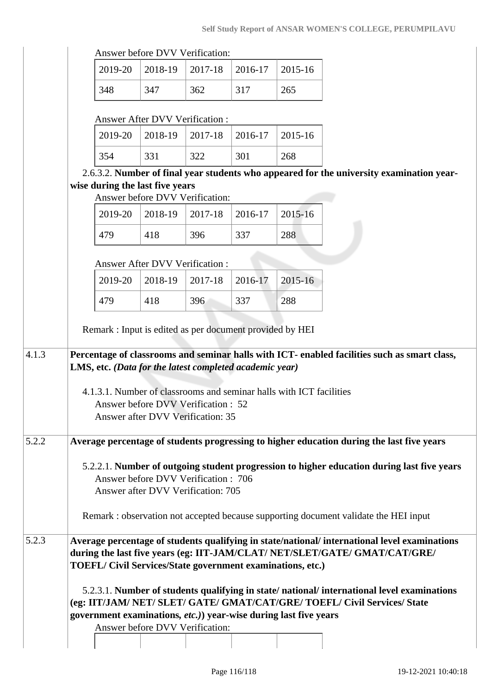|                                                                     |                                                                          |         |         |         | Self Study Report of ANSAR WOMEN'S COLLEGE, PERUMPILAVU                                       |
|---------------------------------------------------------------------|--------------------------------------------------------------------------|---------|---------|---------|-----------------------------------------------------------------------------------------------|
|                                                                     | Answer before DVV Verification:                                          |         |         |         |                                                                                               |
| 2019-20                                                             | 2018-19                                                                  | 2017-18 | 2016-17 | 2015-16 |                                                                                               |
| 348                                                                 | 347                                                                      | 362     | 317     | 265     |                                                                                               |
|                                                                     | Answer After DVV Verification:                                           |         |         |         |                                                                                               |
| 2019-20                                                             | 2018-19                                                                  | 2017-18 | 2016-17 | 2015-16 |                                                                                               |
| 354                                                                 | 331                                                                      | 322     | 301     | 268     |                                                                                               |
|                                                                     |                                                                          |         |         |         | 2.6.3.2. Number of final year students who appeared for the university examination year-      |
| wise during the last five years                                     |                                                                          |         |         |         |                                                                                               |
|                                                                     | Answer before DVV Verification:                                          |         |         |         |                                                                                               |
| 2019-20                                                             | 2018-19                                                                  | 2017-18 | 2016-17 | 2015-16 |                                                                                               |
| 479                                                                 | 418                                                                      | 396     | 337     | 288     |                                                                                               |
|                                                                     | <b>Answer After DVV Verification:</b>                                    |         |         |         |                                                                                               |
| 2019-20                                                             | 2018-19                                                                  | 2017-18 | 2016-17 | 2015-16 |                                                                                               |
| 479                                                                 | 418                                                                      | 396     | 337     | 288     |                                                                                               |
|                                                                     |                                                                          |         |         |         |                                                                                               |
| Remark : Input is edited as per document provided by HEI            |                                                                          |         |         |         |                                                                                               |
|                                                                     |                                                                          |         |         |         | Percentage of classrooms and seminar halls with ICT- enabled facilities such as smart class,  |
| LMS, etc. (Data for the latest completed academic year)             |                                                                          |         |         |         |                                                                                               |
| 4.1.3.1. Number of classrooms and seminar halls with ICT facilities |                                                                          |         |         |         |                                                                                               |
|                                                                     | Answer before DVV Verification : 52<br>Answer after DVV Verification: 35 |         |         |         |                                                                                               |
|                                                                     |                                                                          |         |         |         |                                                                                               |
|                                                                     |                                                                          |         |         |         | Average percentage of students progressing to higher education during the last five years     |
|                                                                     |                                                                          |         |         |         | 5.2.2.1. Number of outgoing student progression to higher education during last five years    |
|                                                                     | Answer before DVV Verification: 706                                      |         |         |         |                                                                                               |
|                                                                     | Answer after DVV Verification: 705                                       |         |         |         |                                                                                               |
|                                                                     |                                                                          |         |         |         | Remark: observation not accepted because supporting document validate the HEI input           |
|                                                                     |                                                                          |         |         |         | Average percentage of students qualifying in state/national/ international level examinations |
| <b>TOEFL/Civil Services/State government examinations, etc.)</b>    |                                                                          |         |         |         | during the last five years (eg: IIT-JAM/CLAT/ NET/SLET/GATE/ GMAT/CAT/GRE/                    |
|                                                                     |                                                                          |         |         |         |                                                                                               |
|                                                                     |                                                                          |         |         |         | 5.2.3.1. Number of students qualifying in state/national/international level examinations     |

 5.2.3.1. **Number of students qualifying in state/ national/ international level examinations (eg: IIT/JAM/ NET/ SLET/ GATE/ GMAT/CAT/GRE/ TOEFL/ Civil Services/ State government examinations***, etc.)***) year-wise during last five years**

Answer before DVV Verification: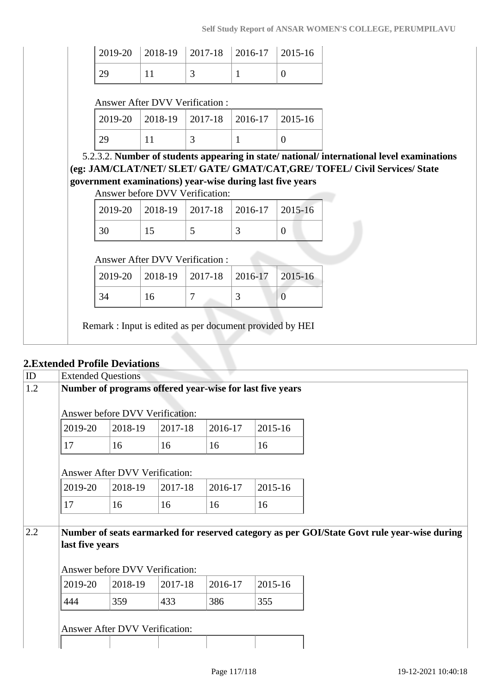|                 | $\vert$ 2019-20 $\vert$ 2018-19 $\vert$ 2017-18 $\vert$ 2016-17 $\vert$ 2015-16 |  |
|-----------------|---------------------------------------------------------------------------------|--|
| $\frac{129}{2}$ |                                                                                 |  |

#### Answer After DVV Verification :

| $\vert$ 2019-20 $\vert$ 2018-19 $\vert$ 2017-18 $\vert$ 2016-17 $\vert$ 2015-16 |  |  |
|---------------------------------------------------------------------------------|--|--|
|                                                                                 |  |  |

 5.2.3.2. **Number of students appearing in state/ national/ international level examinations (eg: JAM/CLAT/NET/ SLET/ GATE/ GMAT/CAT,GRE/ TOFEL/ Civil Services/ State government examinations) year-wise during last five years**

Answer before DVV Verification:

|  | 2019-20   2018-19   2017-18   2016-17   2015-16 |  |
|--|-------------------------------------------------|--|
|  |                                                 |  |

### Answer After DVV Verification :

|  | $2019-20$   2018-19   2017-18   2016-17   2015-16 |  |
|--|---------------------------------------------------|--|
|  |                                                   |  |

Remark : Input is edited as per document provided by HEI

# **2.Extended Profile Deviations**

| ID  | <b>Extended Questions</b>                                |                                 |         |         |         |                                                                                             |  |  |  |  |
|-----|----------------------------------------------------------|---------------------------------|---------|---------|---------|---------------------------------------------------------------------------------------------|--|--|--|--|
| 1.2 | Number of programs offered year-wise for last five years |                                 |         |         |         |                                                                                             |  |  |  |  |
|     | Answer before DVV Verification:                          |                                 |         |         |         |                                                                                             |  |  |  |  |
|     | 2019-20                                                  | 2018-19                         | 2017-18 | 2016-17 | 2015-16 |                                                                                             |  |  |  |  |
|     | 17                                                       | 16                              | 16      | 16      | 16      |                                                                                             |  |  |  |  |
|     | Answer After DVV Verification:                           |                                 |         |         |         |                                                                                             |  |  |  |  |
|     | 2019-20                                                  | 2018-19                         | 2017-18 | 2016-17 | 2015-16 |                                                                                             |  |  |  |  |
|     | 17                                                       | 16                              | 16      | 16      | 16      |                                                                                             |  |  |  |  |
|     |                                                          |                                 |         |         |         |                                                                                             |  |  |  |  |
| 2.2 | last five years                                          |                                 |         |         |         | Number of seats earmarked for reserved category as per GOI/State Govt rule year-wise during |  |  |  |  |
|     |                                                          |                                 |         |         |         |                                                                                             |  |  |  |  |
|     |                                                          | Answer before DVV Verification: |         |         |         |                                                                                             |  |  |  |  |
|     | 2019-20                                                  | 2018-19                         | 2017-18 | 2016-17 | 2015-16 |                                                                                             |  |  |  |  |
|     | 444                                                      | 359                             | 433     | 386     | 355     |                                                                                             |  |  |  |  |
|     |                                                          |                                 |         |         |         |                                                                                             |  |  |  |  |
|     |                                                          | Answer After DVV Verification:  |         |         |         |                                                                                             |  |  |  |  |
|     |                                                          |                                 |         |         |         |                                                                                             |  |  |  |  |